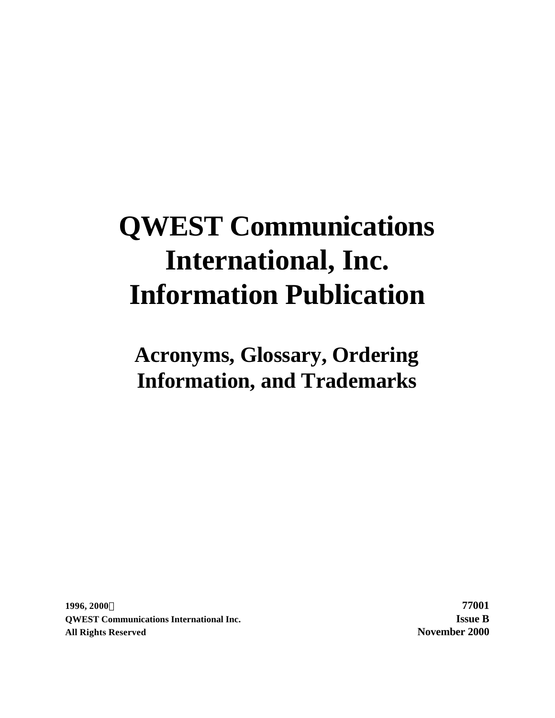# **QWEST Communications International, Inc. Information Publication**

**Acronyms, Glossary, Ordering Information, and Trademarks**

**1996, 2000Ó 77001 QWEST Communications International Inc. Issue B All Rights Reserved November 2000**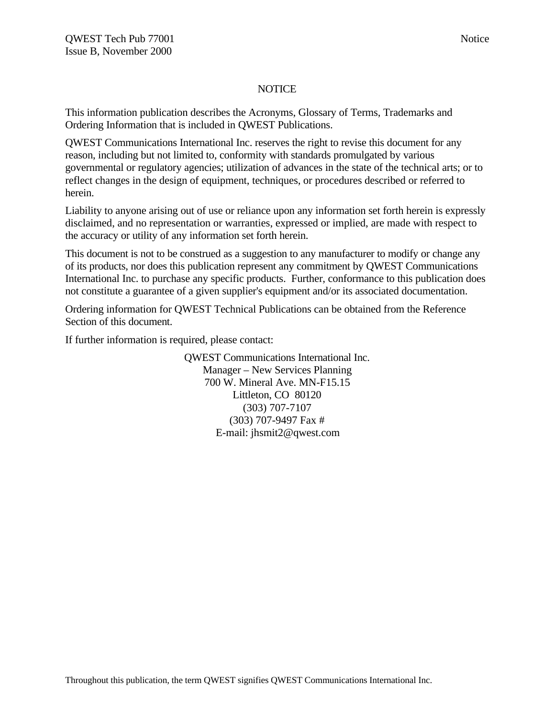## **NOTICE**

This information publication describes the Acronyms, Glossary of Terms, Trademarks and Ordering Information that is included in QWEST Publications.

QWEST Communications International Inc. reserves the right to revise this document for any reason, including but not limited to, conformity with standards promulgated by various governmental or regulatory agencies; utilization of advances in the state of the technical arts; or to reflect changes in the design of equipment, techniques, or procedures described or referred to herein.

Liability to anyone arising out of use or reliance upon any information set forth herein is expressly disclaimed, and no representation or warranties, expressed or implied, are made with respect to the accuracy or utility of any information set forth herein.

This document is not to be construed as a suggestion to any manufacturer to modify or change any of its products, nor does this publication represent any commitment by QWEST Communications International Inc. to purchase any specific products. Further, conformance to this publication does not constitute a guarantee of a given supplier's equipment and/or its associated documentation.

Ordering information for QWEST Technical Publications can be obtained from the Reference Section of this document.

If further information is required, please contact:

QWEST Communications International Inc. Manager – New Services Planning 700 W. Mineral Ave. MN-F15.15 Littleton, CO 80120 (303) 707-7107 (303) 707-9497 Fax # E-mail: jhsmit2@qwest.com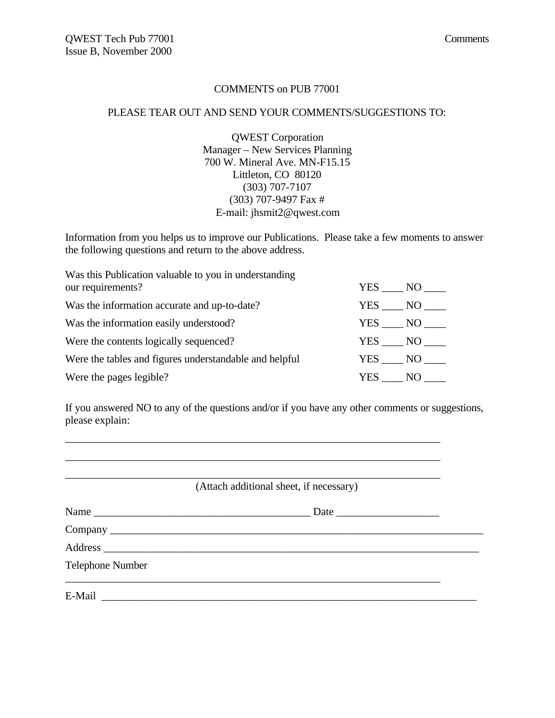#### COMMENTS on PUB 77001

#### PLEASE TEAR OUT AND SEND YOUR COMMENTS/SUGGESTIONS TO:

QWEST Corporation Manager – New Services Planning 700 W. Mineral Ave. MN-F15.15 Littleton, CO 80120 (303) 707-7107 (303) 707-9497 Fax # E-mail: jhsmit2@qwest.com

Information from you helps us to improve our Publications. Please take a few moments to answer the following questions and return to the above address.

| Was this Publication valuable to you in understanding  |            |
|--------------------------------------------------------|------------|
| our requirements?                                      | YES NO     |
| Was the information accurate and up-to-date?           | YES NO     |
| Was the information easily understood?                 | YES NO     |
| Were the contents logically sequenced?                 | YES NO     |
| Were the tables and figures understandable and helpful | YES NO     |
| Were the pages legible?                                | YES<br>NO. |

\_\_\_\_\_\_\_\_\_\_\_\_\_\_\_\_\_\_\_\_\_\_\_\_\_\_\_\_\_\_\_\_\_\_\_\_\_\_\_\_\_\_\_\_\_\_\_\_\_\_\_\_\_\_\_\_\_\_\_\_\_\_\_\_\_\_\_\_\_ \_\_\_\_\_\_\_\_\_\_\_\_\_\_\_\_\_\_\_\_\_\_\_\_\_\_\_\_\_\_\_\_\_\_\_\_\_\_\_\_\_\_\_\_\_\_\_\_\_\_\_\_\_\_\_\_\_\_\_\_\_\_\_\_\_\_\_\_\_

If you answered NO to any of the questions and/or if you have any other comments or suggestions, please explain:

| (Attach additional sheet, if necessary) |  |
|-----------------------------------------|--|
|                                         |  |
|                                         |  |
|                                         |  |
| Telephone Number                        |  |
|                                         |  |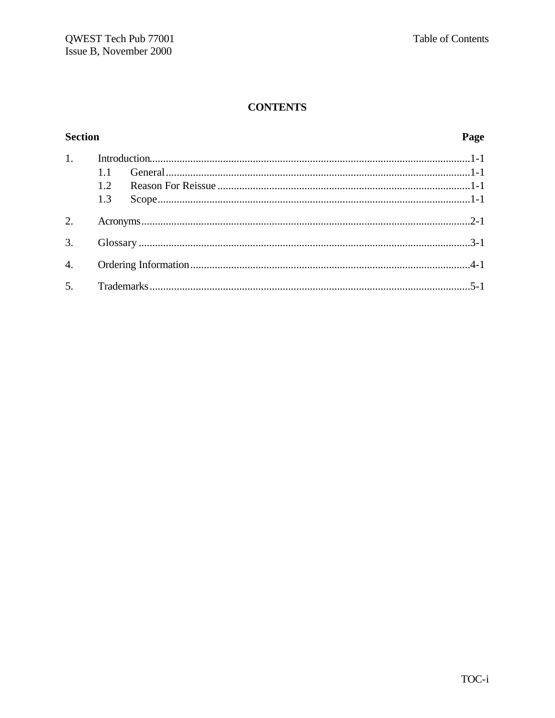# **CONTENTS**

# **Section**

# Page

| 1. |      |  |  |
|----|------|--|--|
|    |      |  |  |
|    | 1.2. |  |  |
|    | 1.3  |  |  |
| 2. |      |  |  |
|    |      |  |  |
|    |      |  |  |
|    |      |  |  |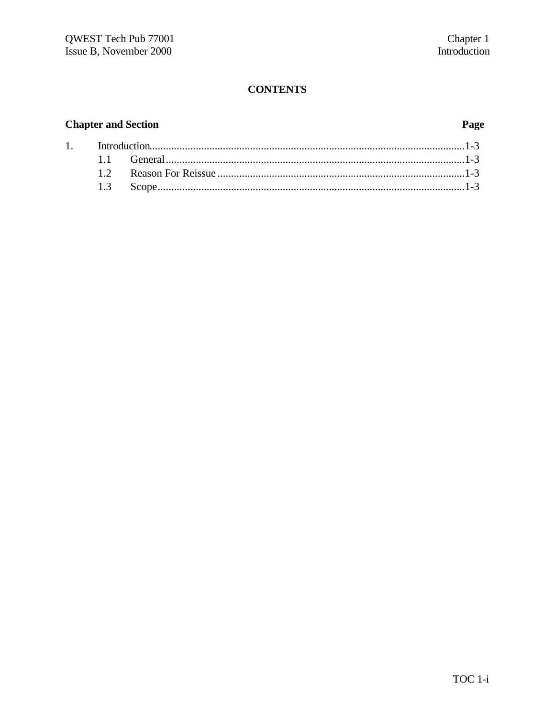# **CONTENTS**

# **Chapter and Section**

# Page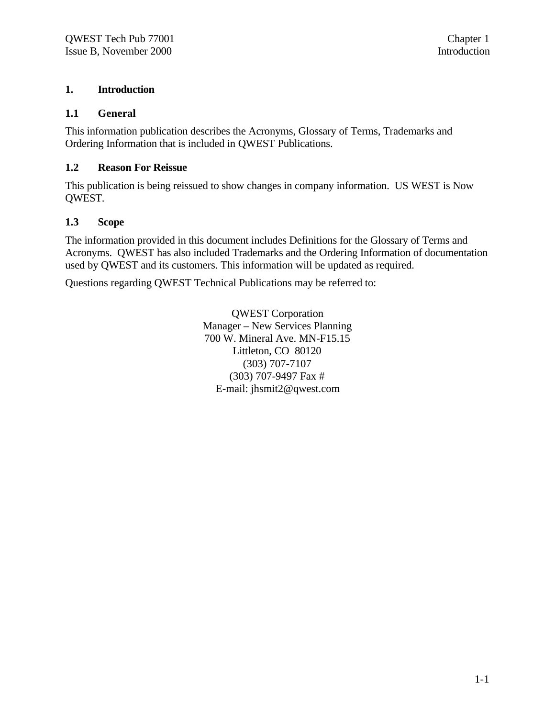## **1. Introduction**

### **1.1 General**

This information publication describes the Acronyms, Glossary of Terms, Trademarks and Ordering Information that is included in QWEST Publications.

## **1.2 Reason For Reissue**

This publication is being reissued to show changes in company information. US WEST is Now QWEST.

## **1.3 Scope**

The information provided in this document includes Definitions for the Glossary of Terms and Acronyms. QWEST has also included Trademarks and the Ordering Information of documentation used by QWEST and its customers. This information will be updated as required.

Questions regarding QWEST Technical Publications may be referred to:

QWEST Corporation Manager – New Services Planning 700 W. Mineral Ave. MN-F15.15 Littleton, CO 80120 (303) 707-7107 (303) 707-9497 Fax # E-mail: jhsmit2@qwest.com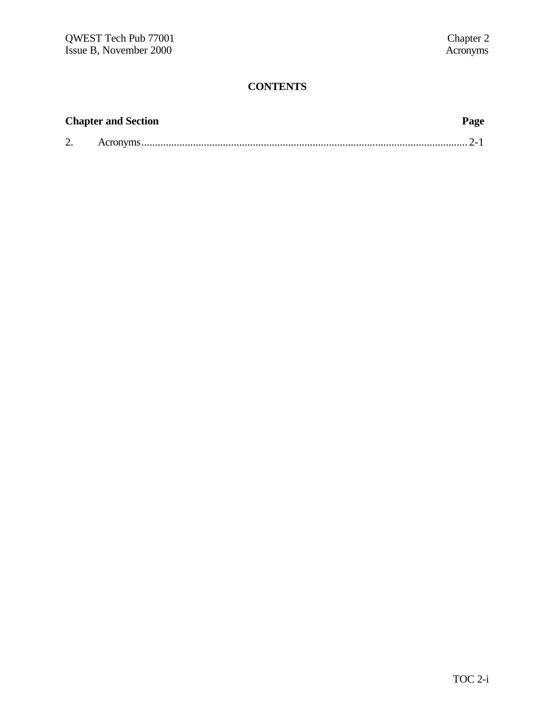# **CONTENTS**

| <b>Chapter and Section</b> | Page |
|----------------------------|------|
|                            |      |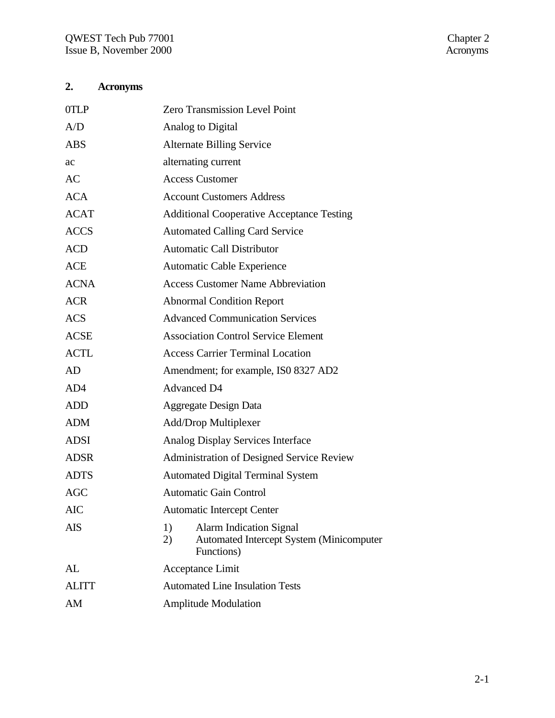# **2. Acronyms**

| <b>Zero Transmission Level Point</b>                                                                        |
|-------------------------------------------------------------------------------------------------------------|
| Analog to Digital                                                                                           |
| <b>Alternate Billing Service</b>                                                                            |
| alternating current                                                                                         |
| <b>Access Customer</b>                                                                                      |
| <b>Account Customers Address</b>                                                                            |
| <b>Additional Cooperative Acceptance Testing</b>                                                            |
| <b>Automated Calling Card Service</b>                                                                       |
| <b>Automatic Call Distributor</b>                                                                           |
| <b>Automatic Cable Experience</b>                                                                           |
| <b>Access Customer Name Abbreviation</b>                                                                    |
| <b>Abnormal Condition Report</b>                                                                            |
| <b>Advanced Communication Services</b>                                                                      |
| <b>Association Control Service Element</b>                                                                  |
| <b>Access Carrier Terminal Location</b>                                                                     |
| Amendment; for example, ISO 8327 AD2                                                                        |
| <b>Advanced D4</b>                                                                                          |
| <b>Aggregate Design Data</b>                                                                                |
| Add/Drop Multiplexer                                                                                        |
| Analog Display Services Interface                                                                           |
| <b>Administration of Designed Service Review</b>                                                            |
| <b>Automated Digital Terminal System</b>                                                                    |
| Automatic Gain Control                                                                                      |
| <b>Automatic Intercept Center</b>                                                                           |
| 1)<br><b>Alarm Indication Signal</b><br><b>Automated Intercept System (Minicomputer</b><br>2)<br>Functions) |
| Acceptance Limit                                                                                            |
| <b>Automated Line Insulation Tests</b>                                                                      |
| <b>Amplitude Modulation</b>                                                                                 |
|                                                                                                             |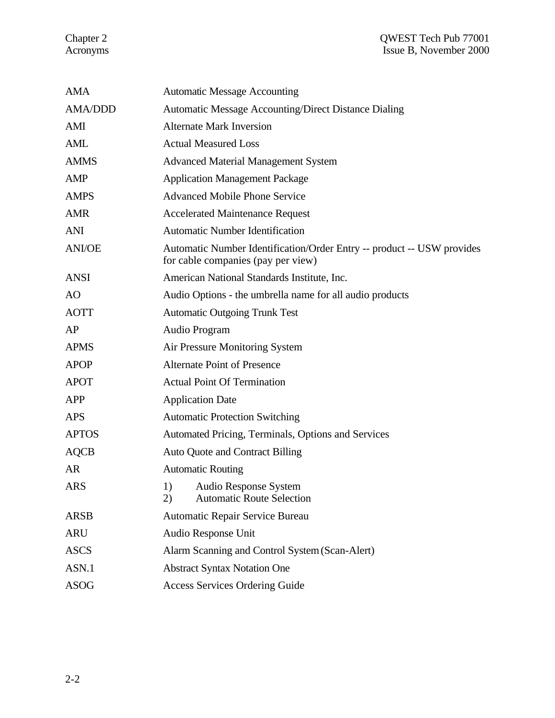#### Chapter 2 QWEST Tech Pub 77001 Acronyms Issue B, November 2000

| <b>AMA</b>     | <b>Automatic Message Accounting</b>                                                                          |
|----------------|--------------------------------------------------------------------------------------------------------------|
| <b>AMA/DDD</b> | <b>Automatic Message Accounting/Direct Distance Dialing</b>                                                  |
| AMI            | <b>Alternate Mark Inversion</b>                                                                              |
| <b>AML</b>     | <b>Actual Measured Loss</b>                                                                                  |
| <b>AMMS</b>    | <b>Advanced Material Management System</b>                                                                   |
| <b>AMP</b>     | <b>Application Management Package</b>                                                                        |
| <b>AMPS</b>    | <b>Advanced Mobile Phone Service</b>                                                                         |
| <b>AMR</b>     | <b>Accelerated Maintenance Request</b>                                                                       |
| <b>ANI</b>     | <b>Automatic Number Identification</b>                                                                       |
| <b>ANI/OE</b>  | Automatic Number Identification/Order Entry -- product -- USW provides<br>for cable companies (pay per view) |
| <b>ANSI</b>    | American National Standards Institute, Inc.                                                                  |
| AO             | Audio Options - the umbrella name for all audio products                                                     |
| <b>AOTT</b>    | <b>Automatic Outgoing Trunk Test</b>                                                                         |
| AP             | Audio Program                                                                                                |
| <b>APMS</b>    | Air Pressure Monitoring System                                                                               |
| <b>APOP</b>    | <b>Alternate Point of Presence</b>                                                                           |
| <b>APOT</b>    | <b>Actual Point Of Termination</b>                                                                           |
| <b>APP</b>     | <b>Application Date</b>                                                                                      |
| <b>APS</b>     | <b>Automatic Protection Switching</b>                                                                        |
| <b>APTOS</b>   | Automated Pricing, Terminals, Options and Services                                                           |
| <b>AQCB</b>    | <b>Auto Quote and Contract Billing</b>                                                                       |
| <b>AR</b>      | <b>Automatic Routing</b>                                                                                     |
| <b>ARS</b>     | 1)<br>Audio Response System<br><b>Automatic Route Selection</b><br>2)                                        |
| <b>ARSB</b>    | Automatic Repair Service Bureau                                                                              |
| <b>ARU</b>     | Audio Response Unit                                                                                          |
| <b>ASCS</b>    | Alarm Scanning and Control System (Scan-Alert)                                                               |
| ASN.1          | <b>Abstract Syntax Notation One</b>                                                                          |
| <b>ASOG</b>    | <b>Access Services Ordering Guide</b>                                                                        |
|                |                                                                                                              |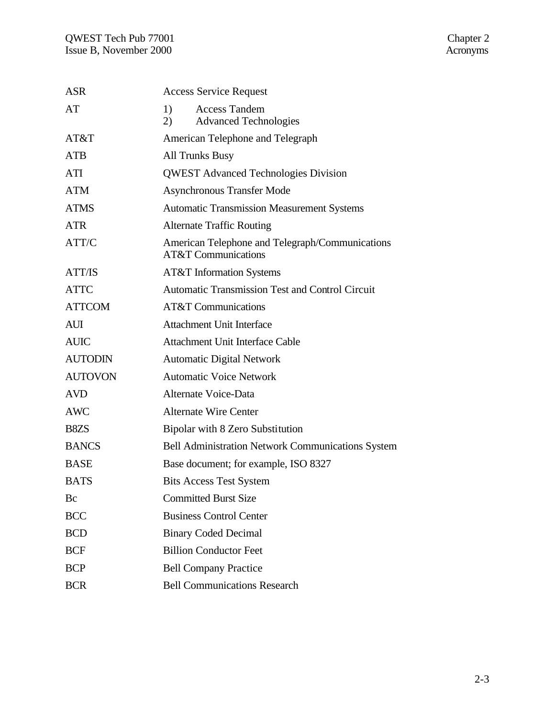| <b>ASR</b>     | <b>Access Service Request</b>                                                     |
|----------------|-----------------------------------------------------------------------------------|
| AT             | <b>Access Tandem</b><br>1)<br><b>Advanced Technologies</b><br>2)                  |
| AT&T           | American Telephone and Telegraph                                                  |
| <b>ATB</b>     | <b>All Trunks Busy</b>                                                            |
| ATI            | <b>QWEST Advanced Technologies Division</b>                                       |
| <b>ATM</b>     | <b>Asynchronous Transfer Mode</b>                                                 |
| <b>ATMS</b>    | <b>Automatic Transmission Measurement Systems</b>                                 |
| <b>ATR</b>     | <b>Alternate Traffic Routing</b>                                                  |
| ATT/C          | American Telephone and Telegraph/Communications<br><b>AT&amp;T Communications</b> |
| <b>ATT/IS</b>  | <b>AT&amp;T</b> Information Systems                                               |
| <b>ATTC</b>    | <b>Automatic Transmission Test and Control Circuit</b>                            |
| <b>ATTCOM</b>  | <b>AT&amp;T</b> Communications                                                    |
| <b>AUI</b>     | <b>Attachment Unit Interface</b>                                                  |
| <b>AUIC</b>    | <b>Attachment Unit Interface Cable</b>                                            |
| <b>AUTODIN</b> | <b>Automatic Digital Network</b>                                                  |
| <b>AUTOVON</b> | <b>Automatic Voice Network</b>                                                    |
| <b>AVD</b>     | Alternate Voice-Data                                                              |
| <b>AWC</b>     | <b>Alternate Wire Center</b>                                                      |
| B8ZS           | Bipolar with 8 Zero Substitution                                                  |
| <b>BANCS</b>   | <b>Bell Administration Network Communications System</b>                          |
| <b>BASE</b>    | Base document; for example, ISO 8327                                              |
| <b>BATS</b>    | <b>Bits Access Test System</b>                                                    |
| Bc             | <b>Committed Burst Size</b>                                                       |
| <b>BCC</b>     | <b>Business Control Center</b>                                                    |
| <b>BCD</b>     | <b>Binary Coded Decimal</b>                                                       |
| <b>BCF</b>     | <b>Billion Conductor Feet</b>                                                     |
| <b>BCP</b>     | <b>Bell Company Practice</b>                                                      |
| <b>BCR</b>     | <b>Bell Communications Research</b>                                               |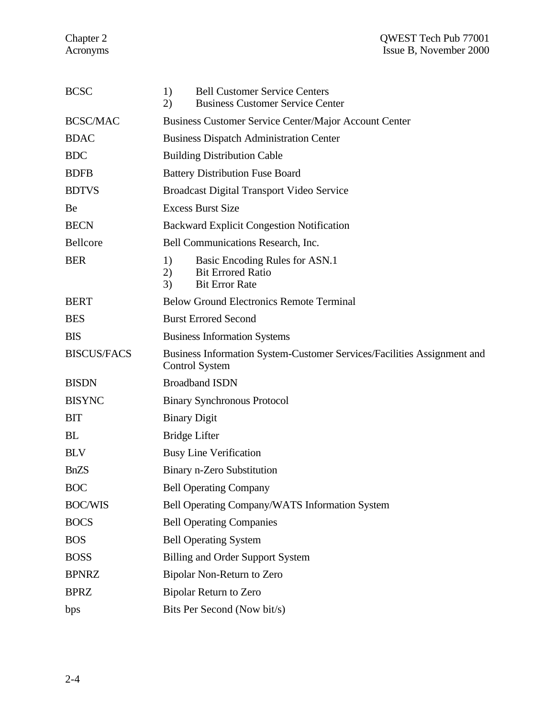| <b>BCSC</b>        | 1)<br><b>Bell Customer Service Centers</b><br><b>Business Customer Service Center</b><br>2)           |
|--------------------|-------------------------------------------------------------------------------------------------------|
| <b>BCSC/MAC</b>    | Business Customer Service Center/Major Account Center                                                 |
| <b>BDAC</b>        | <b>Business Dispatch Administration Center</b>                                                        |
| <b>BDC</b>         | <b>Building Distribution Cable</b>                                                                    |
| <b>BDFB</b>        | <b>Battery Distribution Fuse Board</b>                                                                |
| <b>BDTVS</b>       | <b>Broadcast Digital Transport Video Service</b>                                                      |
| Be                 | <b>Excess Burst Size</b>                                                                              |
| <b>BECN</b>        | <b>Backward Explicit Congestion Notification</b>                                                      |
| Bellcore           | Bell Communications Research, Inc.                                                                    |
| <b>BER</b>         | 1)<br>Basic Encoding Rules for ASN.1<br><b>Bit Errored Ratio</b><br>2)<br><b>Bit Error Rate</b><br>3) |
| <b>BERT</b>        | <b>Below Ground Electronics Remote Terminal</b>                                                       |
| <b>BES</b>         | <b>Burst Errored Second</b>                                                                           |
| <b>BIS</b>         | <b>Business Information Systems</b>                                                                   |
| <b>BISCUS/FACS</b> | Business Information System-Customer Services/Facilities Assignment and<br><b>Control System</b>      |
| <b>BISDN</b>       | <b>Broadband ISDN</b>                                                                                 |
| <b>BISYNC</b>      | <b>Binary Synchronous Protocol</b>                                                                    |
| <b>BIT</b>         | <b>Binary Digit</b>                                                                                   |
| <b>BL</b>          | <b>Bridge Lifter</b>                                                                                  |
| <b>BLV</b>         | <b>Busy Line Verification</b>                                                                         |
| <b>BnZS</b>        | Binary n-Zero Substitution                                                                            |
| <b>BOC</b>         | <b>Bell Operating Company</b>                                                                         |
| <b>BOC/WIS</b>     | Bell Operating Company/WATS Information System                                                        |
| <b>BOCS</b>        | <b>Bell Operating Companies</b>                                                                       |
| <b>BOS</b>         | <b>Bell Operating System</b>                                                                          |
| <b>BOSS</b>        | <b>Billing and Order Support System</b>                                                               |
| <b>BPNRZ</b>       | Bipolar Non-Return to Zero                                                                            |
| <b>BPRZ</b>        | <b>Bipolar Return to Zero</b>                                                                         |
| bps                | Bits Per Second (Now bit/s)                                                                           |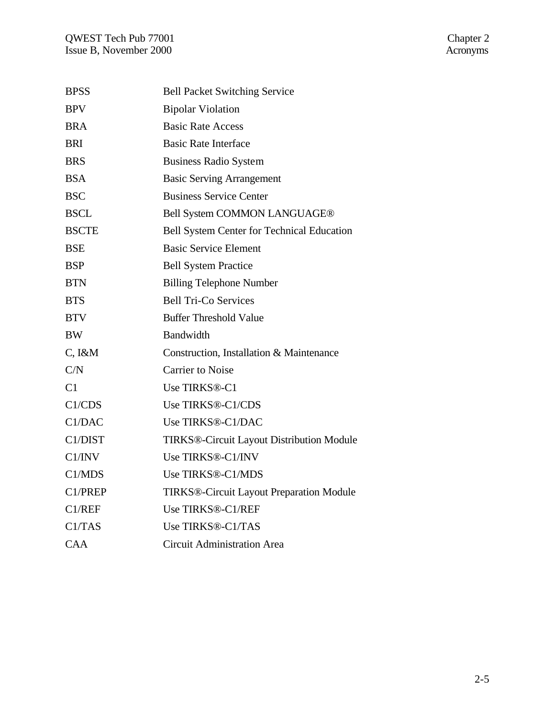| <b>BPSS</b>  | <b>Bell Packet Switching Service</b>             |
|--------------|--------------------------------------------------|
| <b>BPV</b>   | <b>Bipolar Violation</b>                         |
| <b>BRA</b>   | <b>Basic Rate Access</b>                         |
| <b>BRI</b>   | <b>Basic Rate Interface</b>                      |
| <b>BRS</b>   | <b>Business Radio System</b>                     |
| <b>BSA</b>   | <b>Basic Serving Arrangement</b>                 |
| <b>BSC</b>   | <b>Business Service Center</b>                   |
| <b>BSCL</b>  | Bell System COMMON LANGUAGE®                     |
| <b>BSCTE</b> | Bell System Center for Technical Education       |
| <b>BSE</b>   | <b>Basic Service Element</b>                     |
| <b>BSP</b>   | <b>Bell System Practice</b>                      |
| <b>BTN</b>   | <b>Billing Telephone Number</b>                  |
| <b>BTS</b>   | <b>Bell Tri-Co Services</b>                      |
| <b>BTV</b>   | <b>Buffer Threshold Value</b>                    |
| <b>BW</b>    | Bandwidth                                        |
| $C, I\&M$    | Construction, Installation & Maintenance         |
| C/N          | <b>Carrier to Noise</b>                          |
| C1           | Use TIRKS®-C1                                    |
| C1/CDS       | Use TIRKS®-C1/CDS                                |
| C1/DAC       | Use TIRKS®-C1/DAC                                |
| C1/DIST      | <b>TIRKS®-Circuit Layout Distribution Module</b> |
| C1/INV       | Use TIRKS®-C1/INV                                |
| C1/MDS       | Use TIRKS®-C1/MDS                                |
| C1/PREP      | TIRKS®-Circuit Layout Preparation Module         |
| C1/REF       | Use TIRKS®-C1/REF                                |
| C1/TAS       | Use TIRKS®-C1/TAS                                |
| CAA          | <b>Circuit Administration Area</b>               |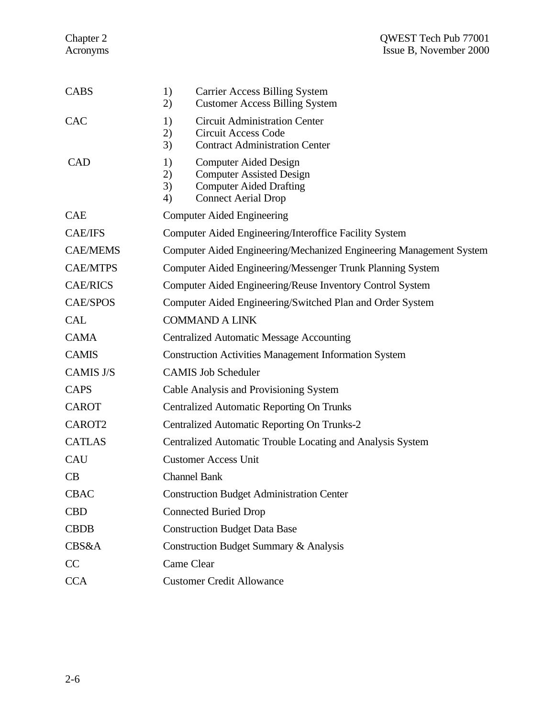| <b>CABS</b>      | 1)<br><b>Carrier Access Billing System</b><br><b>Customer Access Billing System</b><br>2)                                                               |
|------------------|---------------------------------------------------------------------------------------------------------------------------------------------------------|
| <b>CAC</b>       | <b>Circuit Administration Center</b><br>1)<br><b>Circuit Access Code</b><br>2)<br>3)<br><b>Contract Administration Center</b>                           |
| <b>CAD</b>       | <b>Computer Aided Design</b><br>1)<br><b>Computer Assisted Design</b><br>2)<br>3)<br><b>Computer Aided Drafting</b><br><b>Connect Aerial Drop</b><br>4) |
| <b>CAE</b>       | <b>Computer Aided Engineering</b>                                                                                                                       |
| <b>CAE/IFS</b>   | Computer Aided Engineering/Interoffice Facility System                                                                                                  |
| <b>CAE/MEMS</b>  | Computer Aided Engineering/Mechanized Engineering Management System                                                                                     |
| <b>CAE/MTPS</b>  | Computer Aided Engineering/Messenger Trunk Planning System                                                                                              |
| <b>CAE/RICS</b>  | Computer Aided Engineering/Reuse Inventory Control System                                                                                               |
| <b>CAE/SPOS</b>  | Computer Aided Engineering/Switched Plan and Order System                                                                                               |
| <b>CAL</b>       | <b>COMMAND A LINK</b>                                                                                                                                   |
| <b>CAMA</b>      | <b>Centralized Automatic Message Accounting</b>                                                                                                         |
| <b>CAMIS</b>     | <b>Construction Activities Management Information System</b>                                                                                            |
| <b>CAMIS J/S</b> | <b>CAMIS Job Scheduler</b>                                                                                                                              |
| <b>CAPS</b>      | Cable Analysis and Provisioning System                                                                                                                  |
| <b>CAROT</b>     | <b>Centralized Automatic Reporting On Trunks</b>                                                                                                        |
| CAROT2           | Centralized Automatic Reporting On Trunks-2                                                                                                             |
| <b>CATLAS</b>    | Centralized Automatic Trouble Locating and Analysis System                                                                                              |
| <b>CAU</b>       | <b>Customer Access Unit</b>                                                                                                                             |
| CB               | <b>Channel Bank</b>                                                                                                                                     |
| <b>CBAC</b>      | <b>Construction Budget Administration Center</b>                                                                                                        |
| <b>CBD</b>       | <b>Connected Buried Drop</b>                                                                                                                            |
| <b>CBDB</b>      | <b>Construction Budget Data Base</b>                                                                                                                    |
| <b>CBS&amp;A</b> | Construction Budget Summary & Analysis                                                                                                                  |
| CC               | Came Clear                                                                                                                                              |
| <b>CCA</b>       | <b>Customer Credit Allowance</b>                                                                                                                        |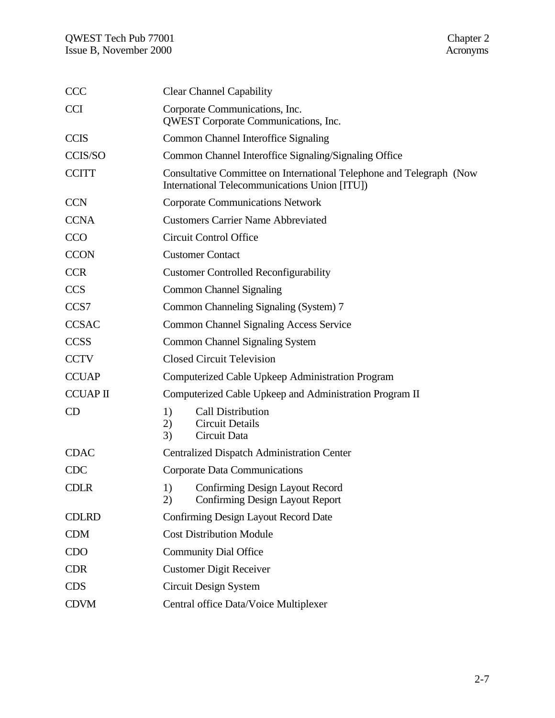| <b>CCC</b>      | <b>Clear Channel Capability</b>                                                                                       |
|-----------------|-----------------------------------------------------------------------------------------------------------------------|
| <b>CCI</b>      | Corporate Communications, Inc.<br>QWEST Corporate Communications, Inc.                                                |
| <b>CCIS</b>     | Common Channel Interoffice Signaling                                                                                  |
| CCIS/SO         | Common Channel Interoffice Signaling/Signaling Office                                                                 |
| <b>CCITT</b>    | Consultative Committee on International Telephone and Telegraph (Now<br>International Telecommunications Union [ITU]) |
| <b>CCN</b>      | <b>Corporate Communications Network</b>                                                                               |
| <b>CCNA</b>     | <b>Customers Carrier Name Abbreviated</b>                                                                             |
| <b>CCO</b>      | <b>Circuit Control Office</b>                                                                                         |
| <b>CCON</b>     | <b>Customer Contact</b>                                                                                               |
| <b>CCR</b>      | <b>Customer Controlled Reconfigurability</b>                                                                          |
| <b>CCS</b>      | <b>Common Channel Signaling</b>                                                                                       |
| CCS7            | Common Channeling Signaling (System) 7                                                                                |
| <b>CCSAC</b>    | <b>Common Channel Signaling Access Service</b>                                                                        |
| <b>CCSS</b>     | <b>Common Channel Signaling System</b>                                                                                |
| <b>CCTV</b>     | <b>Closed Circuit Television</b>                                                                                      |
| <b>CCUAP</b>    | Computerized Cable Upkeep Administration Program                                                                      |
| <b>CCUAP II</b> | Computerized Cable Upkeep and Administration Program II                                                               |
| CD              | <b>Call Distribution</b><br>1)<br><b>Circuit Details</b><br>2)<br>3)<br>Circuit Data                                  |
| <b>CDAC</b>     | <b>Centralized Dispatch Administration Center</b>                                                                     |
| <b>CDC</b>      | Corporate Data Communications                                                                                         |
| <b>CDLR</b>     | Confirming Design Layout Record<br>1)<br><b>Confirming Design Layout Report</b><br>2)                                 |
| <b>CDLRD</b>    | Confirming Design Layout Record Date                                                                                  |
| <b>CDM</b>      | <b>Cost Distribution Module</b>                                                                                       |
| <b>CDO</b>      | <b>Community Dial Office</b>                                                                                          |
| <b>CDR</b>      | <b>Customer Digit Receiver</b>                                                                                        |
| <b>CDS</b>      | Circuit Design System                                                                                                 |
| <b>CDVM</b>     | Central office Data/Voice Multiplexer                                                                                 |
|                 |                                                                                                                       |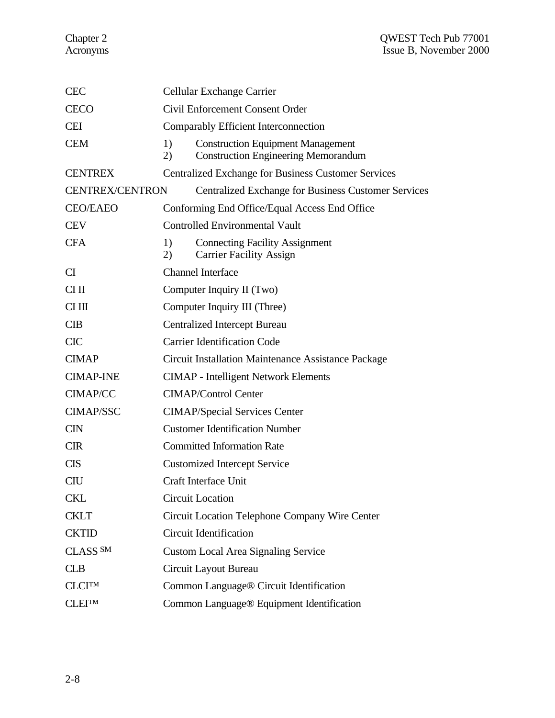| <b>CEC</b>                                 | Cellular Exchange Carrier                           |                                                                                        |  |
|--------------------------------------------|-----------------------------------------------------|----------------------------------------------------------------------------------------|--|
| <b>CECO</b>                                | <b>Civil Enforcement Consent Order</b>              |                                                                                        |  |
| <b>CEI</b>                                 | Comparably Efficient Interconnection                |                                                                                        |  |
| <b>CEM</b>                                 | 1)<br>2)                                            | <b>Construction Equipment Management</b><br><b>Construction Engineering Memorandum</b> |  |
| <b>CENTREX</b>                             |                                                     | <b>Centralized Exchange for Business Customer Services</b>                             |  |
| <b>CENTREX/CENTRON</b>                     |                                                     | <b>Centralized Exchange for Business Customer Services</b>                             |  |
| <b>CEO/EAEO</b>                            |                                                     | Conforming End Office/Equal Access End Office                                          |  |
| <b>CEV</b>                                 | <b>Controlled Environmental Vault</b>               |                                                                                        |  |
| <b>CFA</b>                                 | 1)<br>2)                                            | <b>Connecting Facility Assignment</b><br><b>Carrier Facility Assign</b>                |  |
| <b>CI</b>                                  | <b>Channel Interface</b>                            |                                                                                        |  |
| $CI$ II                                    | Computer Inquiry II (Two)                           |                                                                                        |  |
| CI III                                     | Computer Inquiry III (Three)                        |                                                                                        |  |
| CIB                                        |                                                     | <b>Centralized Intercept Bureau</b>                                                    |  |
| <b>CIC</b>                                 | <b>Carrier Identification Code</b>                  |                                                                                        |  |
| <b>CIMAP</b>                               | Circuit Installation Maintenance Assistance Package |                                                                                        |  |
| <b>CIMAP-INE</b>                           |                                                     | <b>CIMAP</b> - Intelligent Network Elements                                            |  |
| <b>CIMAP/CC</b>                            |                                                     | <b>CIMAP/Control Center</b>                                                            |  |
| <b>CIMAP/SSC</b>                           | <b>CIMAP/Special Services Center</b>                |                                                                                        |  |
| <b>CIN</b>                                 |                                                     | <b>Customer Identification Number</b>                                                  |  |
| <b>CIR</b>                                 |                                                     | <b>Committed Information Rate</b>                                                      |  |
| <b>CIS</b>                                 |                                                     | <b>Customized Intercept Service</b>                                                    |  |
| <b>CIU</b>                                 |                                                     | <b>Craft Interface Unit</b>                                                            |  |
| <b>CKL</b>                                 | <b>Circuit Location</b>                             |                                                                                        |  |
| <b>CKLT</b>                                |                                                     | Circuit Location Telephone Company Wire Center                                         |  |
| <b>CKTID</b>                               |                                                     | <b>Circuit Identification</b>                                                          |  |
| CLASS <sup>SM</sup>                        |                                                     | <b>Custom Local Area Signaling Service</b>                                             |  |
| <b>CLB</b>                                 | Circuit Layout Bureau                               |                                                                                        |  |
| <b>CLCITM</b>                              |                                                     | Common Language <sup>®</sup> Circuit Identification                                    |  |
| ${\rm CLEI^{\scriptscriptstyle\text{TM}}}$ |                                                     | Common Language® Equipment Identification                                              |  |
|                                            |                                                     |                                                                                        |  |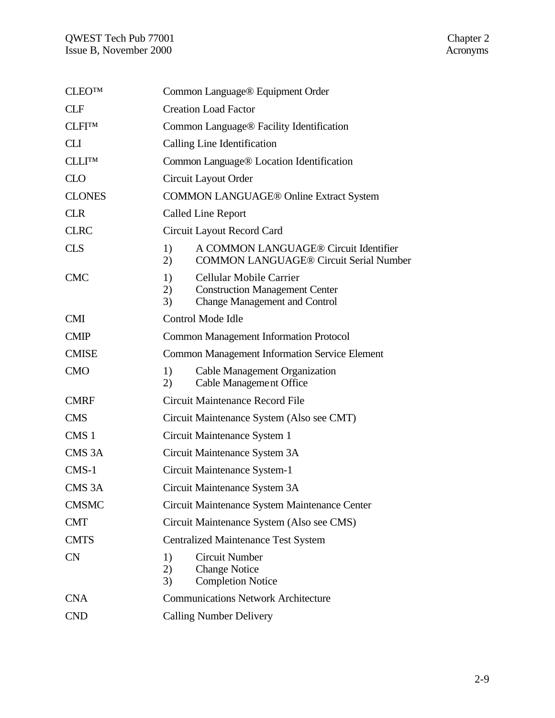| <b>CLEOTM</b>      | Common Language® Equipment Order                     |                                                                                                          |  |
|--------------------|------------------------------------------------------|----------------------------------------------------------------------------------------------------------|--|
| <b>CLF</b>         | <b>Creation Load Factor</b>                          |                                                                                                          |  |
| <b>CLFITM</b>      | Common Language <sup>®</sup> Facility Identification |                                                                                                          |  |
| <b>CLI</b>         | Calling Line Identification                          |                                                                                                          |  |
| <b>CLLITM</b>      |                                                      | Common Language <sup>®</sup> Location Identification                                                     |  |
| CLO                |                                                      | Circuit Layout Order                                                                                     |  |
| <b>CLONES</b>      |                                                      | <b>COMMON LANGUAGE® Online Extract System</b>                                                            |  |
| <b>CLR</b>         |                                                      | <b>Called Line Report</b>                                                                                |  |
| <b>CLRC</b>        |                                                      | Circuit Layout Record Card                                                                               |  |
| <b>CLS</b>         | 1)<br>2)                                             | A COMMON LANGUAGE® Circuit Identifier<br><b>COMMON LANGUAGE® Circuit Serial Number</b>                   |  |
| <b>CMC</b>         | 1)<br>2)<br>3)                                       | Cellular Mobile Carrier<br><b>Construction Management Center</b><br><b>Change Management and Control</b> |  |
| <b>CMI</b>         |                                                      | Control Mode Idle                                                                                        |  |
| <b>CMIP</b>        |                                                      | <b>Common Management Information Protocol</b>                                                            |  |
| <b>CMISE</b>       |                                                      | <b>Common Management Information Service Element</b>                                                     |  |
| <b>CMO</b>         | 1)<br>2)                                             | Cable Management Organization<br><b>Cable Management Office</b>                                          |  |
| <b>CMRF</b>        |                                                      | Circuit Maintenance Record File                                                                          |  |
| <b>CMS</b>         |                                                      | Circuit Maintenance System (Also see CMT)                                                                |  |
| CMS <sub>1</sub>   |                                                      | Circuit Maintenance System 1                                                                             |  |
| CMS <sub>3</sub> A |                                                      | Circuit Maintenance System 3A                                                                            |  |
| $CMS-1$            |                                                      | Circuit Maintenance System-1                                                                             |  |
| CMS <sub>3</sub> A |                                                      | Circuit Maintenance System 3A                                                                            |  |
| <b>CMSMC</b>       |                                                      | Circuit Maintenance System Maintenance Center                                                            |  |
| <b>CMT</b>         |                                                      | Circuit Maintenance System (Also see CMS)                                                                |  |
| <b>CMTS</b>        |                                                      | <b>Centralized Maintenance Test System</b>                                                               |  |
| <b>CN</b>          | 1)<br>2)<br>3)                                       | <b>Circuit Number</b><br><b>Change Notice</b><br><b>Completion Notice</b>                                |  |
| <b>CNA</b>         | <b>Communications Network Architecture</b>           |                                                                                                          |  |
| <b>CND</b>         |                                                      | <b>Calling Number Delivery</b>                                                                           |  |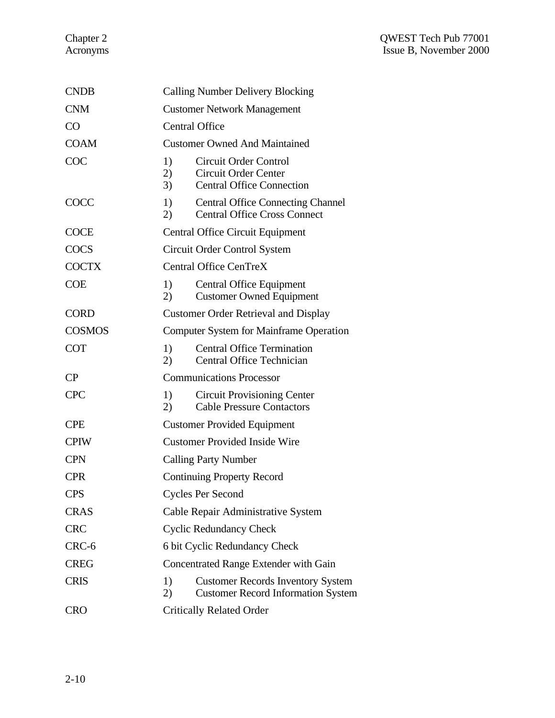| <b>CNDB</b>   | <b>Calling Number Delivery Blocking</b>                                                             |  |  |
|---------------|-----------------------------------------------------------------------------------------------------|--|--|
| <b>CNM</b>    | <b>Customer Network Management</b>                                                                  |  |  |
| CO            | <b>Central Office</b>                                                                               |  |  |
| <b>COAM</b>   | <b>Customer Owned And Maintained</b>                                                                |  |  |
| COC           | 1)<br>Circuit Order Control<br>Circuit Order Center<br>2)<br>3)<br><b>Central Office Connection</b> |  |  |
| COCC          | 1)<br><b>Central Office Connecting Channel</b><br><b>Central Office Cross Connect</b><br>2)         |  |  |
| <b>COCE</b>   | Central Office Circuit Equipment                                                                    |  |  |
| <b>COCS</b>   | Circuit Order Control System                                                                        |  |  |
| <b>COCTX</b>  | <b>Central Office CenTreX</b>                                                                       |  |  |
| <b>COE</b>    | 1)<br>Central Office Equipment<br><b>Customer Owned Equipment</b><br>2)                             |  |  |
| <b>CORD</b>   | <b>Customer Order Retrieval and Display</b>                                                         |  |  |
| <b>COSMOS</b> | <b>Computer System for Mainframe Operation</b>                                                      |  |  |
| <b>COT</b>    | <b>Central Office Termination</b><br>1)<br><b>Central Office Technician</b><br>2)                   |  |  |
| CP            | <b>Communications Processor</b>                                                                     |  |  |
| <b>CPC</b>    | 1)<br><b>Circuit Provisioning Center</b><br><b>Cable Pressure Contactors</b><br>2)                  |  |  |
| <b>CPE</b>    | <b>Customer Provided Equipment</b>                                                                  |  |  |
| <b>CPIW</b>   | <b>Customer Provided Inside Wire</b>                                                                |  |  |
| <b>CPN</b>    | <b>Calling Party Number</b>                                                                         |  |  |
| <b>CPR</b>    | <b>Continuing Property Record</b>                                                                   |  |  |
| <b>CPS</b>    | Cycles Per Second                                                                                   |  |  |
| <b>CRAS</b>   | Cable Repair Administrative System                                                                  |  |  |
| <b>CRC</b>    | <b>Cyclic Redundancy Check</b>                                                                      |  |  |
| CRC-6         | 6 bit Cyclic Redundancy Check                                                                       |  |  |
| <b>CREG</b>   | Concentrated Range Extender with Gain                                                               |  |  |
| <b>CRIS</b>   | 1)<br><b>Customer Records Inventory System</b><br>2)<br><b>Customer Record Information System</b>   |  |  |
| <b>CRO</b>    | <b>Critically Related Order</b>                                                                     |  |  |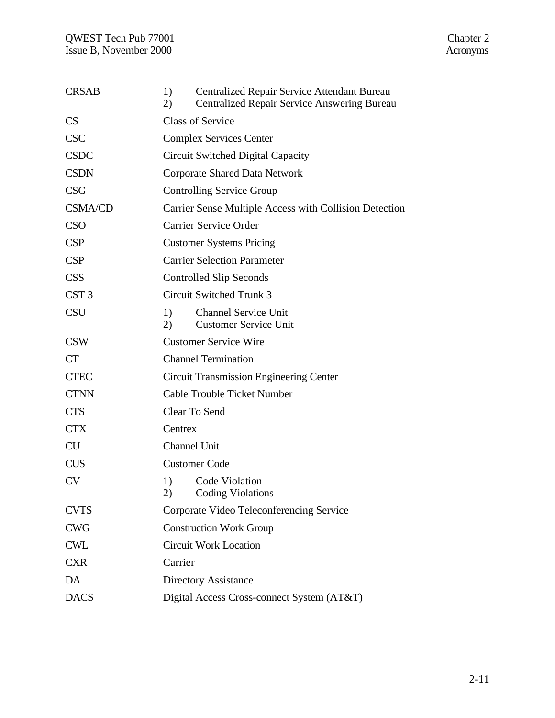| <b>CRSAB</b>     | 1)<br>2)                       | Centralized Repair Service Attendant Bureau<br><b>Centralized Repair Service Answering Bureau</b> |  |
|------------------|--------------------------------|---------------------------------------------------------------------------------------------------|--|
| CS               |                                | <b>Class of Service</b>                                                                           |  |
| <b>CSC</b>       | <b>Complex Services Center</b> |                                                                                                   |  |
| <b>CSDC</b>      |                                | Circuit Switched Digital Capacity                                                                 |  |
| <b>CSDN</b>      |                                | Corporate Shared Data Network                                                                     |  |
| <b>CSG</b>       |                                | <b>Controlling Service Group</b>                                                                  |  |
| <b>CSMA/CD</b>   |                                | Carrier Sense Multiple Access with Collision Detection                                            |  |
| <b>CSO</b>       |                                | <b>Carrier Service Order</b>                                                                      |  |
| CSP              |                                | <b>Customer Systems Pricing</b>                                                                   |  |
| <b>CSP</b>       |                                | <b>Carrier Selection Parameter</b>                                                                |  |
| <b>CSS</b>       |                                | <b>Controlled Slip Seconds</b>                                                                    |  |
| CST <sub>3</sub> |                                | Circuit Switched Trunk 3                                                                          |  |
| <b>CSU</b>       | 1)<br>2)                       | <b>Channel Service Unit</b><br><b>Customer Service Unit</b>                                       |  |
| <b>CSW</b>       |                                | <b>Customer Service Wire</b>                                                                      |  |
| <b>CT</b>        |                                | <b>Channel Termination</b>                                                                        |  |
| <b>CTEC</b>      |                                | <b>Circuit Transmission Engineering Center</b>                                                    |  |
| <b>CTNN</b>      |                                | <b>Cable Trouble Ticket Number</b>                                                                |  |
| <b>CTS</b>       |                                | Clear To Send                                                                                     |  |
| <b>CTX</b>       | Centrex                        |                                                                                                   |  |
| <b>CU</b>        | <b>Channel Unit</b>            |                                                                                                   |  |
| <b>CUS</b>       |                                | <b>Customer Code</b>                                                                              |  |
| CV               | 1)<br>2)                       | Code Violation<br><b>Coding Violations</b>                                                        |  |
| <b>CVTS</b>      |                                | Corporate Video Teleconferencing Service                                                          |  |
| <b>CWG</b>       |                                | <b>Construction Work Group</b>                                                                    |  |
| <b>CWL</b>       |                                | <b>Circuit Work Location</b>                                                                      |  |
| <b>CXR</b>       | Carrier                        |                                                                                                   |  |
| DA               |                                | <b>Directory Assistance</b>                                                                       |  |
| <b>DACS</b>      |                                | Digital Access Cross-connect System (AT&T)                                                        |  |
|                  |                                |                                                                                                   |  |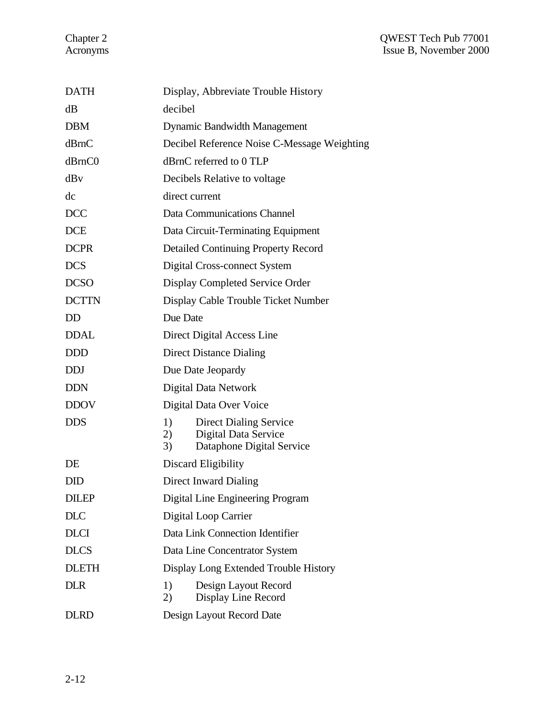| <b>DATH</b>  | Display, Abbreviate Trouble History                           |  |  |
|--------------|---------------------------------------------------------------|--|--|
| dB           | decibel                                                       |  |  |
| <b>DBM</b>   | <b>Dynamic Bandwidth Management</b>                           |  |  |
| dBrnC        | Decibel Reference Noise C-Message Weighting                   |  |  |
| dBrnC0       | dBrnC referred to 0 TLP                                       |  |  |
| dBv          | Decibels Relative to voltage                                  |  |  |
| dc           | direct current                                                |  |  |
| <b>DCC</b>   | Data Communications Channel                                   |  |  |
| <b>DCE</b>   | Data Circuit-Terminating Equipment                            |  |  |
| <b>DCPR</b>  | <b>Detailed Continuing Property Record</b>                    |  |  |
| <b>DCS</b>   | Digital Cross-connect System                                  |  |  |
| <b>DCSO</b>  | Display Completed Service Order                               |  |  |
| <b>DCTTN</b> | Display Cable Trouble Ticket Number                           |  |  |
| <b>DD</b>    | Due Date                                                      |  |  |
| <b>DDAL</b>  | Direct Digital Access Line                                    |  |  |
| <b>DDD</b>   | <b>Direct Distance Dialing</b>                                |  |  |
| <b>DDJ</b>   | Due Date Jeopardy                                             |  |  |
| <b>DDN</b>   | Digital Data Network                                          |  |  |
| <b>DDOV</b>  | Digital Data Over Voice                                       |  |  |
| <b>DDS</b>   | 1)<br><b>Direct Dialing Service</b>                           |  |  |
|              | Digital Data Service<br>2)<br>Dataphone Digital Service<br>3) |  |  |
| DE           | Discard Eligibility                                           |  |  |
| <b>DID</b>   | <b>Direct Inward Dialing</b>                                  |  |  |
| <b>DILEP</b> | Digital Line Engineering Program                              |  |  |
| <b>DLC</b>   | Digital Loop Carrier                                          |  |  |
| <b>DLCI</b>  | Data Link Connection Identifier                               |  |  |
| <b>DLCS</b>  | Data Line Concentrator System                                 |  |  |
| <b>DLETH</b> | Display Long Extended Trouble History                         |  |  |
| <b>DLR</b>   | 1)<br>Design Layout Record<br>Display Line Record<br>2)       |  |  |
| <b>DLRD</b>  | Design Layout Record Date                                     |  |  |
|              |                                                               |  |  |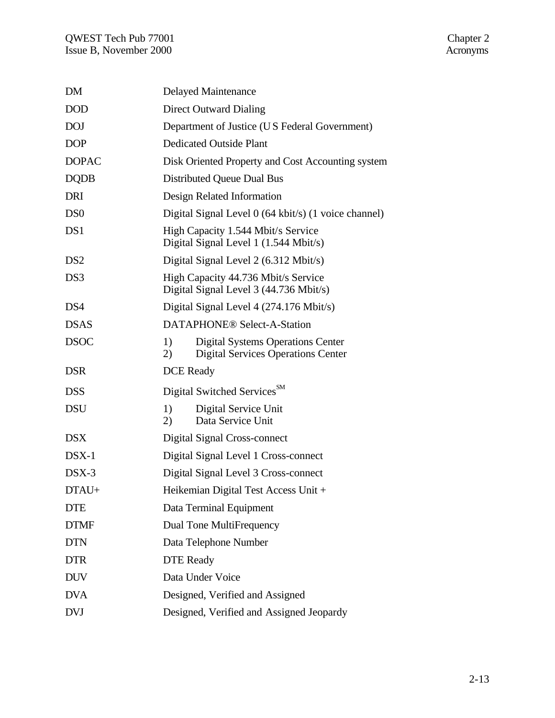| <b>DM</b>       | Delayed Maintenance                                                                               |  |  |
|-----------------|---------------------------------------------------------------------------------------------------|--|--|
| <b>DOD</b>      | Direct Outward Dialing                                                                            |  |  |
| <b>DOJ</b>      | Department of Justice (US Federal Government)                                                     |  |  |
| <b>DOP</b>      | <b>Dedicated Outside Plant</b>                                                                    |  |  |
| <b>DOPAC</b>    | Disk Oriented Property and Cost Accounting system                                                 |  |  |
| <b>DQDB</b>     | Distributed Queue Dual Bus                                                                        |  |  |
| <b>DRI</b>      | Design Related Information                                                                        |  |  |
| D <sub>S0</sub> | Digital Signal Level 0 (64 kbit/s) (1 voice channel)                                              |  |  |
| DS1             | High Capacity 1.544 Mbit/s Service<br>Digital Signal Level 1 (1.544 Mbit/s)                       |  |  |
| DS <sub>2</sub> | Digital Signal Level 2 (6.312 Mbit/s)                                                             |  |  |
| DS3             | High Capacity 44.736 Mbit/s Service<br>Digital Signal Level 3 (44.736 Mbit/s)                     |  |  |
| DS <sub>4</sub> | Digital Signal Level 4 (274.176 Mbit/s)                                                           |  |  |
| <b>DSAS</b>     | <b>DATAPHONE®</b> Select-A-Station                                                                |  |  |
| <b>DSOC</b>     | 1)<br><b>Digital Systems Operations Center</b><br><b>Digital Services Operations Center</b><br>2) |  |  |
| <b>DSR</b>      | <b>DCE</b> Ready                                                                                  |  |  |
| <b>DSS</b>      | Digital Switched Services <sup>SM</sup>                                                           |  |  |
| <b>DSU</b>      | Digital Service Unit<br>1)<br>Data Service Unit<br>2)                                             |  |  |
| <b>DSX</b>      | Digital Signal Cross-connect                                                                      |  |  |
| $DSX-1$         | Digital Signal Level 1 Cross-connect                                                              |  |  |
| $DSX-3$         | Digital Signal Level 3 Cross-connect                                                              |  |  |
| DTAU+           | Heikemian Digital Test Access Unit +                                                              |  |  |
| <b>DTE</b>      | Data Terminal Equipment                                                                           |  |  |
| <b>DTMF</b>     | Dual Tone MultiFrequency                                                                          |  |  |
| <b>DTN</b>      | Data Telephone Number                                                                             |  |  |
| <b>DTR</b>      | <b>DTE Ready</b>                                                                                  |  |  |
| <b>DUV</b>      | Data Under Voice                                                                                  |  |  |
| <b>DVA</b>      | Designed, Verified and Assigned                                                                   |  |  |
| <b>DVJ</b>      | Designed, Verified and Assigned Jeopardy                                                          |  |  |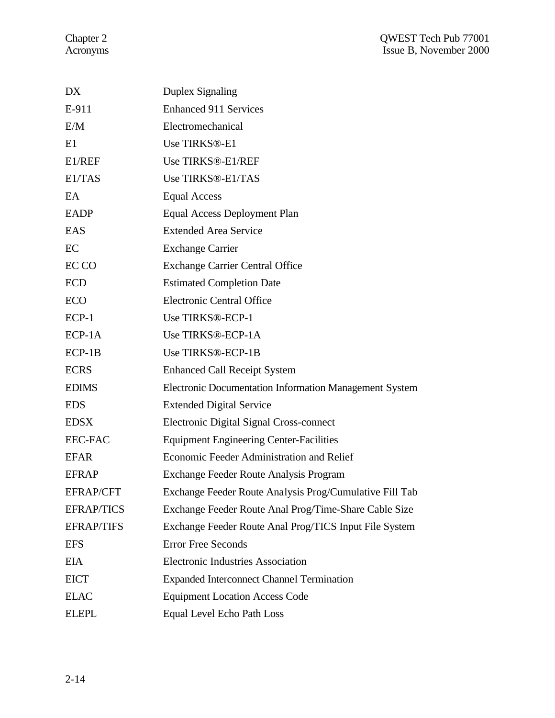| DX                | <b>Duplex Signaling</b>                                 |
|-------------------|---------------------------------------------------------|
| E-911             | <b>Enhanced 911 Services</b>                            |
| E/M               | Electromechanical                                       |
| E1                | Use TIRKS®-E1                                           |
| E1/REF            | Use TIRKS®-E1/REF                                       |
| E1/TAS            | Use TIRKS®-E1/TAS                                       |
| EA                | <b>Equal Access</b>                                     |
| <b>EADP</b>       | Equal Access Deployment Plan                            |
| EAS               | <b>Extended Area Service</b>                            |
| EC                | <b>Exchange Carrier</b>                                 |
| EC CO             | <b>Exchange Carrier Central Office</b>                  |
| <b>ECD</b>        | <b>Estimated Completion Date</b>                        |
| ECO               | <b>Electronic Central Office</b>                        |
| $ECP-1$           | Use TIRKS®-ECP-1                                        |
| $ECP-1A$          | Use TIRKS®-ECP-1A                                       |
| $ECP-1B$          | Use TIRKS®-ECP-1B                                       |
| <b>ECRS</b>       | <b>Enhanced Call Receipt System</b>                     |
| <b>EDIMS</b>      | Electronic Documentation Information Management System  |
| <b>EDS</b>        | <b>Extended Digital Service</b>                         |
| <b>EDSX</b>       | Electronic Digital Signal Cross-connect                 |
| <b>EEC-FAC</b>    | <b>Equipment Engineering Center-Facilities</b>          |
| <b>EFAR</b>       | Economic Feeder Administration and Relief               |
| <b>EFRAP</b>      | Exchange Feeder Route Analysis Program                  |
| <b>EFRAP/CFT</b>  | Exchange Feeder Route Analysis Prog/Cumulative Fill Tab |
| <b>EFRAP/TICS</b> | Exchange Feeder Route Anal Prog/Time-Share Cable Size   |
| <b>EFRAP/TIFS</b> | Exchange Feeder Route Anal Prog/TICS Input File System  |
| <b>EFS</b>        | <b>Error Free Seconds</b>                               |
| <b>EIA</b>        | <b>Electronic Industries Association</b>                |
| <b>EICT</b>       | <b>Expanded Interconnect Channel Termination</b>        |
| <b>ELAC</b>       | <b>Equipment Location Access Code</b>                   |
| <b>ELEPL</b>      | <b>Equal Level Echo Path Loss</b>                       |
|                   |                                                         |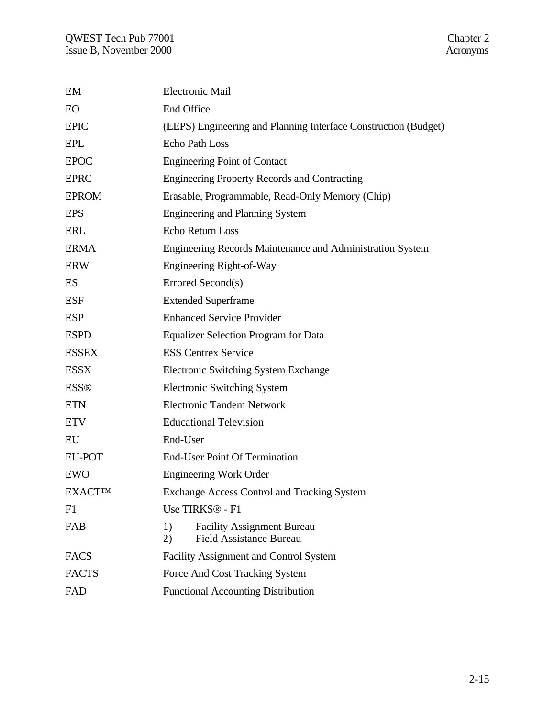| EM             | <b>Electronic Mail</b>                                                          |  |  |
|----------------|---------------------------------------------------------------------------------|--|--|
| EO             | End Office                                                                      |  |  |
| <b>EPIC</b>    | (EEPS) Engineering and Planning Interface Construction (Budget)                 |  |  |
| <b>EPL</b>     | <b>Echo Path Loss</b>                                                           |  |  |
| <b>EPOC</b>    | <b>Engineering Point of Contact</b>                                             |  |  |
| <b>EPRC</b>    | <b>Engineering Property Records and Contracting</b>                             |  |  |
| <b>EPROM</b>   | Erasable, Programmable, Read-Only Memory (Chip)                                 |  |  |
| <b>EPS</b>     | <b>Engineering and Planning System</b>                                          |  |  |
| ERL            | Echo Return Loss                                                                |  |  |
| <b>ERMA</b>    | Engineering Records Maintenance and Administration System                       |  |  |
| <b>ERW</b>     | Engineering Right-of-Way                                                        |  |  |
| ES             | Errored Second(s)                                                               |  |  |
| <b>ESF</b>     | <b>Extended Superframe</b>                                                      |  |  |
| <b>ESP</b>     | <b>Enhanced Service Provider</b>                                                |  |  |
| <b>ESPD</b>    | <b>Equalizer Selection Program for Data</b>                                     |  |  |
| <b>ESSEX</b>   | <b>ESS Centrex Service</b>                                                      |  |  |
| <b>ESSX</b>    | Electronic Switching System Exchange                                            |  |  |
| <b>ESS®</b>    | <b>Electronic Switching System</b>                                              |  |  |
| <b>ETN</b>     | <b>Electronic Tandem Network</b>                                                |  |  |
| <b>ETV</b>     | <b>Educational Television</b>                                                   |  |  |
| EU             | End-User                                                                        |  |  |
| EU-POT         | <b>End-User Point Of Termination</b>                                            |  |  |
| <b>EWO</b>     | <b>Engineering Work Order</b>                                                   |  |  |
| <b>EXACTTM</b> | <b>Exchange Access Control and Tracking System</b>                              |  |  |
| F1             | Use TIRKS <sup>®</sup> - F1                                                     |  |  |
| FAB            | 1)<br><b>Facility Assignment Bureau</b><br><b>Field Assistance Bureau</b><br>2) |  |  |
| <b>FACS</b>    | <b>Facility Assignment and Control System</b>                                   |  |  |
| <b>FACTS</b>   | Force And Cost Tracking System                                                  |  |  |
| FAD            | <b>Functional Accounting Distribution</b>                                       |  |  |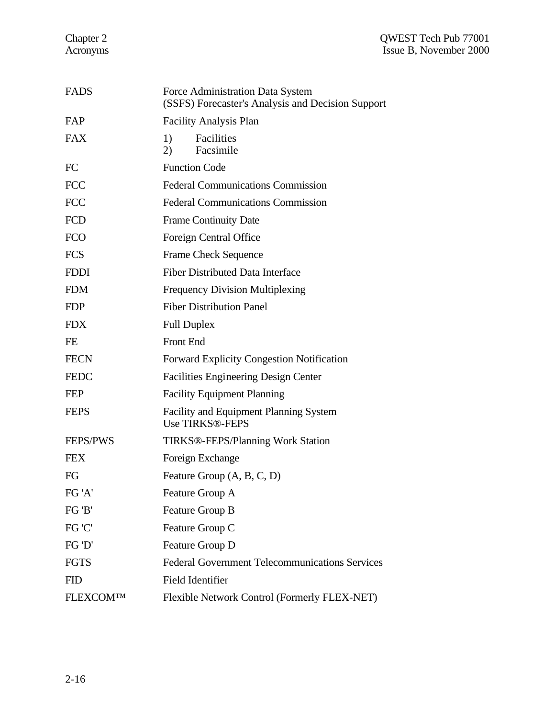| <b>FADS</b>      | Force Administration Data System<br>(SSFS) Forecaster's Analysis and Decision Support |
|------------------|---------------------------------------------------------------------------------------|
| FAP              | <b>Facility Analysis Plan</b>                                                         |
| <b>FAX</b>       | 1)<br>Facilities<br>Facsimile<br>2)                                                   |
| FC               | <b>Function Code</b>                                                                  |
| <b>FCC</b>       | <b>Federal Communications Commission</b>                                              |
| <b>FCC</b>       | <b>Federal Communications Commission</b>                                              |
| <b>FCD</b>       | <b>Frame Continuity Date</b>                                                          |
| <b>FCO</b>       | Foreign Central Office                                                                |
| <b>FCS</b>       | <b>Frame Check Sequence</b>                                                           |
| <b>FDDI</b>      | <b>Fiber Distributed Data Interface</b>                                               |
| <b>FDM</b>       | <b>Frequency Division Multiplexing</b>                                                |
| <b>FDP</b>       | <b>Fiber Distribution Panel</b>                                                       |
| <b>FDX</b>       | <b>Full Duplex</b>                                                                    |
| <b>FE</b>        | Front End                                                                             |
| <b>FECN</b>      | <b>Forward Explicity Congestion Notification</b>                                      |
| <b>FEDC</b>      | <b>Facilities Engineering Design Center</b>                                           |
| <b>FEP</b>       | <b>Facility Equipment Planning</b>                                                    |
| <b>FEPS</b>      | <b>Facility and Equipment Planning System</b><br><b>Use TIRKS®-FEPS</b>               |
| <b>FEPS/PWS</b>  | <b>TIRKS®-FEPS/Planning Work Station</b>                                              |
| <b>FEX</b>       | Foreign Exchange                                                                      |
| FG               | Feature Group (A, B, C, D)                                                            |
| FG 'A'           | Feature Group A                                                                       |
| FG 'B'           | Feature Group B                                                                       |
| FG 'C'           | Feature Group C                                                                       |
| FG 'D'           | Feature Group D                                                                       |
| <b>FGTS</b>      | <b>Federal Government Telecommunications Services</b>                                 |
| <b>FID</b>       | <b>Field Identifier</b>                                                               |
| <b>FLEXCOMTM</b> | Flexible Network Control (Formerly FLEX-NET)                                          |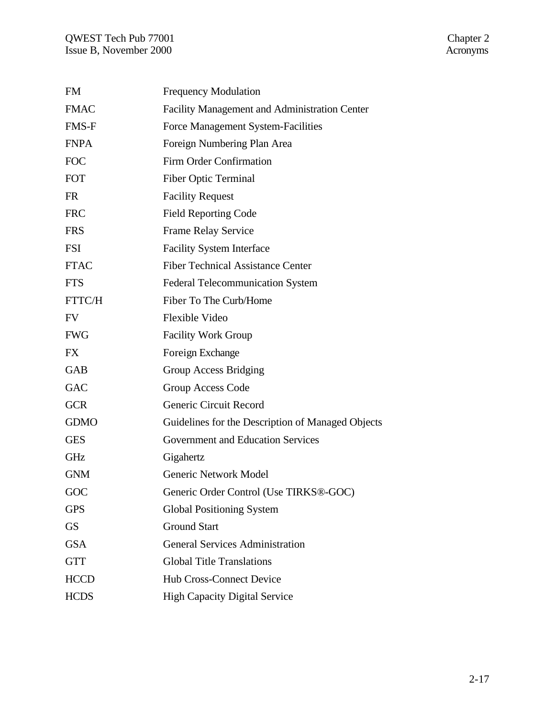## QWEST Tech Pub 77001 Chapter 2 Issue B, November 2000 Acronyms

| <b>FM</b>   | <b>Frequency Modulation</b>                          |
|-------------|------------------------------------------------------|
| <b>FMAC</b> | <b>Facility Management and Administration Center</b> |
| FMS-F       | Force Management System-Facilities                   |
| <b>FNPA</b> | Foreign Numbering Plan Area                          |
| <b>FOC</b>  | Firm Order Confirmation                              |
| <b>FOT</b>  | <b>Fiber Optic Terminal</b>                          |
| <b>FR</b>   | <b>Facility Request</b>                              |
| <b>FRC</b>  | <b>Field Reporting Code</b>                          |
| <b>FRS</b>  | Frame Relay Service                                  |
| <b>FSI</b>  | <b>Facility System Interface</b>                     |
| <b>FTAC</b> | <b>Fiber Technical Assistance Center</b>             |
| <b>FTS</b>  | <b>Federal Telecommunication System</b>              |
| FTTC/H      | Fiber To The Curb/Home                               |
| <b>FV</b>   | Flexible Video                                       |
| <b>FWG</b>  | <b>Facility Work Group</b>                           |
| <b>FX</b>   | Foreign Exchange                                     |
| <b>GAB</b>  | Group Access Bridging                                |
| <b>GAC</b>  | Group Access Code                                    |
| <b>GCR</b>  | Generic Circuit Record                               |
| <b>GDMO</b> | Guidelines for the Description of Managed Objects    |
| <b>GES</b>  | <b>Government and Education Services</b>             |
| GHz         | Gigahertz                                            |
| <b>GNM</b>  | <b>Generic Network Model</b>                         |
| GOC         | Generic Order Control (Use TIRKS®-GOC)               |
| <b>GPS</b>  | <b>Global Positioning System</b>                     |
| <b>GS</b>   | <b>Ground Start</b>                                  |
| <b>GSA</b>  | <b>General Services Administration</b>               |
| <b>GTT</b>  | <b>Global Title Translations</b>                     |
| <b>HCCD</b> | <b>Hub Cross-Connect Device</b>                      |
| <b>HCDS</b> | <b>High Capacity Digital Service</b>                 |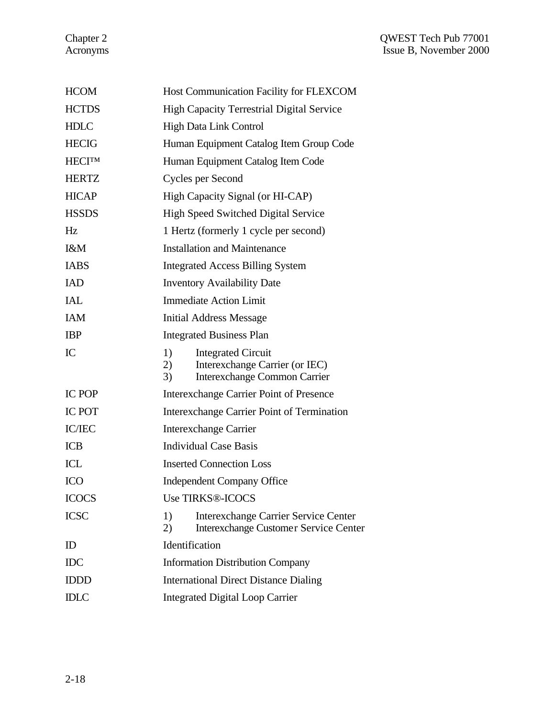| <b>HCOM</b>   | Host Communication Facility for FLEXCOM                                                                              |  |  |
|---------------|----------------------------------------------------------------------------------------------------------------------|--|--|
| <b>HCTDS</b>  | <b>High Capacity Terrestrial Digital Service</b>                                                                     |  |  |
| <b>HDLC</b>   | <b>High Data Link Control</b>                                                                                        |  |  |
| <b>HECIG</b>  | Human Equipment Catalog Item Group Code                                                                              |  |  |
| <b>HECITM</b> | Human Equipment Catalog Item Code                                                                                    |  |  |
| <b>HERTZ</b>  | Cycles per Second                                                                                                    |  |  |
| <b>HICAP</b>  | High Capacity Signal (or HI-CAP)                                                                                     |  |  |
| <b>HSSDS</b>  | High Speed Switched Digital Service                                                                                  |  |  |
| Hz            | 1 Hertz (formerly 1 cycle per second)                                                                                |  |  |
| I&M           | <b>Installation and Maintenance</b>                                                                                  |  |  |
| <b>IABS</b>   | <b>Integrated Access Billing System</b>                                                                              |  |  |
| <b>IAD</b>    | <b>Inventory Availability Date</b>                                                                                   |  |  |
| <b>IAL</b>    | <b>Immediate Action Limit</b>                                                                                        |  |  |
| <b>IAM</b>    | <b>Initial Address Message</b>                                                                                       |  |  |
| <b>IBP</b>    | <b>Integrated Business Plan</b>                                                                                      |  |  |
| IC            | 1)<br><b>Integrated Circuit</b><br>Interexchange Carrier (or IEC)<br>2)<br><b>Interexchange Common Carrier</b><br>3) |  |  |
|               |                                                                                                                      |  |  |
| <b>IC POP</b> | Interexchange Carrier Point of Presence                                                                              |  |  |
| <b>IC POT</b> | Interexchange Carrier Point of Termination                                                                           |  |  |
| IC/IEC        | <b>Interexchange Carrier</b>                                                                                         |  |  |
| <b>ICB</b>    | <b>Individual Case Basis</b>                                                                                         |  |  |
| ICL           | <b>Inserted Connection Loss</b>                                                                                      |  |  |
| <b>ICO</b>    | <b>Independent Company Office</b>                                                                                    |  |  |
| <b>ICOCS</b>  | <b>Use TIRKS®-ICOCS</b>                                                                                              |  |  |
| <b>ICSC</b>   | 1)<br><b>Interexchange Carrier Service Center</b><br>2)<br><b>Interexchange Customer Service Center</b>              |  |  |
| ID            | Identification                                                                                                       |  |  |
| <b>IDC</b>    | <b>Information Distribution Company</b>                                                                              |  |  |
| <b>IDDD</b>   | <b>International Direct Distance Dialing</b>                                                                         |  |  |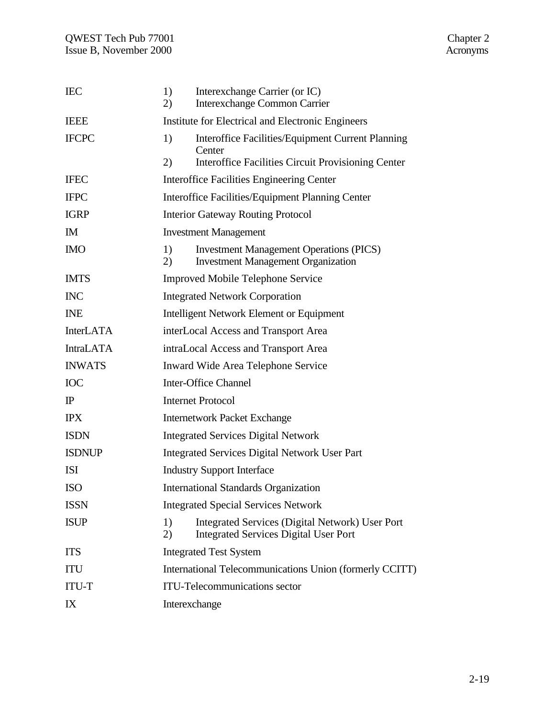| <b>IEC</b>       | 1)<br>2)                                                | Interexchange Carrier (or IC)<br><b>Interexchange Common Carrier</b>                                                     |  |
|------------------|---------------------------------------------------------|--------------------------------------------------------------------------------------------------------------------------|--|
| <b>IEEE</b>      | Institute for Electrical and Electronic Engineers       |                                                                                                                          |  |
| <b>IFCPC</b>     | 1)<br>(2)                                               | Interoffice Facilities/Equipment Current Planning<br>Center<br><b>Interoffice Facilities Circuit Provisioning Center</b> |  |
| <b>IFEC</b>      |                                                         | Interoffice Facilities Engineering Center                                                                                |  |
| <b>IFPC</b>      | Interoffice Facilities/Equipment Planning Center        |                                                                                                                          |  |
| <b>IGRP</b>      | <b>Interior Gateway Routing Protocol</b>                |                                                                                                                          |  |
| IM               | <b>Investment Management</b>                            |                                                                                                                          |  |
| <b>IMO</b>       | 1)<br>2)                                                | <b>Investment Management Operations (PICS)</b><br><b>Investment Management Organization</b>                              |  |
| <b>IMTS</b>      |                                                         | <b>Improved Mobile Telephone Service</b>                                                                                 |  |
| <b>INC</b>       | <b>Integrated Network Corporation</b>                   |                                                                                                                          |  |
| <b>INE</b>       | <b>Intelligent Network Element or Equipment</b>         |                                                                                                                          |  |
| <b>InterLATA</b> | interLocal Access and Transport Area                    |                                                                                                                          |  |
| <b>IntraLATA</b> | intraLocal Access and Transport Area                    |                                                                                                                          |  |
| <b>INWATS</b>    | Inward Wide Area Telephone Service                      |                                                                                                                          |  |
| <b>IOC</b>       | <b>Inter-Office Channel</b>                             |                                                                                                                          |  |
| $_{\rm IP}$      | <b>Internet Protocol</b>                                |                                                                                                                          |  |
| <b>IPX</b>       | <b>Internetwork Packet Exchange</b>                     |                                                                                                                          |  |
| <b>ISDN</b>      | <b>Integrated Services Digital Network</b>              |                                                                                                                          |  |
| <b>ISDNUP</b>    | <b>Integrated Services Digital Network User Part</b>    |                                                                                                                          |  |
| <b>ISI</b>       | <b>Industry Support Interface</b>                       |                                                                                                                          |  |
| <b>ISO</b>       | <b>International Standards Organization</b>             |                                                                                                                          |  |
| <b>ISSN</b>      | <b>Integrated Special Services Network</b>              |                                                                                                                          |  |
| <b>ISUP</b>      | 1)<br>2)                                                | Integrated Services (Digital Network) User Port<br><b>Integrated Services Digital User Port</b>                          |  |
| <b>ITS</b>       |                                                         | <b>Integrated Test System</b>                                                                                            |  |
| ITU              | International Telecommunications Union (formerly CCITT) |                                                                                                                          |  |
| <b>ITU-T</b>     | <b>ITU-Telecommunications sector</b>                    |                                                                                                                          |  |
| IX               | Interexchange                                           |                                                                                                                          |  |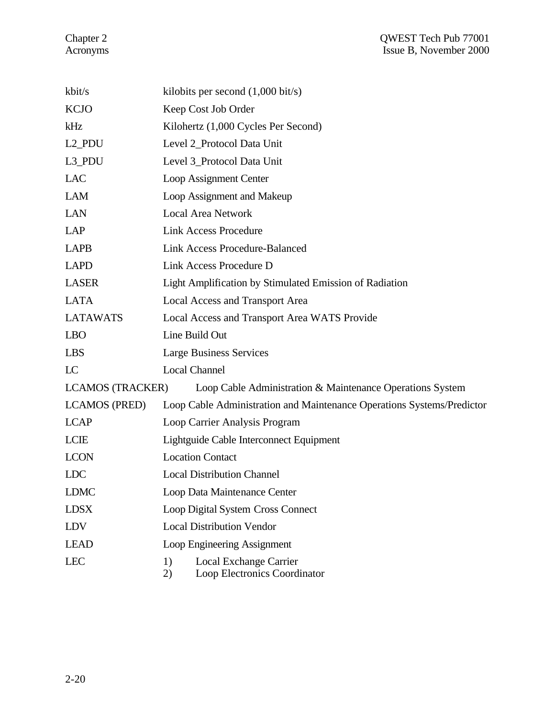| kbit/s                  | kilobits per second $(1,000 \text{ bit/s})$                            |  |  |
|-------------------------|------------------------------------------------------------------------|--|--|
| <b>KCJO</b>             | Keep Cost Job Order                                                    |  |  |
| kHz                     | Kilohertz (1,000 Cycles Per Second)                                    |  |  |
| L <sub>2</sub> _PDU     | Level 2_Protocol Data Unit                                             |  |  |
| L3_PDU                  | Level 3_Protocol Data Unit                                             |  |  |
| <b>LAC</b>              | Loop Assignment Center                                                 |  |  |
| <b>LAM</b>              | Loop Assignment and Makeup                                             |  |  |
| <b>LAN</b>              | <b>Local Area Network</b>                                              |  |  |
| LAP                     | <b>Link Access Procedure</b>                                           |  |  |
| <b>LAPB</b>             | <b>Link Access Procedure-Balanced</b>                                  |  |  |
| <b>LAPD</b>             | Link Access Procedure D                                                |  |  |
| <b>LASER</b>            | Light Amplification by Stimulated Emission of Radiation                |  |  |
| <b>LATA</b>             | Local Access and Transport Area                                        |  |  |
| <b>LATAWATS</b>         | Local Access and Transport Area WATS Provide                           |  |  |
| <b>LBO</b>              | Line Build Out                                                         |  |  |
| <b>LBS</b>              | <b>Large Business Services</b>                                         |  |  |
| LC                      | <b>Local Channel</b>                                                   |  |  |
| <b>LCAMOS (TRACKER)</b> | Loop Cable Administration & Maintenance Operations System              |  |  |
| <b>LCAMOS (PRED)</b>    | Loop Cable Administration and Maintenance Operations Systems/Predictor |  |  |
| <b>LCAP</b>             | Loop Carrier Analysis Program                                          |  |  |
| <b>LCIE</b>             | Lightguide Cable Interconnect Equipment                                |  |  |
| <b>LCON</b>             | <b>Location Contact</b>                                                |  |  |
| LDC                     | <b>Local Distribution Channel</b>                                      |  |  |
| <b>LDMC</b>             | Loop Data Maintenance Center                                           |  |  |
| <b>LDSX</b>             | <b>Loop Digital System Cross Connect</b>                               |  |  |
| <b>LDV</b>              | <b>Local Distribution Vendor</b>                                       |  |  |
| <b>LEAD</b>             | Loop Engineering Assignment                                            |  |  |
| <b>LEC</b>              | Local Exchange Carrier<br>1)<br>2)<br>Loop Electronics Coordinator     |  |  |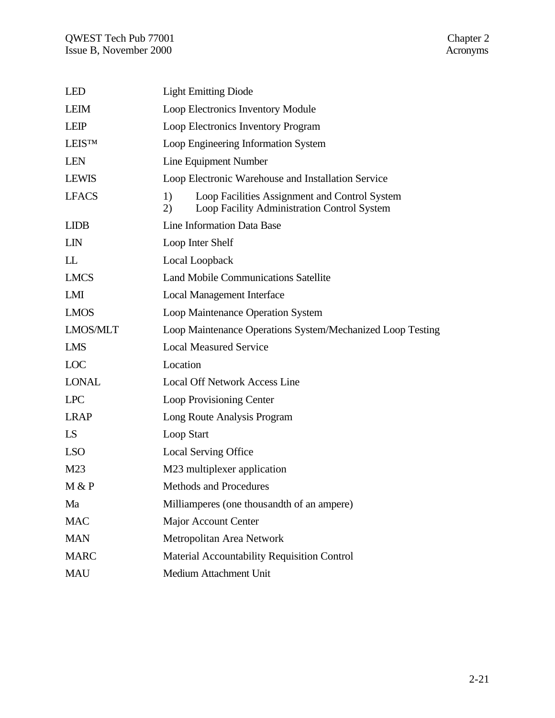| <b>LED</b>      | <b>Light Emitting Diode</b>                                                                              |  |  |
|-----------------|----------------------------------------------------------------------------------------------------------|--|--|
| <b>LEIM</b>     | Loop Electronics Inventory Module                                                                        |  |  |
| <b>LEIP</b>     | Loop Electronics Inventory Program                                                                       |  |  |
| <b>LEISTM</b>   | Loop Engineering Information System                                                                      |  |  |
| <b>LEN</b>      | Line Equipment Number                                                                                    |  |  |
| <b>LEWIS</b>    | Loop Electronic Warehouse and Installation Service                                                       |  |  |
| <b>LFACS</b>    | 1)<br>Loop Facilities Assignment and Control System<br>Loop Facility Administration Control System<br>2) |  |  |
| <b>LIDB</b>     | Line Information Data Base                                                                               |  |  |
| <b>LIN</b>      | Loop Inter Shelf                                                                                         |  |  |
| LL              | Local Loopback                                                                                           |  |  |
| <b>LMCS</b>     | <b>Land Mobile Communications Satellite</b>                                                              |  |  |
| LMI             | <b>Local Management Interface</b>                                                                        |  |  |
| <b>LMOS</b>     | Loop Maintenance Operation System                                                                        |  |  |
| <b>LMOS/MLT</b> | Loop Maintenance Operations System/Mechanized Loop Testing                                               |  |  |
| <b>LMS</b>      | <b>Local Measured Service</b>                                                                            |  |  |
| <b>LOC</b>      | Location                                                                                                 |  |  |
| <b>LONAL</b>    | <b>Local Off Network Access Line</b>                                                                     |  |  |
| <b>LPC</b>      | Loop Provisioning Center                                                                                 |  |  |
| <b>LRAP</b>     | Long Route Analysis Program                                                                              |  |  |
| LS.             | Loop Start                                                                                               |  |  |
| <b>LSO</b>      | <b>Local Serving Office</b>                                                                              |  |  |
| M <sub>23</sub> | M23 multiplexer application                                                                              |  |  |
| M & P           | Methods and Procedures                                                                                   |  |  |
| Ma              | Milliamperes (one thousandth of an ampere)                                                               |  |  |
| <b>MAC</b>      | <b>Major Account Center</b>                                                                              |  |  |
| <b>MAN</b>      | Metropolitan Area Network                                                                                |  |  |
| <b>MARC</b>     | Material Accountability Requisition Control                                                              |  |  |
| <b>MAU</b>      | Medium Attachment Unit                                                                                   |  |  |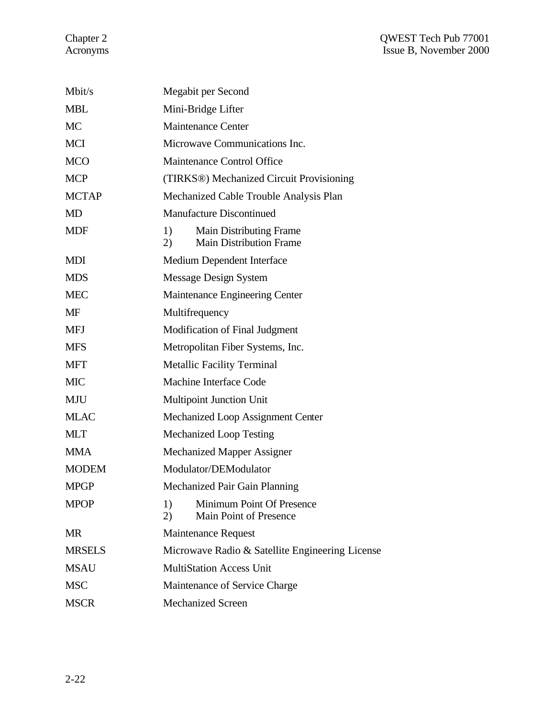| Mbit/s        | Megabit per Second                                                           |
|---------------|------------------------------------------------------------------------------|
| <b>MBL</b>    | Mini-Bridge Lifter                                                           |
| <b>MC</b>     | <b>Maintenance Center</b>                                                    |
| <b>MCI</b>    | Microwave Communications Inc.                                                |
| <b>MCO</b>    | Maintenance Control Office                                                   |
| <b>MCP</b>    | (TIRKS®) Mechanized Circuit Provisioning                                     |
| <b>MCTAP</b>  | Mechanized Cable Trouble Analysis Plan                                       |
| <b>MD</b>     | <b>Manufacture Discontinued</b>                                              |
| <b>MDF</b>    | 1)<br><b>Main Distributing Frame</b><br><b>Main Distribution Frame</b><br>2) |
| <b>MDI</b>    | Medium Dependent Interface                                                   |
| <b>MDS</b>    | <b>Message Design System</b>                                                 |
| <b>MEC</b>    | Maintenance Engineering Center                                               |
| MF            | Multifrequency                                                               |
| <b>MFJ</b>    | Modification of Final Judgment                                               |
| <b>MFS</b>    | Metropolitan Fiber Systems, Inc.                                             |
| <b>MFT</b>    | <b>Metallic Facility Terminal</b>                                            |
| <b>MIC</b>    | <b>Machine Interface Code</b>                                                |
| MJU           | <b>Multipoint Junction Unit</b>                                              |
| <b>MLAC</b>   | Mechanized Loop Assignment Center                                            |
| <b>MLT</b>    | <b>Mechanized Loop Testing</b>                                               |
| <b>MMA</b>    | <b>Mechanized Mapper Assigner</b>                                            |
| <b>MODEM</b>  | Modulator/DEModulator                                                        |
| <b>MPGP</b>   | Mechanized Pair Gain Planning                                                |
| <b>MPOP</b>   | Minimum Point Of Presence<br>1)<br>(2)<br>Main Point of Presence             |
| <b>MR</b>     | <b>Maintenance Request</b>                                                   |
| <b>MRSELS</b> | Microwave Radio & Satellite Engineering License                              |
| <b>MSAU</b>   | <b>MultiStation Access Unit</b>                                              |
| <b>MSC</b>    | Maintenance of Service Charge                                                |
| <b>MSCR</b>   | <b>Mechanized Screen</b>                                                     |
|               |                                                                              |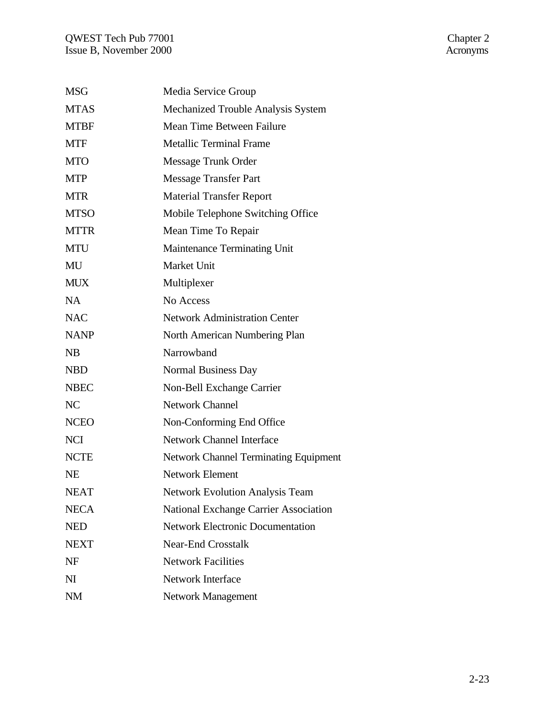| <b>MSG</b>     | Media Service Group                          |
|----------------|----------------------------------------------|
| <b>MTAS</b>    | Mechanized Trouble Analysis System           |
| <b>MTBF</b>    | Mean Time Between Failure                    |
| <b>MTF</b>     | <b>Metallic Terminal Frame</b>               |
| <b>MTO</b>     | Message Trunk Order                          |
| <b>MTP</b>     | <b>Message Transfer Part</b>                 |
| <b>MTR</b>     | <b>Material Transfer Report</b>              |
| <b>MTSO</b>    | Mobile Telephone Switching Office            |
| <b>MTTR</b>    | Mean Time To Repair                          |
| <b>MTU</b>     | Maintenance Terminating Unit                 |
| MU             | Market Unit                                  |
| <b>MUX</b>     | Multiplexer                                  |
| NA             | No Access                                    |
| <b>NAC</b>     | <b>Network Administration Center</b>         |
| <b>NANP</b>    | North American Numbering Plan                |
| NB             | Narrowband                                   |
| <b>NBD</b>     | Normal Business Day                          |
| <b>NBEC</b>    | Non-Bell Exchange Carrier                    |
| NC             | <b>Network Channel</b>                       |
| <b>NCEO</b>    | Non-Conforming End Office                    |
| <b>NCI</b>     | <b>Network Channel Interface</b>             |
| <b>NCTE</b>    | <b>Network Channel Terminating Equipment</b> |
| <b>NE</b>      | <b>Network Element</b>                       |
| <b>NEAT</b>    | <b>Network Evolution Analysis Team</b>       |
| <b>NECA</b>    | National Exchange Carrier Association        |
| <b>NED</b>     | <b>Network Electronic Documentation</b>      |
| <b>NEXT</b>    | <b>Near-End Crosstalk</b>                    |
| <b>NF</b>      | <b>Network Facilities</b>                    |
| N <sub>I</sub> | <b>Network Interface</b>                     |
| <b>NM</b>      | <b>Network Management</b>                    |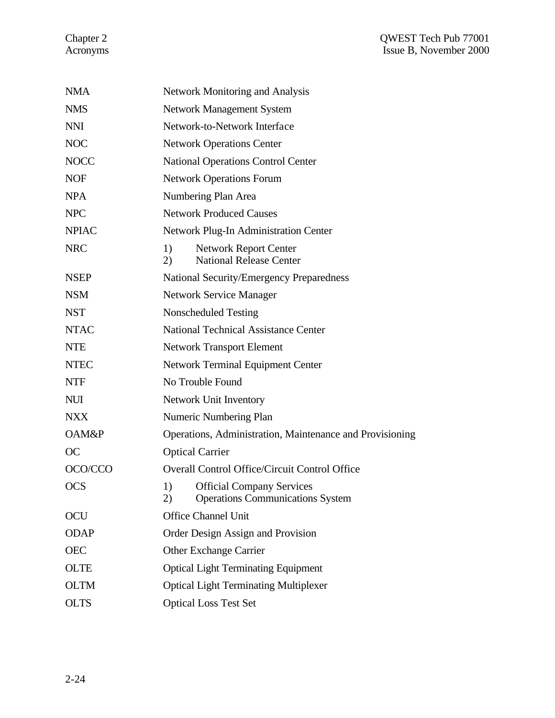| <b>NMA</b>   | <b>Network Monitoring and Analysis</b>                                                  |  |  |
|--------------|-----------------------------------------------------------------------------------------|--|--|
| <b>NMS</b>   | Network Management System                                                               |  |  |
| <b>NNI</b>   | Network-to-Network Interface                                                            |  |  |
| <b>NOC</b>   | <b>Network Operations Center</b>                                                        |  |  |
| <b>NOCC</b>  | <b>National Operations Control Center</b>                                               |  |  |
| <b>NOF</b>   | <b>Network Operations Forum</b>                                                         |  |  |
| <b>NPA</b>   | Numbering Plan Area                                                                     |  |  |
| <b>NPC</b>   | <b>Network Produced Causes</b>                                                          |  |  |
| <b>NPIAC</b> | Network Plug-In Administration Center                                                   |  |  |
| <b>NRC</b>   | 1)<br><b>Network Report Center</b><br><b>National Release Center</b><br>2)              |  |  |
| <b>NSEP</b>  | <b>National Security/Emergency Preparedness</b>                                         |  |  |
| <b>NSM</b>   | <b>Network Service Manager</b>                                                          |  |  |
| <b>NST</b>   | Nonscheduled Testing                                                                    |  |  |
| <b>NTAC</b>  | <b>National Technical Assistance Center</b>                                             |  |  |
| <b>NTE</b>   | <b>Network Transport Element</b>                                                        |  |  |
| <b>NTEC</b>  | <b>Network Terminal Equipment Center</b>                                                |  |  |
| <b>NTF</b>   | No Trouble Found                                                                        |  |  |
| <b>NUI</b>   | Network Unit Inventory                                                                  |  |  |
| <b>NXX</b>   | Numeric Numbering Plan                                                                  |  |  |
| OAM&P        | Operations, Administration, Maintenance and Provisioning                                |  |  |
| OC           | <b>Optical Carrier</b>                                                                  |  |  |
| OCO/CCO      | <b>Overall Control Office/Circuit Control Office</b>                                    |  |  |
| <b>OCS</b>   | 1)<br><b>Official Company Services</b><br><b>Operations Communications System</b><br>2) |  |  |
| OCU          | <b>Office Channel Unit</b>                                                              |  |  |
| <b>ODAP</b>  | Order Design Assign and Provision                                                       |  |  |
| <b>OEC</b>   | <b>Other Exchange Carrier</b>                                                           |  |  |
| <b>OLTE</b>  | <b>Optical Light Terminating Equipment</b>                                              |  |  |
| <b>OLTM</b>  | <b>Optical Light Terminating Multiplexer</b>                                            |  |  |
| <b>OLTS</b>  | <b>Optical Loss Test Set</b>                                                            |  |  |
|              |                                                                                         |  |  |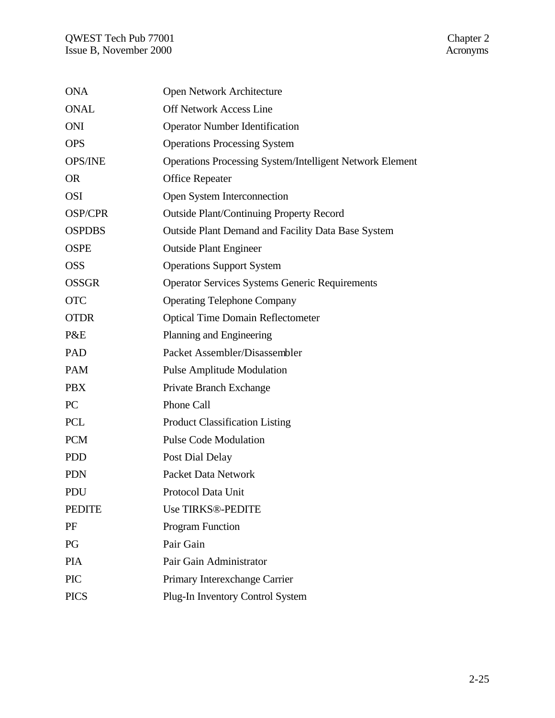| <b>ONA</b>     | Open Network Architecture                                       |
|----------------|-----------------------------------------------------------------|
| <b>ONAL</b>    | <b>Off Network Access Line</b>                                  |
| <b>ONI</b>     | <b>Operator Number Identification</b>                           |
| <b>OPS</b>     | <b>Operations Processing System</b>                             |
| <b>OPS/INE</b> | <b>Operations Processing System/Intelligent Network Element</b> |
| <b>OR</b>      | <b>Office Repeater</b>                                          |
| <b>OSI</b>     | Open System Interconnection                                     |
| <b>OSP/CPR</b> | <b>Outside Plant/Continuing Property Record</b>                 |
| <b>OSPDBS</b>  | <b>Outside Plant Demand and Facility Data Base System</b>       |
| <b>OSPE</b>    | <b>Outside Plant Engineer</b>                                   |
| <b>OSS</b>     | <b>Operations Support System</b>                                |
| <b>OSSGR</b>   | <b>Operator Services Systems Generic Requirements</b>           |
| <b>OTC</b>     | <b>Operating Telephone Company</b>                              |
| <b>OTDR</b>    | <b>Optical Time Domain Reflectometer</b>                        |
| P&E            | Planning and Engineering                                        |
| PAD            | Packet Assembler/Disassembler                                   |
| <b>PAM</b>     | <b>Pulse Amplitude Modulation</b>                               |
| <b>PBX</b>     | Private Branch Exchange                                         |
| PC             | Phone Call                                                      |
| <b>PCL</b>     | <b>Product Classification Listing</b>                           |
| <b>PCM</b>     | <b>Pulse Code Modulation</b>                                    |
| <b>PDD</b>     | Post Dial Delay                                                 |
| <b>PDN</b>     | <b>Packet Data Network</b>                                      |
| PDU            | Protocol Data Unit                                              |
| <b>PEDITE</b>  | <b>Use TIRKS®-PEDITE</b>                                        |
| PF             | <b>Program Function</b>                                         |
| PG             | Pair Gain                                                       |
| <b>PIA</b>     | Pair Gain Administrator                                         |
| <b>PIC</b>     | Primary Interexchange Carrier                                   |
| <b>PICS</b>    | Plug-In Inventory Control System                                |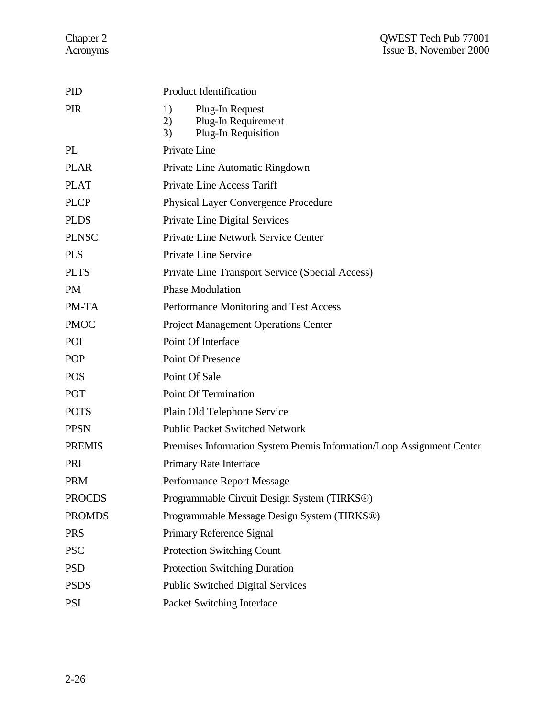| <b>PID</b>    | <b>Product Identification</b>                                                   |  |  |
|---------------|---------------------------------------------------------------------------------|--|--|
| <b>PIR</b>    | Plug-In Request<br>1)<br>2)<br>Plug-In Requirement<br>Plug-In Requisition<br>3) |  |  |
| PL            | Private Line                                                                    |  |  |
| <b>PLAR</b>   | Private Line Automatic Ringdown                                                 |  |  |
| <b>PLAT</b>   | <b>Private Line Access Tariff</b>                                               |  |  |
| <b>PLCP</b>   | <b>Physical Layer Convergence Procedure</b>                                     |  |  |
| <b>PLDS</b>   | Private Line Digital Services                                                   |  |  |
| <b>PLNSC</b>  | Private Line Network Service Center                                             |  |  |
| <b>PLS</b>    | Private Line Service                                                            |  |  |
| <b>PLTS</b>   | Private Line Transport Service (Special Access)                                 |  |  |
| <b>PM</b>     | <b>Phase Modulation</b>                                                         |  |  |
| PM-TA         | Performance Monitoring and Test Access                                          |  |  |
| <b>PMOC</b>   | <b>Project Management Operations Center</b>                                     |  |  |
| POI           | Point Of Interface                                                              |  |  |
| <b>POP</b>    | Point Of Presence                                                               |  |  |
| <b>POS</b>    | Point Of Sale                                                                   |  |  |
| POT           | Point Of Termination                                                            |  |  |
| <b>POTS</b>   | Plain Old Telephone Service                                                     |  |  |
| <b>PPSN</b>   | <b>Public Packet Switched Network</b>                                           |  |  |
| <b>PREMIS</b> | Premises Information System Premis Information/Loop Assignment Center           |  |  |
| PRI           | Primary Rate Interface                                                          |  |  |
| <b>PRM</b>    | Performance Report Message                                                      |  |  |
| <b>PROCDS</b> | Programmable Circuit Design System (TIRKS®)                                     |  |  |
| <b>PROMDS</b> | Programmable Message Design System (TIRKS <sup>®)</sup>                         |  |  |
| <b>PRS</b>    | Primary Reference Signal                                                        |  |  |
| <b>PSC</b>    | <b>Protection Switching Count</b>                                               |  |  |
| <b>PSD</b>    | <b>Protection Switching Duration</b>                                            |  |  |
| <b>PSDS</b>   | <b>Public Switched Digital Services</b>                                         |  |  |
| <b>PSI</b>    | Packet Switching Interface                                                      |  |  |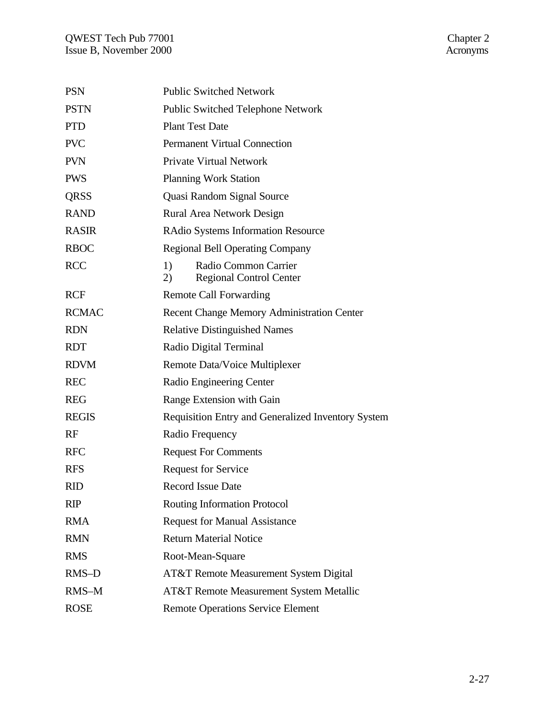| <b>PSN</b>   | <b>Public Switched Network</b>                                     |
|--------------|--------------------------------------------------------------------|
| <b>PSTN</b>  | <b>Public Switched Telephone Network</b>                           |
| <b>PTD</b>   | <b>Plant Test Date</b>                                             |
| <b>PVC</b>   | <b>Permanent Virtual Connection</b>                                |
| <b>PVN</b>   | <b>Private Virtual Network</b>                                     |
| <b>PWS</b>   | <b>Planning Work Station</b>                                       |
| QRSS         | Quasi Random Signal Source                                         |
| <b>RAND</b>  | <b>Rural Area Network Design</b>                                   |
| <b>RASIR</b> | <b>RAdio Systems Information Resource</b>                          |
| <b>RBOC</b>  | <b>Regional Bell Operating Company</b>                             |
| <b>RCC</b>   | 1)<br>Radio Common Carrier<br><b>Regional Control Center</b><br>2) |
| <b>RCF</b>   | <b>Remote Call Forwarding</b>                                      |
| <b>RCMAC</b> | <b>Recent Change Memory Administration Center</b>                  |
| <b>RDN</b>   | <b>Relative Distinguished Names</b>                                |
| <b>RDT</b>   | Radio Digital Terminal                                             |
| <b>RDVM</b>  | Remote Data/Voice Multiplexer                                      |
| <b>REC</b>   | Radio Engineering Center                                           |
| <b>REG</b>   | Range Extension with Gain                                          |
| <b>REGIS</b> | <b>Requisition Entry and Generalized Inventory System</b>          |
| RF           | Radio Frequency                                                    |
| <b>RFC</b>   | <b>Request For Comments</b>                                        |
| <b>RFS</b>   | <b>Request for Service</b>                                         |
| <b>RID</b>   | <b>Record Issue Date</b>                                           |
| <b>RIP</b>   | Routing Information Protocol                                       |
| <b>RMA</b>   | <b>Request for Manual Assistance</b>                               |
| <b>RMN</b>   | <b>Return Material Notice</b>                                      |
| <b>RMS</b>   | Root-Mean-Square                                                   |
| RMS-D        | AT&T Remote Measurement System Digital                             |
| RMS-M        | <b>AT&amp;T Remote Measurement System Metallic</b>                 |
| <b>ROSE</b>  | <b>Remote Operations Service Element</b>                           |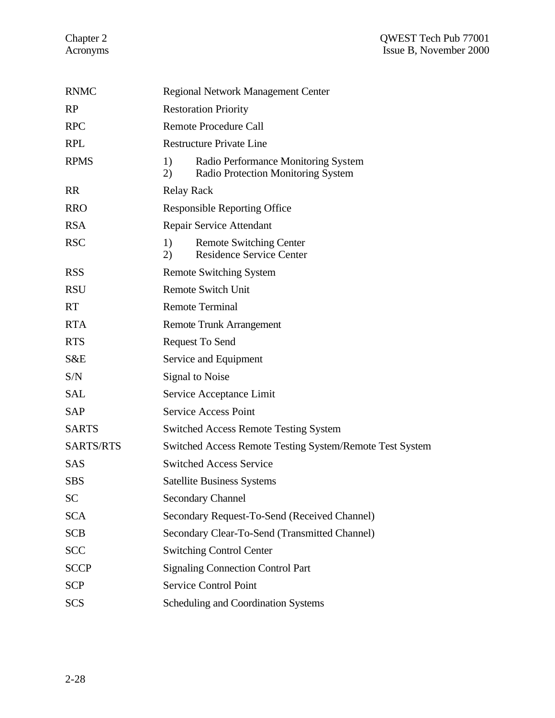| <b>RNMC</b>      | <b>Regional Network Management Center</b> |                                                                           |
|------------------|-------------------------------------------|---------------------------------------------------------------------------|
| RP               | <b>Restoration Priority</b>               |                                                                           |
| <b>RPC</b>       | <b>Remote Procedure Call</b>              |                                                                           |
| <b>RPL</b>       |                                           | <b>Restructure Private Line</b>                                           |
| <b>RPMS</b>      | 1)<br>2)                                  | Radio Performance Monitoring System<br>Radio Protection Monitoring System |
| <b>RR</b>        | <b>Relay Rack</b>                         |                                                                           |
| <b>RRO</b>       |                                           | <b>Responsible Reporting Office</b>                                       |
| <b>RSA</b>       |                                           | Repair Service Attendant                                                  |
| <b>RSC</b>       | 1)<br>2)                                  | <b>Remote Switching Center</b><br><b>Residence Service Center</b>         |
| <b>RSS</b>       |                                           | <b>Remote Switching System</b>                                            |
| <b>RSU</b>       |                                           | <b>Remote Switch Unit</b>                                                 |
| <b>RT</b>        |                                           | <b>Remote Terminal</b>                                                    |
| <b>RTA</b>       |                                           | <b>Remote Trunk Arrangement</b>                                           |
| <b>RTS</b>       |                                           | Request To Send                                                           |
| S&E              |                                           | Service and Equipment                                                     |
| S/N              |                                           | <b>Signal to Noise</b>                                                    |
| <b>SAL</b>       |                                           | Service Acceptance Limit                                                  |
| <b>SAP</b>       |                                           | <b>Service Access Point</b>                                               |
| <b>SARTS</b>     |                                           | <b>Switched Access Remote Testing System</b>                              |
| <b>SARTS/RTS</b> |                                           | Switched Access Remote Testing System/Remote Test System                  |
| <b>SAS</b>       |                                           | <b>Switched Access Service</b>                                            |
| <b>SBS</b>       |                                           | <b>Satellite Business Systems</b>                                         |
| SC               |                                           | <b>Secondary Channel</b>                                                  |
| <b>SCA</b>       |                                           | Secondary Request-To-Send (Received Channel)                              |
| <b>SCB</b>       |                                           | Secondary Clear-To-Send (Transmitted Channel)                             |
| <b>SCC</b>       |                                           | <b>Switching Control Center</b>                                           |
| <b>SCCP</b>      |                                           | <b>Signaling Connection Control Part</b>                                  |
| <b>SCP</b>       |                                           | <b>Service Control Point</b>                                              |
| <b>SCS</b>       |                                           | Scheduling and Coordination Systems                                       |
|                  |                                           |                                                                           |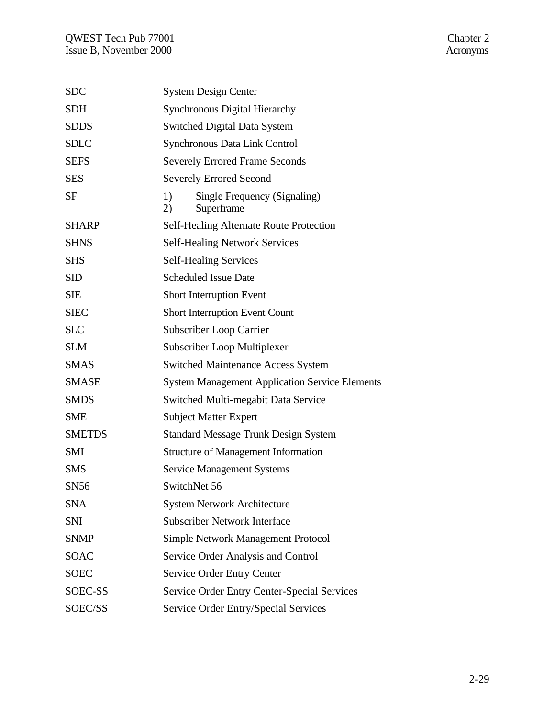| <b>SDC</b>    | <b>System Design Center</b>                            |  |  |
|---------------|--------------------------------------------------------|--|--|
| <b>SDH</b>    | <b>Synchronous Digital Hierarchy</b>                   |  |  |
| <b>SDDS</b>   | <b>Switched Digital Data System</b>                    |  |  |
| <b>SDLC</b>   | Synchronous Data Link Control                          |  |  |
| <b>SEFS</b>   | <b>Severely Errored Frame Seconds</b>                  |  |  |
| <b>SES</b>    | <b>Severely Errored Second</b>                         |  |  |
| SF            | 1)<br>Single Frequency (Signaling)<br>2)<br>Superframe |  |  |
| <b>SHARP</b>  | Self-Healing Alternate Route Protection                |  |  |
| <b>SHNS</b>   | <b>Self-Healing Network Services</b>                   |  |  |
| <b>SHS</b>    | <b>Self-Healing Services</b>                           |  |  |
| <b>SID</b>    | <b>Scheduled Issue Date</b>                            |  |  |
| <b>SIE</b>    | <b>Short Interruption Event</b>                        |  |  |
| <b>SIEC</b>   | <b>Short Interruption Event Count</b>                  |  |  |
| <b>SLC</b>    | Subscriber Loop Carrier                                |  |  |
| <b>SLM</b>    | Subscriber Loop Multiplexer                            |  |  |
| <b>SMAS</b>   | <b>Switched Maintenance Access System</b>              |  |  |
| <b>SMASE</b>  | <b>System Management Application Service Elements</b>  |  |  |
| <b>SMDS</b>   | Switched Multi-megabit Data Service                    |  |  |
| <b>SME</b>    | <b>Subject Matter Expert</b>                           |  |  |
| <b>SMETDS</b> | Standard Message Trunk Design System                   |  |  |
| <b>SMI</b>    | <b>Structure of Management Information</b>             |  |  |
| <b>SMS</b>    | <b>Service Management Systems</b>                      |  |  |
| <b>SN56</b>   | SwitchNet 56                                           |  |  |
| <b>SNA</b>    | <b>System Network Architecture</b>                     |  |  |
| <b>SNI</b>    | <b>Subscriber Network Interface</b>                    |  |  |
| <b>SNMP</b>   | <b>Simple Network Management Protocol</b>              |  |  |
| <b>SOAC</b>   | Service Order Analysis and Control                     |  |  |
| <b>SOEC</b>   | Service Order Entry Center                             |  |  |
| SOEC-SS       | Service Order Entry Center-Special Services            |  |  |
| SOEC/SS       | Service Order Entry/Special Services                   |  |  |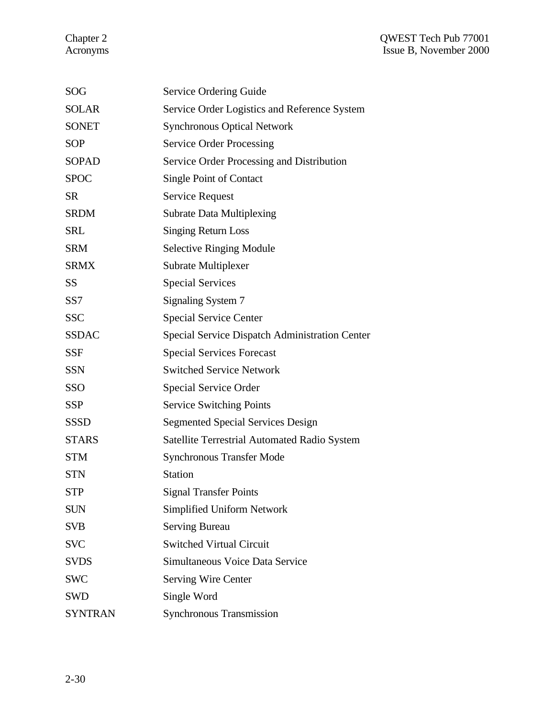| SOG            | Service Ordering Guide                                |
|----------------|-------------------------------------------------------|
| <b>SOLAR</b>   | Service Order Logistics and Reference System          |
| <b>SONET</b>   | <b>Synchronous Optical Network</b>                    |
| <b>SOP</b>     | <b>Service Order Processing</b>                       |
| <b>SOPAD</b>   | Service Order Processing and Distribution             |
| <b>SPOC</b>    | <b>Single Point of Contact</b>                        |
| <b>SR</b>      | <b>Service Request</b>                                |
| <b>SRDM</b>    | <b>Subrate Data Multiplexing</b>                      |
| <b>SRL</b>     | <b>Singing Return Loss</b>                            |
| <b>SRM</b>     | <b>Selective Ringing Module</b>                       |
| <b>SRMX</b>    | Subrate Multiplexer                                   |
| SS             | <b>Special Services</b>                               |
| SS7            | Signaling System 7                                    |
| <b>SSC</b>     | <b>Special Service Center</b>                         |
| <b>SSDAC</b>   | <b>Special Service Dispatch Administration Center</b> |
| <b>SSF</b>     | <b>Special Services Forecast</b>                      |
| <b>SSN</b>     | <b>Switched Service Network</b>                       |
| SSO            | Special Service Order                                 |
| <b>SSP</b>     | <b>Service Switching Points</b>                       |
| <b>SSSD</b>    | <b>Segmented Special Services Design</b>              |
| <b>STARS</b>   | Satellite Terrestrial Automated Radio System          |
| <b>STM</b>     | <b>Synchronous Transfer Mode</b>                      |
| <b>STN</b>     | <b>Station</b>                                        |
| STP            | <b>Signal Transfer Points</b>                         |
| <b>SUN</b>     | <b>Simplified Uniform Network</b>                     |
| <b>SVB</b>     | <b>Serving Bureau</b>                                 |
| <b>SVC</b>     | <b>Switched Virtual Circuit</b>                       |
| <b>SVDS</b>    | Simultaneous Voice Data Service                       |
| <b>SWC</b>     | <b>Serving Wire Center</b>                            |
| <b>SWD</b>     | Single Word                                           |
| <b>SYNTRAN</b> | <b>Synchronous Transmission</b>                       |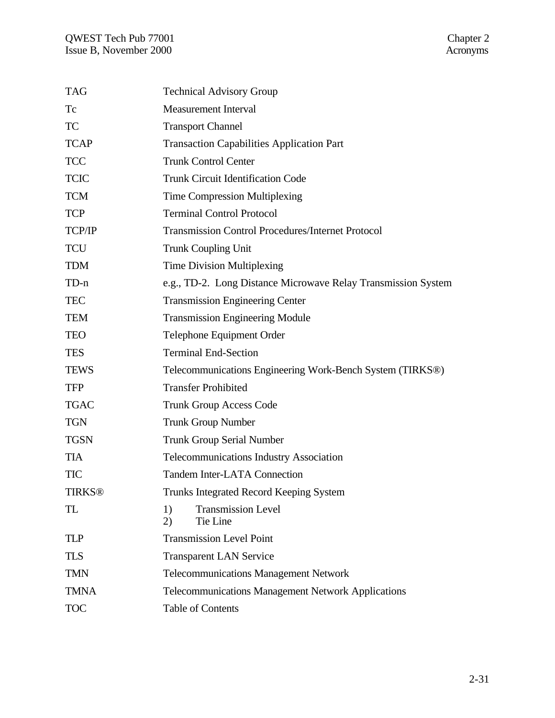| <b>TAG</b>  | <b>Technical Advisory Group</b>                               |
|-------------|---------------------------------------------------------------|
| Tc          | <b>Measurement Interval</b>                                   |
| <b>TC</b>   | <b>Transport Channel</b>                                      |
| <b>TCAP</b> | <b>Transaction Capabilities Application Part</b>              |
| <b>TCC</b>  | <b>Trunk Control Center</b>                                   |
| <b>TCIC</b> | <b>Trunk Circuit Identification Code</b>                      |
| <b>TCM</b>  | <b>Time Compression Multiplexing</b>                          |
| <b>TCP</b>  | <b>Terminal Control Protocol</b>                              |
| TCP/IP      | <b>Transmission Control Procedures/Internet Protocol</b>      |
| <b>TCU</b>  | <b>Trunk Coupling Unit</b>                                    |
| <b>TDM</b>  | <b>Time Division Multiplexing</b>                             |
| $TD-n$      | e.g., TD-2. Long Distance Microwave Relay Transmission System |
| <b>TEC</b>  | <b>Transmission Engineering Center</b>                        |
| <b>TEM</b>  | <b>Transmission Engineering Module</b>                        |
| <b>TEO</b>  | Telephone Equipment Order                                     |
| <b>TES</b>  | <b>Terminal End-Section</b>                                   |
| <b>TEWS</b> | Telecommunications Engineering Work-Bench System (TIRKS®)     |
| <b>TFP</b>  | <b>Transfer Prohibited</b>                                    |
| <b>TGAC</b> | <b>Trunk Group Access Code</b>                                |
| <b>TGN</b>  | <b>Trunk Group Number</b>                                     |
| <b>TGSN</b> | <b>Trunk Group Serial Number</b>                              |
| <b>TIA</b>  | Telecommunications Industry Association                       |
| <b>TIC</b>  | <b>Tandem Inter-LATA Connection</b>                           |
| TIRKS®      | Trunks Integrated Record Keeping System                       |
| TL          | <b>Transmission Level</b><br>1)<br>Tie Line<br>2)             |
| <b>TLP</b>  | <b>Transmission Level Point</b>                               |
| <b>TLS</b>  | <b>Transparent LAN Service</b>                                |
| <b>TMN</b>  | <b>Telecommunications Management Network</b>                  |
| <b>TMNA</b> | <b>Telecommunications Management Network Applications</b>     |
| <b>TOC</b>  | <b>Table of Contents</b>                                      |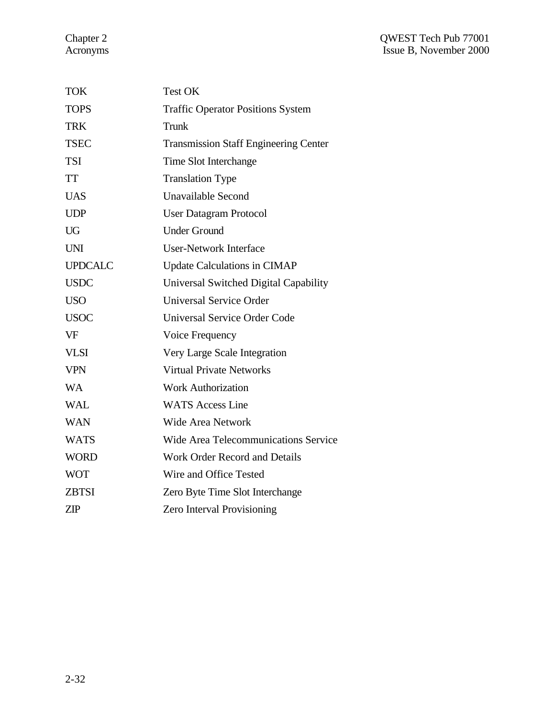| <b>TOK</b>     | Test OK                                      |
|----------------|----------------------------------------------|
| <b>TOPS</b>    | <b>Traffic Operator Positions System</b>     |
| <b>TRK</b>     | Trunk                                        |
| <b>TSEC</b>    | <b>Transmission Staff Engineering Center</b> |
| <b>TSI</b>     | Time Slot Interchange                        |
| <b>TT</b>      | <b>Translation Type</b>                      |
| <b>UAS</b>     | Unavailable Second                           |
| <b>UDP</b>     | <b>User Datagram Protocol</b>                |
| <b>UG</b>      | <b>Under Ground</b>                          |
| <b>UNI</b>     | User-Network Interface                       |
| <b>UPDCALC</b> | <b>Update Calculations in CIMAP</b>          |
| <b>USDC</b>    | Universal Switched Digital Capability        |
| <b>USO</b>     | <b>Universal Service Order</b>               |
| <b>USOC</b>    | <b>Universal Service Order Code</b>          |
| <b>VF</b>      | Voice Frequency                              |
| <b>VLSI</b>    | Very Large Scale Integration                 |
| <b>VPN</b>     | <b>Virtual Private Networks</b>              |
| <b>WA</b>      | <b>Work Authorization</b>                    |
| <b>WAL</b>     | <b>WATS Access Line</b>                      |
| <b>WAN</b>     | <b>Wide Area Network</b>                     |
| <b>WATS</b>    | <b>Wide Area Telecommunications Service</b>  |
| <b>WORD</b>    | <b>Work Order Record and Details</b>         |
| <b>WOT</b>     | Wire and Office Tested                       |
| <b>ZBTSI</b>   | Zero Byte Time Slot Interchange              |
| <b>ZIP</b>     | <b>Zero Interval Provisioning</b>            |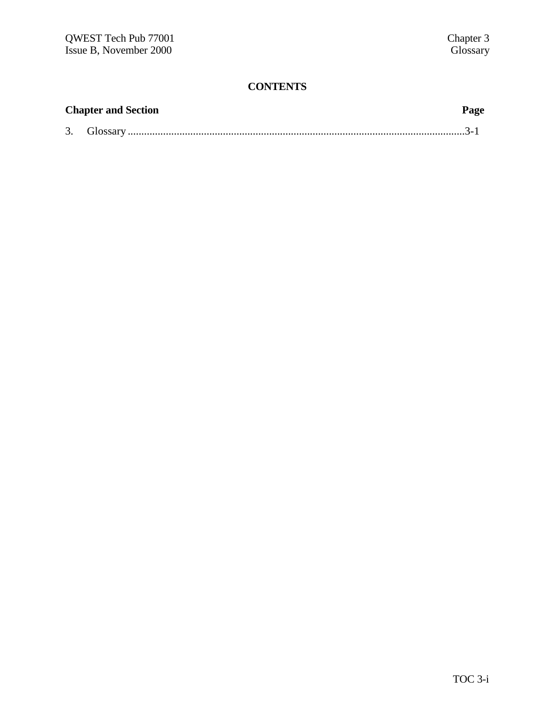# **CONTENTS**

| <b>Chapter and Section</b> | Page |
|----------------------------|------|
|                            |      |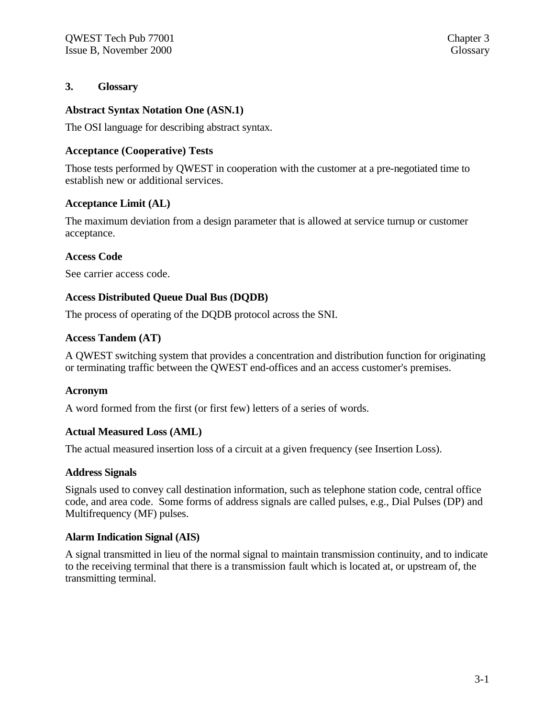## **3. Glossary**

#### **Abstract Syntax Notation One (ASN.1)**

The OSI language for describing abstract syntax.

## **Acceptance (Cooperative) Tests**

Those tests performed by QWEST in cooperation with the customer at a pre-negotiated time to establish new or additional services.

## **Acceptance Limit (AL)**

The maximum deviation from a design parameter that is allowed at service turnup or customer acceptance.

## **Access Code**

See carrier access code.

## **Access Distributed Queue Dual Bus (DQDB)**

The process of operating of the DQDB protocol across the SNI.

## **Access Tandem (AT)**

A QWEST switching system that provides a concentration and distribution function for originating or terminating traffic between the QWEST end-offices and an access customer's premises.

#### **Acronym**

A word formed from the first (or first few) letters of a series of words.

#### **Actual Measured Loss (AML)**

The actual measured insertion loss of a circuit at a given frequency (see Insertion Loss).

#### **Address Signals**

Signals used to convey call destination information, such as telephone station code, central office code, and area code. Some forms of address signals are called pulses, e.g., Dial Pulses (DP) and Multifrequency (MF) pulses.

#### **Alarm Indication Signal (AIS)**

A signal transmitted in lieu of the normal signal to maintain transmission continuity, and to indicate to the receiving terminal that there is a transmission fault which is located at, or upstream of, the transmitting terminal.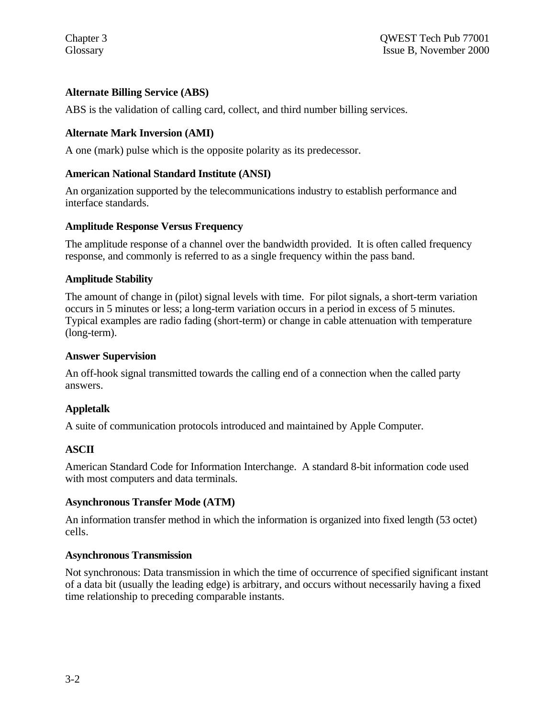# **Alternate Billing Service (ABS)**

ABS is the validation of calling card, collect, and third number billing services.

## **Alternate Mark Inversion (AMI)**

A one (mark) pulse which is the opposite polarity as its predecessor.

## **American National Standard Institute (ANSI)**

An organization supported by the telecommunications industry to establish performance and interface standards.

## **Amplitude Response Versus Frequency**

The amplitude response of a channel over the bandwidth provided. It is often called frequency response, and commonly is referred to as a single frequency within the pass band.

## **Amplitude Stability**

The amount of change in (pilot) signal levels with time. For pilot signals, a short-term variation occurs in 5 minutes or less; a long-term variation occurs in a period in excess of 5 minutes. Typical examples are radio fading (short-term) or change in cable attenuation with temperature (long-term).

#### **Answer Supervision**

An off-hook signal transmitted towards the calling end of a connection when the called party answers.

## **Appletalk**

A suite of communication protocols introduced and maintained by Apple Computer.

## **ASCII**

American Standard Code for Information Interchange. A standard 8-bit information code used with most computers and data terminals.

#### **Asynchronous Transfer Mode (ATM)**

An information transfer method in which the information is organized into fixed length (53 octet) cells.

#### **Asynchronous Transmission**

Not synchronous: Data transmission in which the time of occurrence of specified significant instant of a data bit (usually the leading edge) is arbitrary, and occurs without necessarily having a fixed time relationship to preceding comparable instants.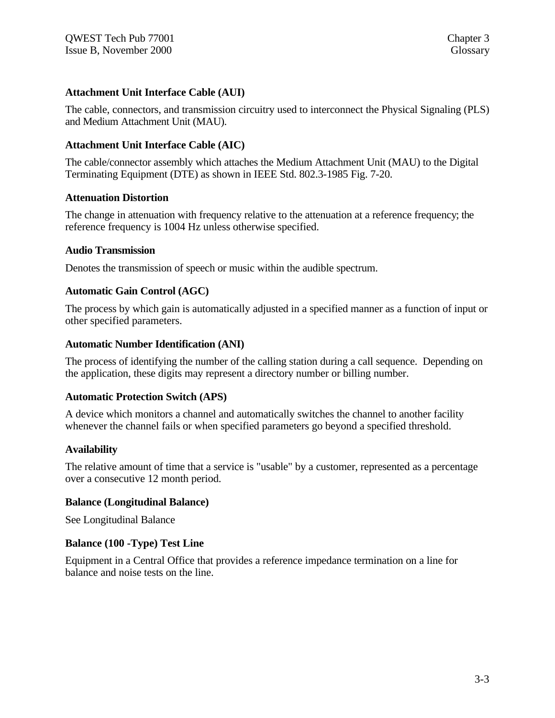## **Attachment Unit Interface Cable (AUI)**

The cable, connectors, and transmission circuitry used to interconnect the Physical Signaling (PLS) and Medium Attachment Unit (MAU).

## **Attachment Unit Interface Cable (AIC)**

The cable/connector assembly which attaches the Medium Attachment Unit (MAU) to the Digital Terminating Equipment (DTE) as shown in IEEE Std. 802.3-1985 Fig. 7-20.

#### **Attenuation Distortion**

The change in attenuation with frequency relative to the attenuation at a reference frequency; the reference frequency is 1004 Hz unless otherwise specified.

#### **Audio Transmission**

Denotes the transmission of speech or music within the audible spectrum.

#### **Automatic Gain Control (AGC)**

The process by which gain is automatically adjusted in a specified manner as a function of input or other specified parameters.

#### **Automatic Number Identification (ANI)**

The process of identifying the number of the calling station during a call sequence. Depending on the application, these digits may represent a directory number or billing number.

#### **Automatic Protection Switch (APS)**

A device which monitors a channel and automatically switches the channel to another facility whenever the channel fails or when specified parameters go beyond a specified threshold.

#### **Availability**

The relative amount of time that a service is "usable" by a customer, represented as a percentage over a consecutive 12 month period.

#### **Balance (Longitudinal Balance)**

See Longitudinal Balance

#### **Balance (100 -Type) Test Line**

Equipment in a Central Office that provides a reference impedance termination on a line for balance and noise tests on the line.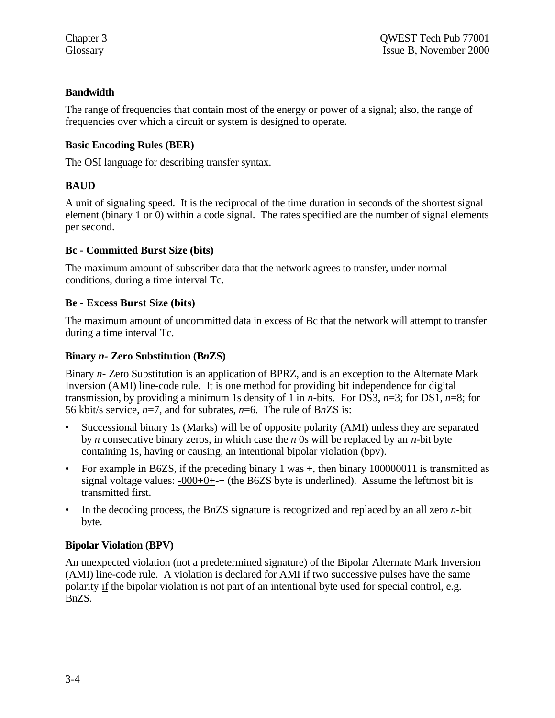## **Bandwidth**

The range of frequencies that contain most of the energy or power of a signal; also, the range of frequencies over which a circuit or system is designed to operate.

# **Basic Encoding Rules (BER)**

The OSI language for describing transfer syntax.

# **BAUD**

A unit of signaling speed. It is the reciprocal of the time duration in seconds of the shortest signal element (binary 1 or 0) within a code signal. The rates specified are the number of signal elements per second.

## **Bc - Committed Burst Size (bits)**

The maximum amount of subscriber data that the network agrees to transfer, under normal conditions, during a time interval Tc.

## **Be - Excess Burst Size (bits)**

The maximum amount of uncommitted data in excess of Bc that the network will attempt to transfer during a time interval Tc.

# **Binary** *n-* **Zero Substitution (B***n***ZS)**

Binary *n-* Zero Substitution is an application of BPRZ, and is an exception to the Alternate Mark Inversion (AMI) line-code rule. It is one method for providing bit independence for digital transmission, by providing a minimum 1s density of 1 in *n*-bits. For DS3, *n*=3; for DS1, *n*=8; for 56 kbit/s service, *n*=7, and for subrates, *n*=6. The rule of B*n*ZS is:

- Successional binary 1s (Marks) will be of opposite polarity (AMI) unless they are separated by *n* consecutive binary zeros, in which case the *n* 0s will be replaced by an *n*-bit byte containing 1s, having or causing, an intentional bipolar violation (bpv).
- For example in B6ZS, if the preceding binary 1 was +, then binary 100000011 is transmitted as signal voltage values: -000+0+-+ (the B6ZS byte is underlined). Assume the leftmost bit is transmitted first.
- In the decoding process, the B*n*ZS signature is recognized and replaced by an all zero *n*-bit byte.

# **Bipolar Violation (BPV)**

An unexpected violation (not a predetermined signature) of the Bipolar Alternate Mark Inversion (AMI) line-code rule. A violation is declared for AMI if two successive pulses have the same polarity if the bipolar violation is not part of an intentional byte used for special control, e.g. BnZS.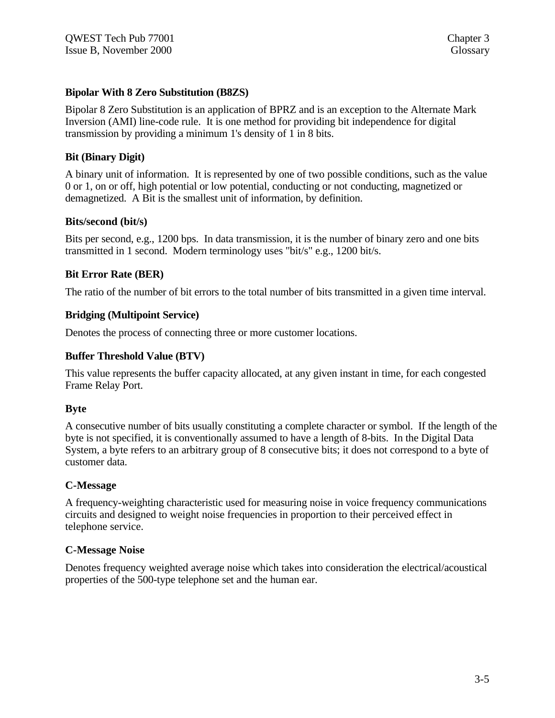## **Bipolar With 8 Zero Substitution (B8ZS)**

Bipolar 8 Zero Substitution is an application of BPRZ and is an exception to the Alternate Mark Inversion (AMI) line-code rule. It is one method for providing bit independence for digital transmission by providing a minimum 1's density of 1 in 8 bits.

#### **Bit (Binary Digit)**

A binary unit of information. It is represented by one of two possible conditions, such as the value 0 or 1, on or off, high potential or low potential, conducting or not conducting, magnetized or demagnetized. A Bit is the smallest unit of information, by definition.

## **Bits/second (bit/s)**

Bits per second, e.g., 1200 bps. In data transmission, it is the number of binary zero and one bits transmitted in 1 second. Modern terminology uses "bit/s" e.g., 1200 bit/s.

## **Bit Error Rate (BER)**

The ratio of the number of bit errors to the total number of bits transmitted in a given time interval.

#### **Bridging (Multipoint Service)**

Denotes the process of connecting three or more customer locations.

#### **Buffer Threshold Value (BTV)**

This value represents the buffer capacity allocated, at any given instant in time, for each congested Frame Relay Port.

#### **Byte**

A consecutive number of bits usually constituting a complete character or symbol. If the length of the byte is not specified, it is conventionally assumed to have a length of 8-bits. In the Digital Data System, a byte refers to an arbitrary group of 8 consecutive bits; it does not correspond to a byte of customer data.

#### **C-Message**

A frequency-weighting characteristic used for measuring noise in voice frequency communications circuits and designed to weight noise frequencies in proportion to their perceived effect in telephone service.

#### **C-Message Noise**

Denotes frequency weighted average noise which takes into consideration the electrical/acoustical properties of the 500-type telephone set and the human ear.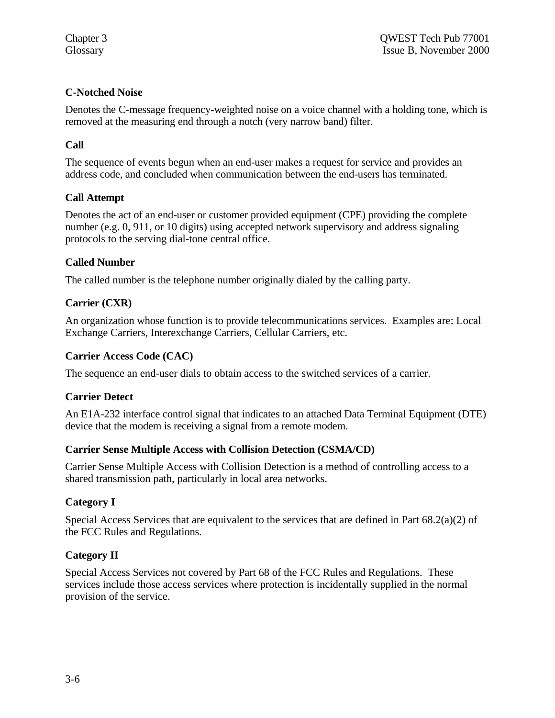# **C-Notched Noise**

Denotes the C-message frequency-weighted noise on a voice channel with a holding tone, which is removed at the measuring end through a notch (very narrow band) filter.

# **Call**

The sequence of events begun when an end-user makes a request for service and provides an address code, and concluded when communication between the end-users has terminated.

# **Call Attempt**

Denotes the act of an end-user or customer provided equipment (CPE) providing the complete number (e.g. 0, 911, or 10 digits) using accepted network supervisory and address signaling protocols to the serving dial-tone central office.

# **Called Number**

The called number is the telephone number originally dialed by the calling party.

# **Carrier (CXR)**

An organization whose function is to provide telecommunications services. Examples are: Local Exchange Carriers, Interexchange Carriers, Cellular Carriers, etc.

# **Carrier Access Code (CAC)**

The sequence an end-user dials to obtain access to the switched services of a carrier.

## **Carrier Detect**

An E1A-232 interface control signal that indicates to an attached Data Terminal Equipment (DTE) device that the modem is receiving a signal from a remote modem.

## **Carrier Sense Multiple Access with Collision Detection (CSMA/CD)**

Carrier Sense Multiple Access with Collision Detection is a method of controlling access to a shared transmission path, particularly in local area networks.

# **Category I**

Special Access Services that are equivalent to the services that are defined in Part  $68.2(a)(2)$  of the FCC Rules and Regulations.

## **Category II**

Special Access Services not covered by Part 68 of the FCC Rules and Regulations. These services include those access services where protection is incidentally supplied in the normal provision of the service.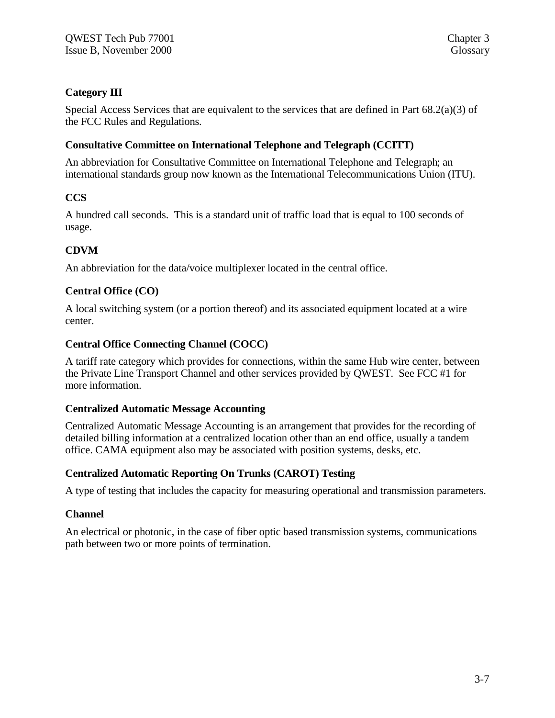# **Category III**

Special Access Services that are equivalent to the services that are defined in Part 68.2(a)(3) of the FCC Rules and Regulations.

## **Consultative Committee on International Telephone and Telegraph (CCITT)**

An abbreviation for Consultative Committee on International Telephone and Telegraph; an international standards group now known as the International Telecommunications Union (ITU).

# **CCS**

A hundred call seconds. This is a standard unit of traffic load that is equal to 100 seconds of usage.

# **CDVM**

An abbreviation for the data/voice multiplexer located in the central office.

# **Central Office (CO)**

A local switching system (or a portion thereof) and its associated equipment located at a wire center.

# **Central Office Connecting Channel (COCC)**

A tariff rate category which provides for connections, within the same Hub wire center, between the Private Line Transport Channel and other services provided by QWEST. See FCC #1 for more information.

## **Centralized Automatic Message Accounting**

Centralized Automatic Message Accounting is an arrangement that provides for the recording of detailed billing information at a centralized location other than an end office, usually a tandem office. CAMA equipment also may be associated with position systems, desks, etc.

## **Centralized Automatic Reporting On Trunks (CAROT) Testing**

A type of testing that includes the capacity for measuring operational and transmission parameters.

## **Channel**

An electrical or photonic, in the case of fiber optic based transmission systems, communications path between two or more points of termination.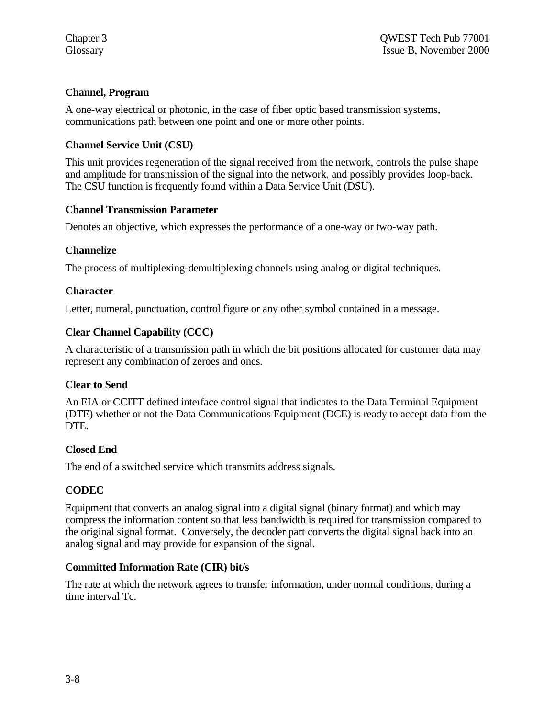# **Channel, Program**

A one-way electrical or photonic, in the case of fiber optic based transmission systems, communications path between one point and one or more other points.

# **Channel Service Unit (CSU)**

This unit provides regeneration of the signal received from the network, controls the pulse shape and amplitude for transmission of the signal into the network, and possibly provides loop-back. The CSU function is frequently found within a Data Service Unit (DSU).

## **Channel Transmission Parameter**

Denotes an objective, which expresses the performance of a one-way or two-way path.

## **Channelize**

The process of multiplexing-demultiplexing channels using analog or digital techniques.

## **Character**

Letter, numeral, punctuation, control figure or any other symbol contained in a message.

## **Clear Channel Capability (CCC)**

A characteristic of a transmission path in which the bit positions allocated for customer data may represent any combination of zeroes and ones.

## **Clear to Send**

An EIA or CCITT defined interface control signal that indicates to the Data Terminal Equipment (DTE) whether or not the Data Communications Equipment (DCE) is ready to accept data from the DTE.

## **Closed End**

The end of a switched service which transmits address signals.

## **CODEC**

Equipment that converts an analog signal into a digital signal (binary format) and which may compress the information content so that less bandwidth is required for transmission compared to the original signal format. Conversely, the decoder part converts the digital signal back into an analog signal and may provide for expansion of the signal.

## **Committed Information Rate (CIR) bit/s**

The rate at which the network agrees to transfer information, under normal conditions, during a time interval Tc.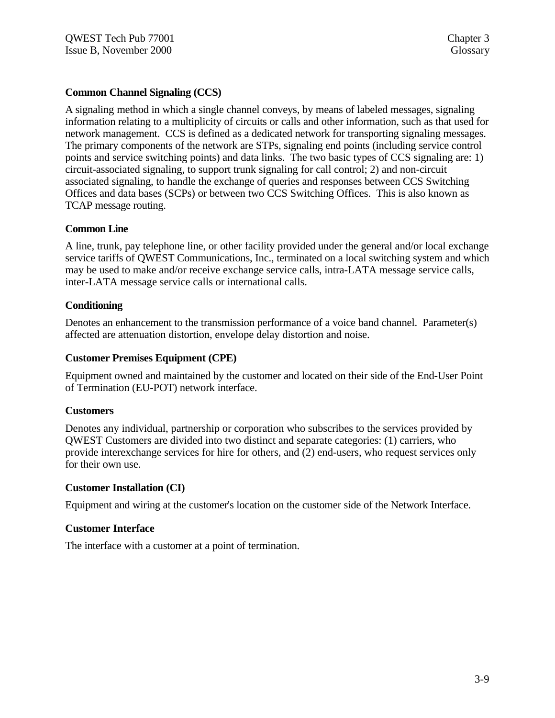## **Common Channel Signaling (CCS)**

A signaling method in which a single channel conveys, by means of labeled messages, signaling information relating to a multiplicity of circuits or calls and other information, such as that used for network management. CCS is defined as a dedicated network for transporting signaling messages. The primary components of the network are STPs, signaling end points (including service control points and service switching points) and data links. The two basic types of CCS signaling are: 1) circuit-associated signaling, to support trunk signaling for call control; 2) and non-circuit associated signaling, to handle the exchange of queries and responses between CCS Switching Offices and data bases (SCPs) or between two CCS Switching Offices. This is also known as TCAP message routing.

#### **Common Line**

A line, trunk, pay telephone line, or other facility provided under the general and/or local exchange service tariffs of QWEST Communications, Inc., terminated on a local switching system and which may be used to make and/or receive exchange service calls, intra-LATA message service calls, inter-LATA message service calls or international calls.

#### **Conditioning**

Denotes an enhancement to the transmission performance of a voice band channel. Parameter(s) affected are attenuation distortion, envelope delay distortion and noise.

#### **Customer Premises Equipment (CPE)**

Equipment owned and maintained by the customer and located on their side of the End-User Point of Termination (EU-POT) network interface.

#### **Customers**

Denotes any individual, partnership or corporation who subscribes to the services provided by QWEST Customers are divided into two distinct and separate categories: (1) carriers, who provide interexchange services for hire for others, and (2) end-users, who request services only for their own use.

#### **Customer Installation (CI)**

Equipment and wiring at the customer's location on the customer side of the Network Interface.

#### **Customer Interface**

The interface with a customer at a point of termination.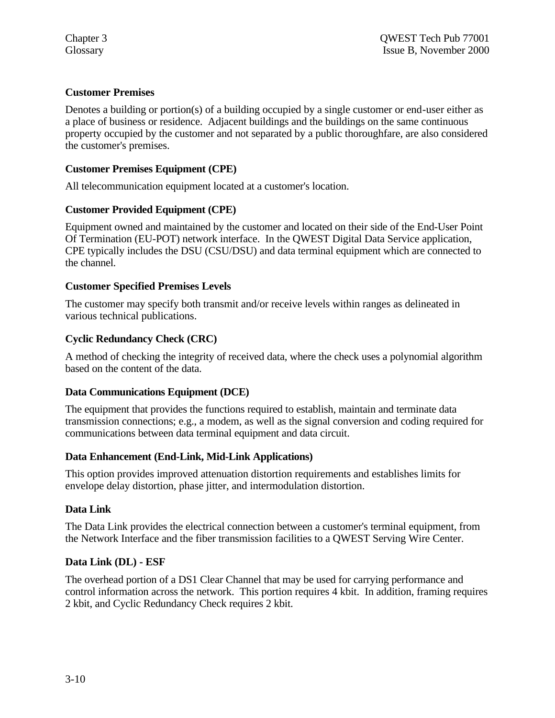## **Customer Premises**

Denotes a building or portion(s) of a building occupied by a single customer or end-user either as a place of business or residence. Adjacent buildings and the buildings on the same continuous property occupied by the customer and not separated by a public thoroughfare, are also considered the customer's premises.

## **Customer Premises Equipment (CPE)**

All telecommunication equipment located at a customer's location.

## **Customer Provided Equipment (CPE)**

Equipment owned and maintained by the customer and located on their side of the End-User Point Of Termination (EU-POT) network interface. In the QWEST Digital Data Service application, CPE typically includes the DSU (CSU/DSU) and data terminal equipment which are connected to the channel.

#### **Customer Specified Premises Levels**

The customer may specify both transmit and/or receive levels within ranges as delineated in various technical publications.

## **Cyclic Redundancy Check (CRC)**

A method of checking the integrity of received data, where the check uses a polynomial algorithm based on the content of the data.

#### **Data Communications Equipment (DCE)**

The equipment that provides the functions required to establish, maintain and terminate data transmission connections; e.g., a modem, as well as the signal conversion and coding required for communications between data terminal equipment and data circuit.

#### **Data Enhancement (End-Link, Mid-Link Applications)**

This option provides improved attenuation distortion requirements and establishes limits for envelope delay distortion, phase jitter, and intermodulation distortion.

#### **Data Link**

The Data Link provides the electrical connection between a customer's terminal equipment, from the Network Interface and the fiber transmission facilities to a QWEST Serving Wire Center.

#### **Data Link (DL) - ESF**

The overhead portion of a DS1 Clear Channel that may be used for carrying performance and control information across the network. This portion requires 4 kbit. In addition, framing requires 2 kbit, and Cyclic Redundancy Check requires 2 kbit.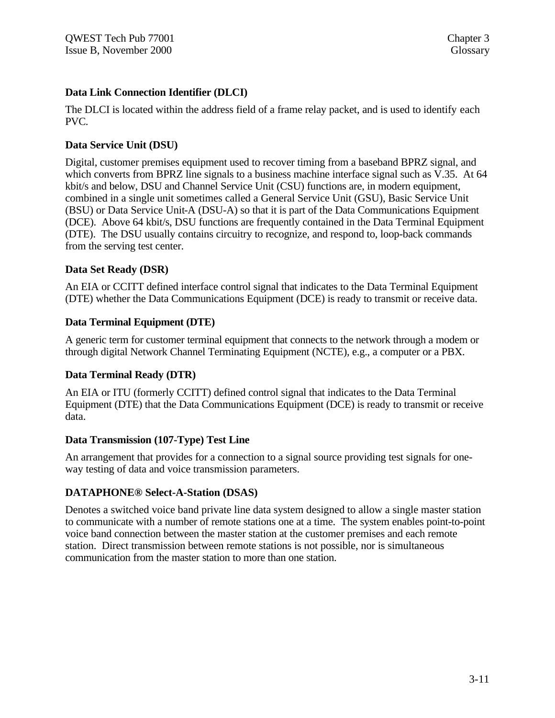## **Data Link Connection Identifier (DLCI)**

The DLCI is located within the address field of a frame relay packet, and is used to identify each PVC.

# **Data Service Unit (DSU)**

Digital, customer premises equipment used to recover timing from a baseband BPRZ signal, and which converts from BPRZ line signals to a business machine interface signal such as V.35. At 64 kbit/s and below, DSU and Channel Service Unit (CSU) functions are, in modern equipment, combined in a single unit sometimes called a General Service Unit (GSU), Basic Service Unit (BSU) or Data Service Unit-A (DSU-A) so that it is part of the Data Communications Equipment (DCE). Above 64 kbit/s, DSU functions are frequently contained in the Data Terminal Equipment (DTE). The DSU usually contains circuitry to recognize, and respond to, loop-back commands from the serving test center.

# **Data Set Ready (DSR)**

An EIA or CCITT defined interface control signal that indicates to the Data Terminal Equipment (DTE) whether the Data Communications Equipment (DCE) is ready to transmit or receive data.

## **Data Terminal Equipment (DTE)**

A generic term for customer terminal equipment that connects to the network through a modem or through digital Network Channel Terminating Equipment (NCTE), e.g., a computer or a PBX.

## **Data Terminal Ready (DTR)**

An EIA or ITU (formerly CCITT) defined control signal that indicates to the Data Terminal Equipment (DTE) that the Data Communications Equipment (DCE) is ready to transmit or receive data.

## **Data Transmission (107-Type) Test Line**

An arrangement that provides for a connection to a signal source providing test signals for oneway testing of data and voice transmission parameters.

# **DATAPHONE® Select-A-Station (DSAS)**

Denotes a switched voice band private line data system designed to allow a single master station to communicate with a number of remote stations one at a time. The system enables point-to-point voice band connection between the master station at the customer premises and each remote station. Direct transmission between remote stations is not possible, nor is simultaneous communication from the master station to more than one station.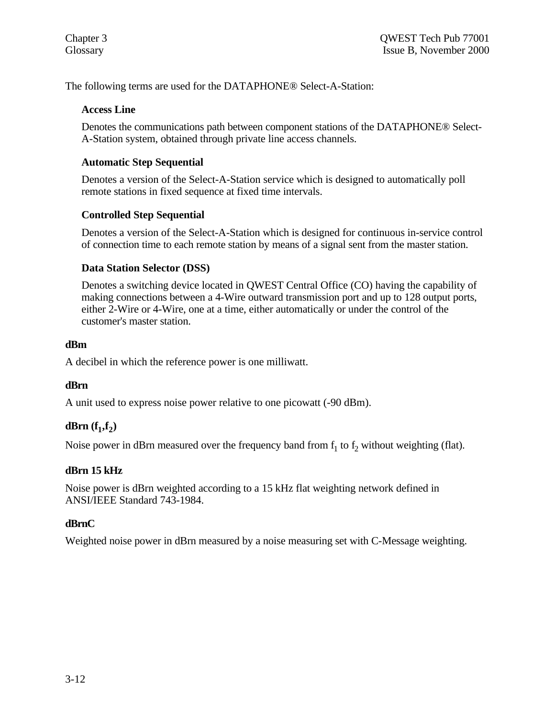The following terms are used for the DATAPHONE® Select-A-Station:

#### **Access Line**

Denotes the communications path between component stations of the DATAPHONE® Select-A-Station system, obtained through private line access channels.

## **Automatic Step Sequential**

Denotes a version of the Select-A-Station service which is designed to automatically poll remote stations in fixed sequence at fixed time intervals.

## **Controlled Step Sequential**

Denotes a version of the Select-A-Station which is designed for continuous in-service control of connection time to each remote station by means of a signal sent from the master station.

## **Data Station Selector (DSS)**

Denotes a switching device located in QWEST Central Office (CO) having the capability of making connections between a 4-Wire outward transmission port and up to 128 output ports, either 2-Wire or 4-Wire, one at a time, either automatically or under the control of the customer's master station.

#### **dBm**

A decibel in which the reference power is one milliwatt.

#### **dBrn**

A unit used to express noise power relative to one picowatt (-90 dBm).

# **dBrn**  $(f_1, f_2)$

Noise power in dBrn measured over the frequency band from  $f_1$  to  $f_2$  without weighting (flat).

#### **dBrn 15 kHz**

Noise power is dBrn weighted according to a 15 kHz flat weighting network defined in ANSI/IEEE Standard 743-1984.

## **dBrnC**

Weighted noise power in dBrn measured by a noise measuring set with C-Message weighting.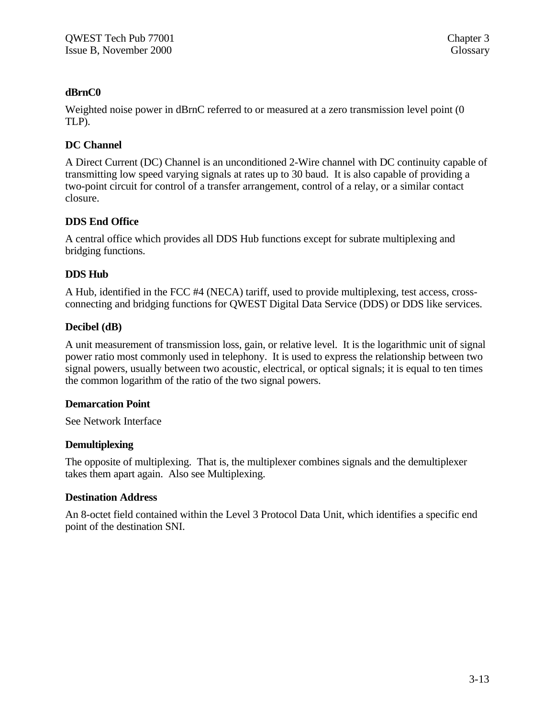## **dBrnC0**

Weighted noise power in dBrnC referred to or measured at a zero transmission level point (0 TLP).

## **DC Channel**

A Direct Current (DC) Channel is an unconditioned 2-Wire channel with DC continuity capable of transmitting low speed varying signals at rates up to 30 baud. It is also capable of providing a two-point circuit for control of a transfer arrangement, control of a relay, or a similar contact closure.

## **DDS End Office**

A central office which provides all DDS Hub functions except for subrate multiplexing and bridging functions.

## **DDS Hub**

A Hub, identified in the FCC #4 (NECA) tariff, used to provide multiplexing, test access, crossconnecting and bridging functions for QWEST Digital Data Service (DDS) or DDS like services.

## **Decibel (dB)**

A unit measurement of transmission loss, gain, or relative level. It is the logarithmic unit of signal power ratio most commonly used in telephony. It is used to express the relationship between two signal powers, usually between two acoustic, electrical, or optical signals; it is equal to ten times the common logarithm of the ratio of the two signal powers.

#### **Demarcation Point**

See Network Interface

#### **Demultiplexing**

The opposite of multiplexing. That is, the multiplexer combines signals and the demultiplexer takes them apart again. Also see Multiplexing.

#### **Destination Address**

An 8-octet field contained within the Level 3 Protocol Data Unit, which identifies a specific end point of the destination SNI.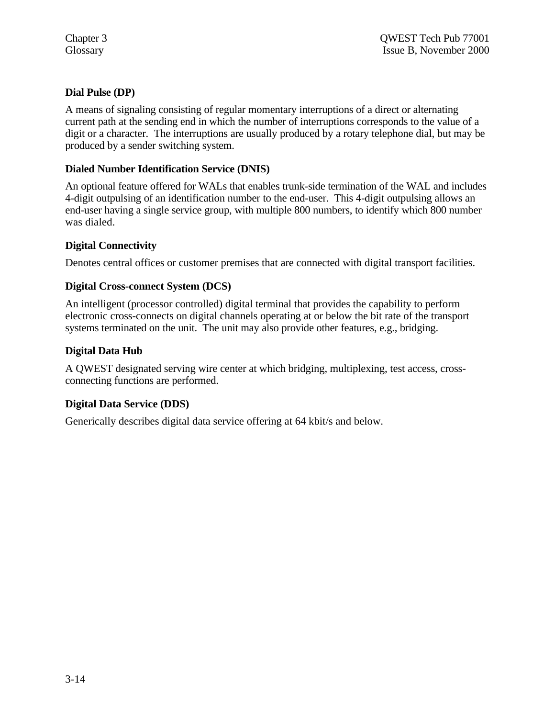# **Dial Pulse (DP)**

A means of signaling consisting of regular momentary interruptions of a direct or alternating current path at the sending end in which the number of interruptions corresponds to the value of a digit or a character. The interruptions are usually produced by a rotary telephone dial, but may be produced by a sender switching system.

# **Dialed Number Identification Service (DNIS)**

An optional feature offered for WALs that enables trunk-side termination of the WAL and includes 4-digit outpulsing of an identification number to the end-user. This 4-digit outpulsing allows an end-user having a single service group, with multiple 800 numbers, to identify which 800 number was dialed.

# **Digital Connectivity**

Denotes central offices or customer premises that are connected with digital transport facilities.

# **Digital Cross-connect System (DCS)**

An intelligent (processor controlled) digital terminal that provides the capability to perform electronic cross-connects on digital channels operating at or below the bit rate of the transport systems terminated on the unit. The unit may also provide other features, e.g., bridging.

## **Digital Data Hub**

A QWEST designated serving wire center at which bridging, multiplexing, test access, crossconnecting functions are performed.

## **Digital Data Service (DDS)**

Generically describes digital data service offering at 64 kbit/s and below.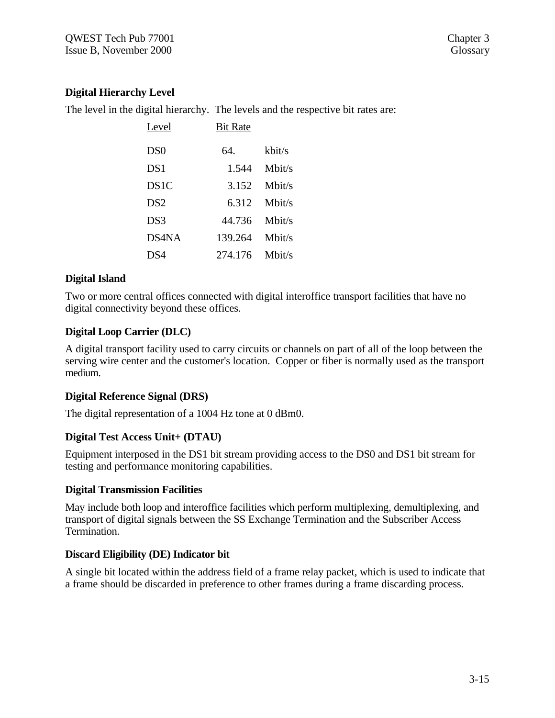# **Digital Hierarchy Level**

The level in the digital hierarchy. The levels and the respective bit rates are:

| Level           | <b>Bit Rate</b> |           |
|-----------------|-----------------|-----------|
| D <sub>S0</sub> | 64.             | kbit/s    |
| DS1             | 1.544           | Mbit/s    |
| DS1C            | 3.152           | Mbit/s    |
| DS <sub>2</sub> | 6.312           | Mbit/s    |
| DS <sub>3</sub> | 44.736          | $M$ hit/s |
| DS4NA           | 139.264         | Mbit/s    |
| DS4             | 274.176         | Mbit/s    |

## **Digital Island**

Two or more central offices connected with digital interoffice transport facilities that have no digital connectivity beyond these offices.

# **Digital Loop Carrier (DLC)**

A digital transport facility used to carry circuits or channels on part of all of the loop between the serving wire center and the customer's location. Copper or fiber is normally used as the transport medium.

## **Digital Reference Signal (DRS)**

The digital representation of a 1004 Hz tone at 0 dBm0.

## **Digital Test Access Unit+ (DTAU)**

Equipment interposed in the DS1 bit stream providing access to the DS0 and DS1 bit stream for testing and performance monitoring capabilities.

## **Digital Transmission Facilities**

May include both loop and interoffice facilities which perform multiplexing, demultiplexing, and transport of digital signals between the SS Exchange Termination and the Subscriber Access Termination.

## **Discard Eligibility (DE) Indicator bit**

A single bit located within the address field of a frame relay packet, which is used to indicate that a frame should be discarded in preference to other frames during a frame discarding process.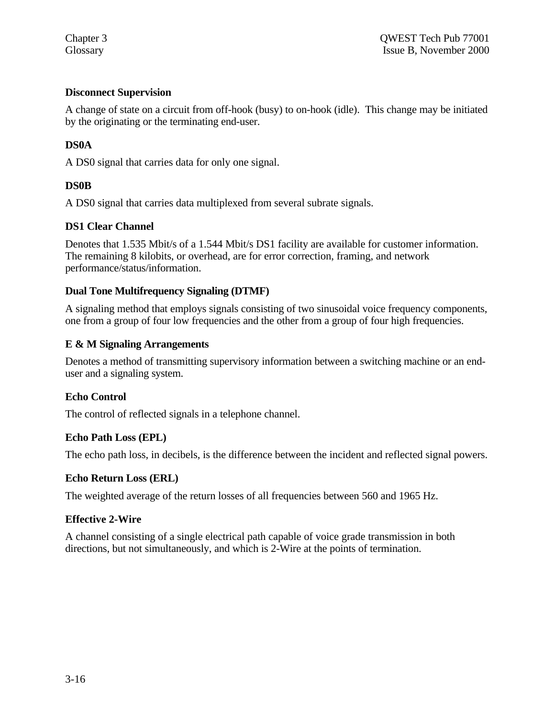## **Disconnect Supervision**

A change of state on a circuit from off-hook (busy) to on-hook (idle). This change may be initiated by the originating or the terminating end-user.

## **DS0A**

A DS0 signal that carries data for only one signal.

## **DS0B**

A DS0 signal that carries data multiplexed from several subrate signals.

## **DS1 Clear Channel**

Denotes that 1.535 Mbit/s of a 1.544 Mbit/s DS1 facility are available for customer information. The remaining 8 kilobits, or overhead, are for error correction, framing, and network performance/status/information.

## **Dual Tone Multifrequency Signaling (DTMF)**

A signaling method that employs signals consisting of two sinusoidal voice frequency components, one from a group of four low frequencies and the other from a group of four high frequencies.

## **E & M Signaling Arrangements**

Denotes a method of transmitting supervisory information between a switching machine or an enduser and a signaling system.

## **Echo Control**

The control of reflected signals in a telephone channel.

## **Echo Path Loss (EPL)**

The echo path loss, in decibels, is the difference between the incident and reflected signal powers.

## **Echo Return Loss (ERL)**

The weighted average of the return losses of all frequencies between 560 and 1965 Hz.

#### **Effective 2-Wire**

A channel consisting of a single electrical path capable of voice grade transmission in both directions, but not simultaneously, and which is 2-Wire at the points of termination.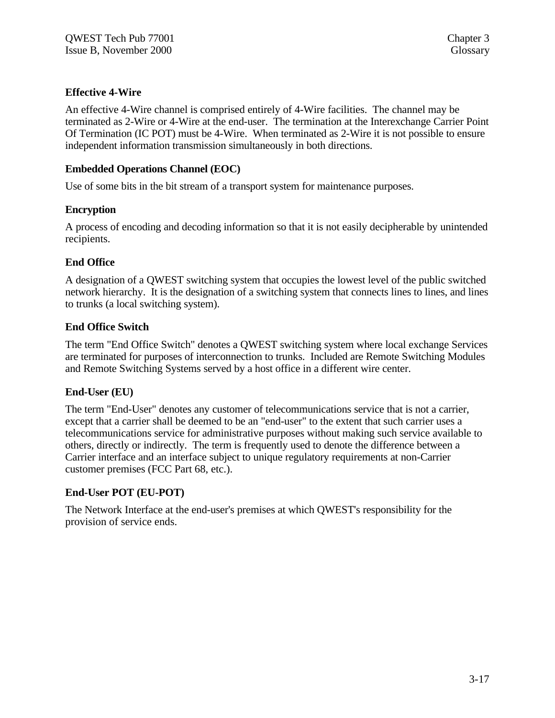## **Effective 4-Wire**

An effective 4-Wire channel is comprised entirely of 4-Wire facilities. The channel may be terminated as 2-Wire or 4-Wire at the end-user. The termination at the Interexchange Carrier Point Of Termination (IC POT) must be 4-Wire. When terminated as 2-Wire it is not possible to ensure independent information transmission simultaneously in both directions.

# **Embedded Operations Channel (EOC)**

Use of some bits in the bit stream of a transport system for maintenance purposes.

## **Encryption**

A process of encoding and decoding information so that it is not easily decipherable by unintended recipients.

# **End Office**

A designation of a QWEST switching system that occupies the lowest level of the public switched network hierarchy. It is the designation of a switching system that connects lines to lines, and lines to trunks (a local switching system).

## **End Office Switch**

The term "End Office Switch" denotes a QWEST switching system where local exchange Services are terminated for purposes of interconnection to trunks. Included are Remote Switching Modules and Remote Switching Systems served by a host office in a different wire center.

## **End-User (EU)**

The term "End-User" denotes any customer of telecommunications service that is not a carrier, except that a carrier shall be deemed to be an "end-user" to the extent that such carrier uses a telecommunications service for administrative purposes without making such service available to others, directly or indirectly. The term is frequently used to denote the difference between a Carrier interface and an interface subject to unique regulatory requirements at non-Carrier customer premises (FCC Part 68, etc.).

## **End-User POT (EU-POT)**

The Network Interface at the end-user's premises at which QWEST's responsibility for the provision of service ends.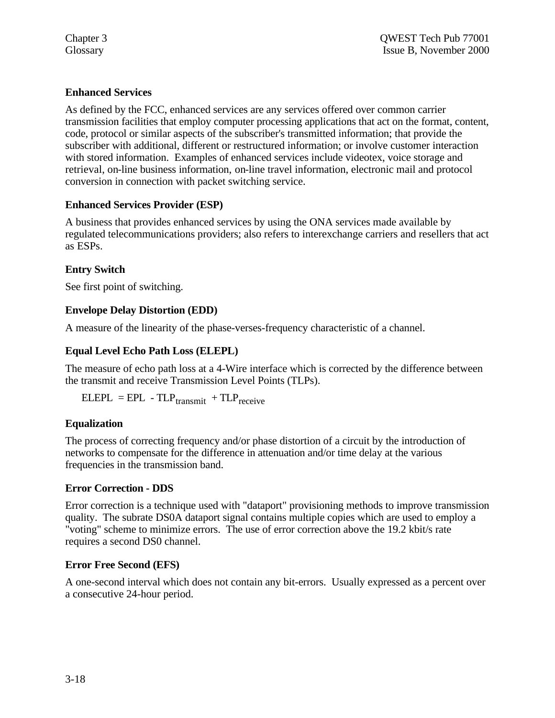# **Enhanced Services**

As defined by the FCC, enhanced services are any services offered over common carrier transmission facilities that employ computer processing applications that act on the format, content, code, protocol or similar aspects of the subscriber's transmitted information; that provide the subscriber with additional, different or restructured information; or involve customer interaction with stored information. Examples of enhanced services include videotex, voice storage and retrieval, on-line business information, on-line travel information, electronic mail and protocol conversion in connection with packet switching service.

# **Enhanced Services Provider (ESP)**

A business that provides enhanced services by using the ONA services made available by regulated telecommunications providers; also refers to interexchange carriers and resellers that act as ESPs.

# **Entry Switch**

See first point of switching.

## **Envelope Delay Distortion (EDD)**

A measure of the linearity of the phase-verses-frequency characteristic of a channel.

# **Equal Level Echo Path Loss (ELEPL)**

The measure of echo path loss at a 4-Wire interface which is corrected by the difference between the transmit and receive Transmission Level Points (TLPs).

 $ELEPL = EPL - TLP_{transmit} + TLP_{receive}$ 

## **Equalization**

The process of correcting frequency and/or phase distortion of a circuit by the introduction of networks to compensate for the difference in attenuation and/or time delay at the various frequencies in the transmission band.

## **Error Correction - DDS**

Error correction is a technique used with "dataport" provisioning methods to improve transmission quality. The subrate DS0A dataport signal contains multiple copies which are used to employ a "voting" scheme to minimize errors. The use of error correction above the 19.2 kbit/s rate requires a second DS0 channel.

## **Error Free Second (EFS)**

A one-second interval which does not contain any bit-errors. Usually expressed as a percent over a consecutive 24-hour period.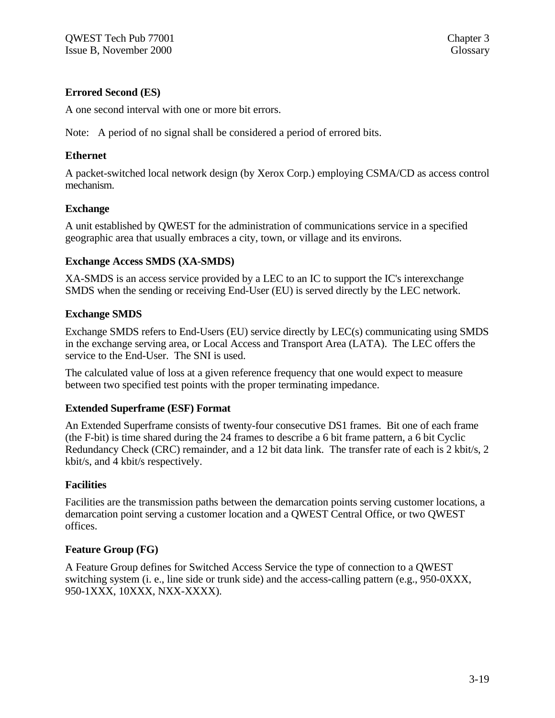## **Errored Second (ES)**

A one second interval with one or more bit errors.

Note: A period of no signal shall be considered a period of errored bits.

#### **Ethernet**

A packet-switched local network design (by Xerox Corp.) employing CSMA/CD as access control mechanism.

#### **Exchange**

A unit established by QWEST for the administration of communications service in a specified geographic area that usually embraces a city, town, or village and its environs.

#### **Exchange Access SMDS (XA-SMDS)**

XA-SMDS is an access service provided by a LEC to an IC to support the IC's interexchange SMDS when the sending or receiving End-User (EU) is served directly by the LEC network.

#### **Exchange SMDS**

Exchange SMDS refers to End-Users (EU) service directly by LEC(s) communicating using SMDS in the exchange serving area, or Local Access and Transport Area (LATA). The LEC offers the service to the End-User. The SNI is used.

The calculated value of loss at a given reference frequency that one would expect to measure between two specified test points with the proper terminating impedance.

#### **Extended Superframe (ESF) Format**

An Extended Superframe consists of twenty-four consecutive DS1 frames. Bit one of each frame (the F-bit) is time shared during the 24 frames to describe a 6 bit frame pattern, a 6 bit Cyclic Redundancy Check (CRC) remainder, and a 12 bit data link. The transfer rate of each is 2 kbit/s, 2 kbit/s, and 4 kbit/s respectively.

#### **Facilities**

Facilities are the transmission paths between the demarcation points serving customer locations, a demarcation point serving a customer location and a QWEST Central Office, or two QWEST offices.

#### **Feature Group (FG)**

A Feature Group defines for Switched Access Service the type of connection to a QWEST switching system (i. e., line side or trunk side) and the access-calling pattern (e.g., 950-0XXX, 950-1XXX, 10XXX, NXX-XXXX).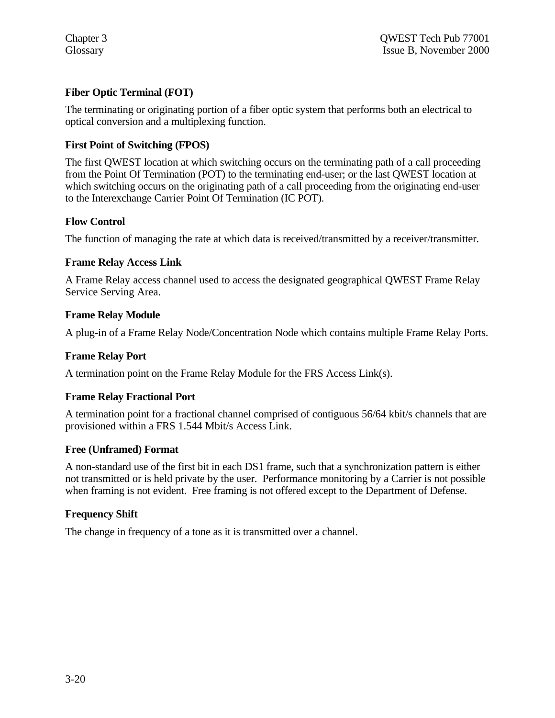## **Fiber Optic Terminal (FOT)**

The terminating or originating portion of a fiber optic system that performs both an electrical to optical conversion and a multiplexing function.

## **First Point of Switching (FPOS)**

The first QWEST location at which switching occurs on the terminating path of a call proceeding from the Point Of Termination (POT) to the terminating end-user; or the last QWEST location at which switching occurs on the originating path of a call proceeding from the originating end-user to the Interexchange Carrier Point Of Termination (IC POT).

## **Flow Control**

The function of managing the rate at which data is received/transmitted by a receiver/transmitter.

## **Frame Relay Access Link**

A Frame Relay access channel used to access the designated geographical QWEST Frame Relay Service Serving Area.

## **Frame Relay Module**

A plug-in of a Frame Relay Node/Concentration Node which contains multiple Frame Relay Ports.

## **Frame Relay Port**

A termination point on the Frame Relay Module for the FRS Access Link(s).

#### **Frame Relay Fractional Port**

A termination point for a fractional channel comprised of contiguous 56/64 kbit/s channels that are provisioned within a FRS 1.544 Mbit/s Access Link.

#### **Free (Unframed) Format**

A non-standard use of the first bit in each DS1 frame, such that a synchronization pattern is either not transmitted or is held private by the user. Performance monitoring by a Carrier is not possible when framing is not evident. Free framing is not offered except to the Department of Defense.

#### **Frequency Shift**

The change in frequency of a tone as it is transmitted over a channel.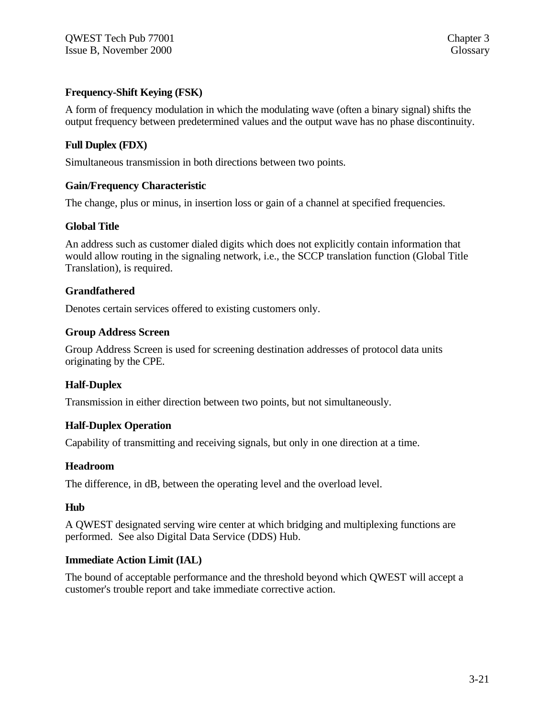## **Frequency-Shift Keying (FSK)**

A form of frequency modulation in which the modulating wave (often a binary signal) shifts the output frequency between predetermined values and the output wave has no phase discontinuity.

## **Full Duplex (FDX)**

Simultaneous transmission in both directions between two points.

#### **Gain/Frequency Characteristic**

The change, plus or minus, in insertion loss or gain of a channel at specified frequencies.

#### **Global Title**

An address such as customer dialed digits which does not explicitly contain information that would allow routing in the signaling network, i.e., the SCCP translation function (Global Title Translation), is required.

#### **Grandfathered**

Denotes certain services offered to existing customers only.

#### **Group Address Screen**

Group Address Screen is used for screening destination addresses of protocol data units originating by the CPE.

#### **Half-Duplex**

Transmission in either direction between two points, but not simultaneously.

#### **Half-Duplex Operation**

Capability of transmitting and receiving signals, but only in one direction at a time.

#### **Headroom**

The difference, in dB, between the operating level and the overload level.

#### **Hub**

A QWEST designated serving wire center at which bridging and multiplexing functions are performed. See also Digital Data Service (DDS) Hub.

#### **Immediate Action Limit (IAL)**

The bound of acceptable performance and the threshold beyond which QWEST will accept a customer's trouble report and take immediate corrective action.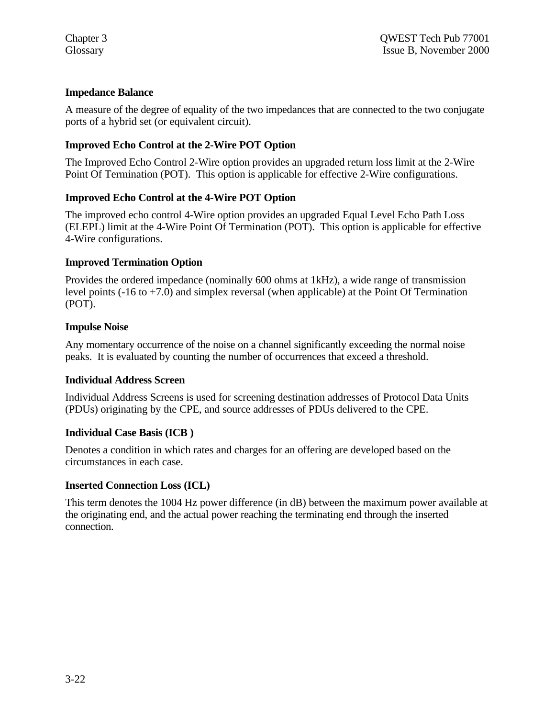## **Impedance Balance**

A measure of the degree of equality of the two impedances that are connected to the two conjugate ports of a hybrid set (or equivalent circuit).

# **Improved Echo Control at the 2-Wire POT Option**

The Improved Echo Control 2-Wire option provides an upgraded return loss limit at the 2-Wire Point Of Termination (POT). This option is applicable for effective 2-Wire configurations.

## **Improved Echo Control at the 4-Wire POT Option**

The improved echo control 4-Wire option provides an upgraded Equal Level Echo Path Loss (ELEPL) limit at the 4-Wire Point Of Termination (POT). This option is applicable for effective 4-Wire configurations.

## **Improved Termination Option**

Provides the ordered impedance (nominally 600 ohms at 1kHz), a wide range of transmission level points  $(-16 \text{ to } +7.0)$  and simplex reversal (when applicable) at the Point Of Termination (POT).

#### **Impulse Noise**

Any momentary occurrence of the noise on a channel significantly exceeding the normal noise peaks. It is evaluated by counting the number of occurrences that exceed a threshold.

#### **Individual Address Screen**

Individual Address Screens is used for screening destination addresses of Protocol Data Units (PDUs) originating by the CPE, and source addresses of PDUs delivered to the CPE.

#### **Individual Case Basis (ICB )**

Denotes a condition in which rates and charges for an offering are developed based on the circumstances in each case.

#### **Inserted Connection Loss (ICL)**

This term denotes the 1004 Hz power difference (in dB) between the maximum power available at the originating end, and the actual power reaching the terminating end through the inserted connection.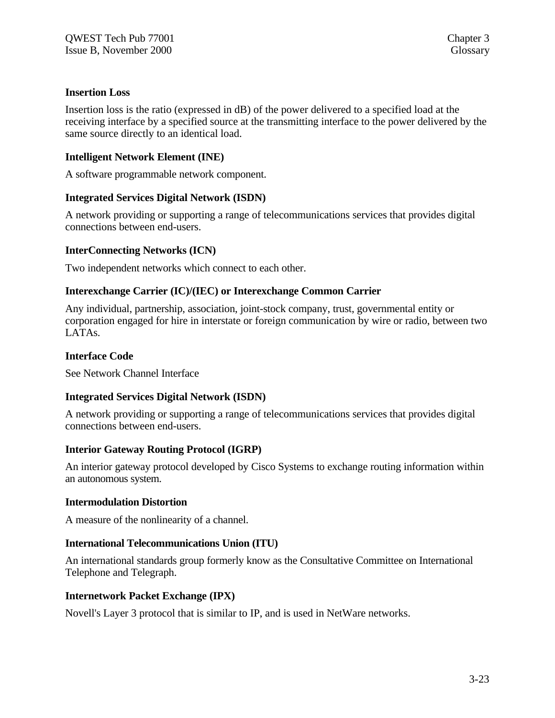#### **Insertion Loss**

Insertion loss is the ratio (expressed in dB) of the power delivered to a specified load at the receiving interface by a specified source at the transmitting interface to the power delivered by the same source directly to an identical load.

## **Intelligent Network Element (INE)**

A software programmable network component.

#### **Integrated Services Digital Network (ISDN)**

A network providing or supporting a range of telecommunications services that provides digital connections between end-users.

#### **InterConnecting Networks (ICN)**

Two independent networks which connect to each other.

#### **Interexchange Carrier (IC)/(IEC) or Interexchange Common Carrier**

Any individual, partnership, association, joint-stock company, trust, governmental entity or corporation engaged for hire in interstate or foreign communication by wire or radio, between two LATAs.

#### **Interface Code**

See Network Channel Interface

#### **Integrated Services Digital Network (ISDN)**

A network providing or supporting a range of telecommunications services that provides digital connections between end-users.

#### **Interior Gateway Routing Protocol (IGRP)**

An interior gateway protocol developed by Cisco Systems to exchange routing information within an autonomous system.

#### **Intermodulation Distortion**

A measure of the nonlinearity of a channel.

#### **International Telecommunications Union (ITU)**

An international standards group formerly know as the Consultative Committee on International Telephone and Telegraph.

#### **Internetwork Packet Exchange (IPX)**

Novell's Layer 3 protocol that is similar to IP, and is used in NetWare networks.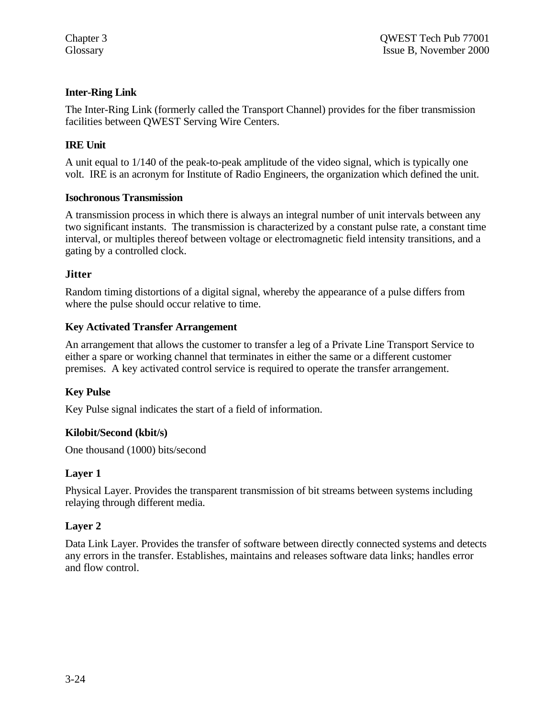## **Inter-Ring Link**

The Inter-Ring Link (formerly called the Transport Channel) provides for the fiber transmission facilities between QWEST Serving Wire Centers.

## **IRE Unit**

A unit equal to 1/140 of the peak-to-peak amplitude of the video signal, which is typically one volt. IRE is an acronym for Institute of Radio Engineers, the organization which defined the unit.

#### **Isochronous Transmission**

A transmission process in which there is always an integral number of unit intervals between any two significant instants. The transmission is characterized by a constant pulse rate, a constant time interval, or multiples thereof between voltage or electromagnetic field intensity transitions, and a gating by a controlled clock.

#### **Jitter**

Random timing distortions of a digital signal, whereby the appearance of a pulse differs from where the pulse should occur relative to time.

## **Key Activated Transfer Arrangement**

An arrangement that allows the customer to transfer a leg of a Private Line Transport Service to either a spare or working channel that terminates in either the same or a different customer premises. A key activated control service is required to operate the transfer arrangement.

#### **Key Pulse**

Key Pulse signal indicates the start of a field of information.

#### **Kilobit/Second (kbit/s)**

One thousand (1000) bits/second

## **Layer 1**

Physical Layer. Provides the transparent transmission of bit streams between systems including relaying through different media.

#### **Layer 2**

Data Link Layer. Provides the transfer of software between directly connected systems and detects any errors in the transfer. Establishes, maintains and releases software data links; handles error and flow control.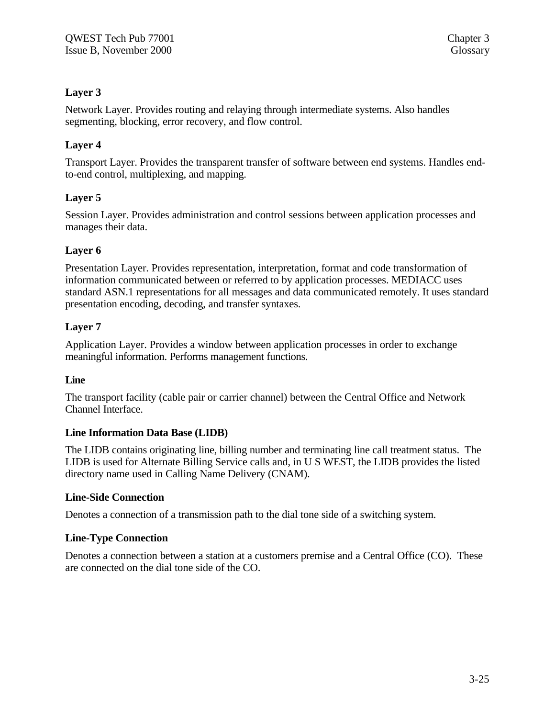# **Layer 3**

Network Layer. Provides routing and relaying through intermediate systems. Also handles segmenting, blocking, error recovery, and flow control.

# **Layer 4**

Transport Layer. Provides the transparent transfer of software between end systems. Handles endto-end control, multiplexing, and mapping.

# **Layer 5**

Session Layer. Provides administration and control sessions between application processes and manages their data.

## **Layer 6**

Presentation Layer. Provides representation, interpretation, format and code transformation of information communicated between or referred to by application processes. MEDIACC uses standard ASN.1 representations for all messages and data communicated remotely. It uses standard presentation encoding, decoding, and transfer syntaxes.

## **Layer 7**

Application Layer. Provides a window between application processes in order to exchange meaningful information. Performs management functions.

## **Line**

The transport facility (cable pair or carrier channel) between the Central Office and Network Channel Interface.

## **Line Information Data Base (LIDB)**

The LIDB contains originating line, billing number and terminating line call treatment status. The LIDB is used for Alternate Billing Service calls and, in U S WEST, the LIDB provides the listed directory name used in Calling Name Delivery (CNAM).

## **Line-Side Connection**

Denotes a connection of a transmission path to the dial tone side of a switching system.

## **Line-Type Connection**

Denotes a connection between a station at a customers premise and a Central Office (CO). These are connected on the dial tone side of the CO.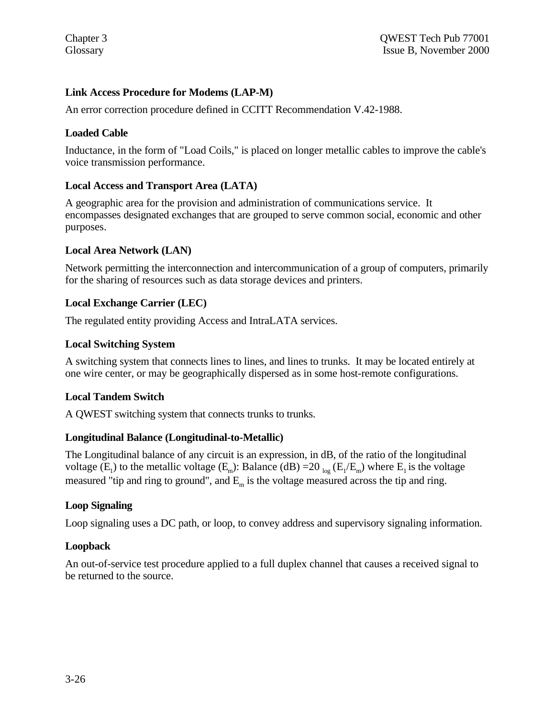## **Link Access Procedure for Modems (LAP-M)**

An error correction procedure defined in CCITT Recommendation V.42-1988.

## **Loaded Cable**

Inductance, in the form of "Load Coils," is placed on longer metallic cables to improve the cable's voice transmission performance.

## **Local Access and Transport Area (LATA)**

A geographic area for the provision and administration of communications service. It encompasses designated exchanges that are grouped to serve common social, economic and other purposes.

## **Local Area Network (LAN)**

Network permitting the interconnection and intercommunication of a group of computers, primarily for the sharing of resources such as data storage devices and printers.

## **Local Exchange Carrier (LEC)**

The regulated entity providing Access and IntraLATA services.

#### **Local Switching System**

A switching system that connects lines to lines, and lines to trunks. It may be located entirely at one wire center, or may be geographically dispersed as in some host-remote configurations.

## **Local Tandem Switch**

A QWEST switching system that connects trunks to trunks.

## **Longitudinal Balance (Longitudinal-to-Metallic)**

The Longitudinal balance of any circuit is an expression, in dB, of the ratio of the longitudinal voltage (E<sub>1</sub>) to the metallic voltage (E<sub>m</sub>): Balance (dB) = 20 <sub>log</sub> (E<sub>1</sub>/E<sub>m</sub>) where E<sub>1</sub> is the voltage measured "tip and ring to ground", and  $E_m$  is the voltage measured across the tip and ring.

#### **Loop Signaling**

Loop signaling uses a DC path, or loop, to convey address and supervisory signaling information.

## **Loopback**

An out-of-service test procedure applied to a full duplex channel that causes a received signal to be returned to the source.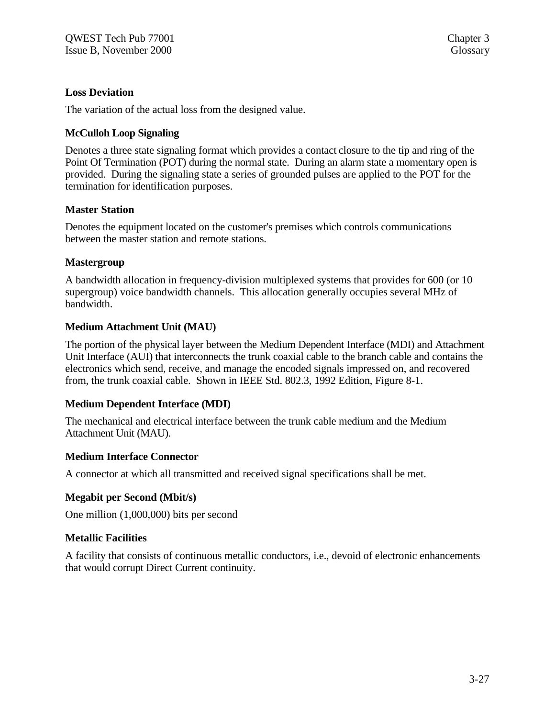#### **Loss Deviation**

The variation of the actual loss from the designed value.

#### **McCulloh Loop Signaling**

Denotes a three state signaling format which provides a contact closure to the tip and ring of the Point Of Termination (POT) during the normal state. During an alarm state a momentary open is provided. During the signaling state a series of grounded pulses are applied to the POT for the termination for identification purposes.

#### **Master Station**

Denotes the equipment located on the customer's premises which controls communications between the master station and remote stations.

## **Mastergroup**

A bandwidth allocation in frequency-division multiplexed systems that provides for 600 (or 10 supergroup) voice bandwidth channels. This allocation generally occupies several MHz of bandwidth.

## **Medium Attachment Unit (MAU)**

The portion of the physical layer between the Medium Dependent Interface (MDI) and Attachment Unit Interface (AUI) that interconnects the trunk coaxial cable to the branch cable and contains the electronics which send, receive, and manage the encoded signals impressed on, and recovered from, the trunk coaxial cable. Shown in IEEE Std. 802.3, 1992 Edition, Figure 8-1.

#### **Medium Dependent Interface (MDI)**

The mechanical and electrical interface between the trunk cable medium and the Medium Attachment Unit (MAU).

#### **Medium Interface Connector**

A connector at which all transmitted and received signal specifications shall be met.

#### **Megabit per Second (Mbit/s)**

One million (1,000,000) bits per second

#### **Metallic Facilities**

A facility that consists of continuous metallic conductors, i.e., devoid of electronic enhancements that would corrupt Direct Current continuity.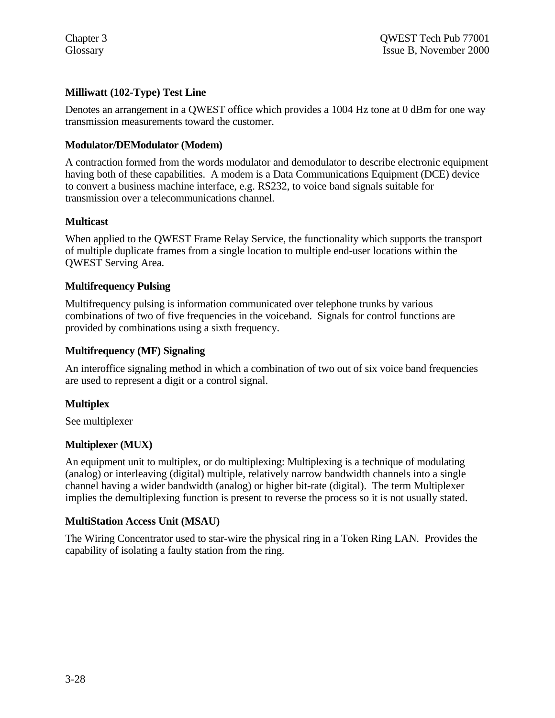# **Milliwatt (102-Type) Test Line**

Denotes an arrangement in a QWEST office which provides a 1004 Hz tone at 0 dBm for one way transmission measurements toward the customer.

## **Modulator/DEModulator (Modem)**

A contraction formed from the words modulator and demodulator to describe electronic equipment having both of these capabilities. A modem is a Data Communications Equipment (DCE) device to convert a business machine interface, e.g. RS232, to voice band signals suitable for transmission over a telecommunications channel.

## **Multicast**

When applied to the QWEST Frame Relay Service, the functionality which supports the transport of multiple duplicate frames from a single location to multiple end-user locations within the QWEST Serving Area.

## **Multifrequency Pulsing**

Multifrequency pulsing is information communicated over telephone trunks by various combinations of two of five frequencies in the voiceband. Signals for control functions are provided by combinations using a sixth frequency.

## **Multifrequency (MF) Signaling**

An interoffice signaling method in which a combination of two out of six voice band frequencies are used to represent a digit or a control signal.

## **Multiplex**

See multiplexer

#### **Multiplexer (MUX)**

An equipment unit to multiplex, or do multiplexing: Multiplexing is a technique of modulating (analog) or interleaving (digital) multiple, relatively narrow bandwidth channels into a single channel having a wider bandwidth (analog) or higher bit-rate (digital). The term Multiplexer implies the demultiplexing function is present to reverse the process so it is not usually stated.

#### **MultiStation Access Unit (MSAU)**

The Wiring Concentrator used to star-wire the physical ring in a Token Ring LAN. Provides the capability of isolating a faulty station from the ring.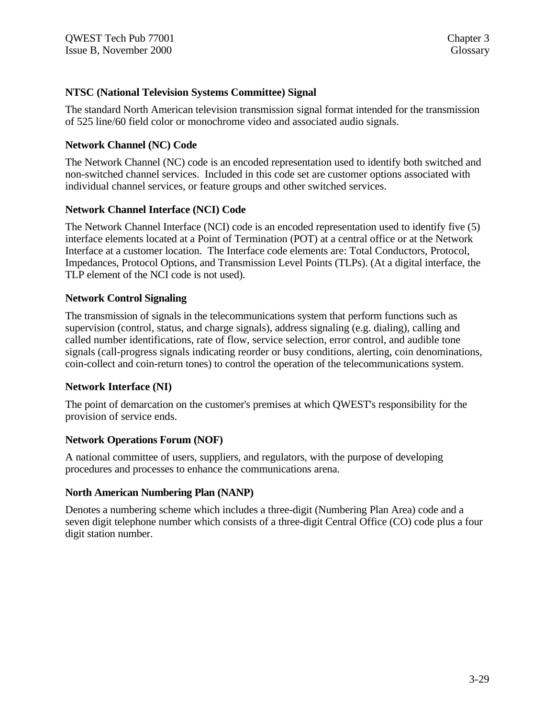#### **NTSC (National Television Systems Committee) Signal**

The standard North American television transmission signal format intended for the transmission of 525 line/60 field color or monochrome video and associated audio signals.

#### **Network Channel (NC) Code**

The Network Channel (NC) code is an encoded representation used to identify both switched and non-switched channel services. Included in this code set are customer options associated with individual channel services, or feature groups and other switched services.

## **Network Channel Interface (NCI) Code**

The Network Channel Interface (NCI) code is an encoded representation used to identify five (5) interface elements located at a Point of Termination (POT) at a central office or at the Network Interface at a customer location. The Interface code elements are: Total Conductors, Protocol, Impedances, Protocol Options, and Transmission Level Points (TLPs). (At a digital interface, the TLP element of the NCI code is not used).

#### **Network Control Signaling**

The transmission of signals in the telecommunications system that perform functions such as supervision (control, status, and charge signals), address signaling (e.g. dialing), calling and called number identifications, rate of flow, service selection, error control, and audible tone signals (call-progress signals indicating reorder or busy conditions, alerting, coin denominations, coin-collect and coin-return tones) to control the operation of the telecommunications system.

#### **Network Interface (NI)**

The point of demarcation on the customer's premises at which QWEST's responsibility for the provision of service ends.

#### **Network Operations Forum (NOF)**

A national committee of users, suppliers, and regulators, with the purpose of developing procedures and processes to enhance the communications arena.

#### **North American Numbering Plan (NANP)**

Denotes a numbering scheme which includes a three-digit (Numbering Plan Area) code and a seven digit telephone number which consists of a three-digit Central Office (CO) code plus a four digit station number.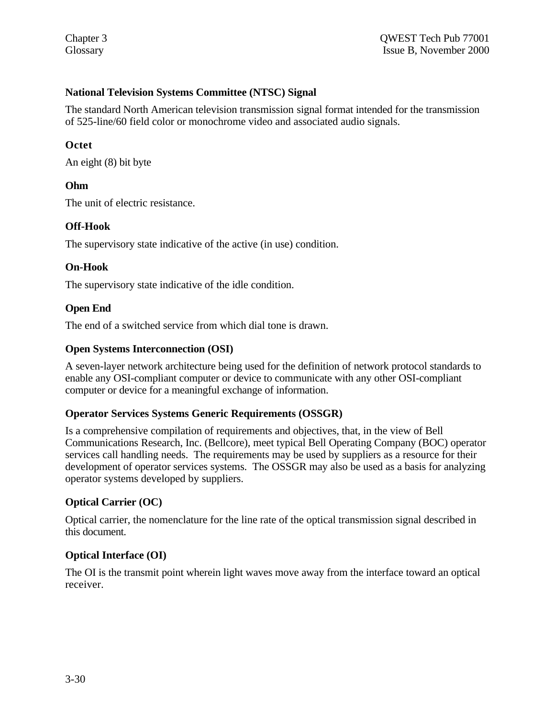## **National Television Systems Committee (NTSC) Signal**

The standard North American television transmission signal format intended for the transmission of 525-line/60 field color or monochrome video and associated audio signals.

#### **Octet**

An eight (8) bit byte

## **Ohm**

The unit of electric resistance.

#### **Off-Hook**

The supervisory state indicative of the active (in use) condition.

#### **On-Hook**

The supervisory state indicative of the idle condition.

## **Open End**

The end of a switched service from which dial tone is drawn.

#### **Open Systems Interconnection (OSI)**

A seven-layer network architecture being used for the definition of network protocol standards to enable any OSI-compliant computer or device to communicate with any other OSI-compliant computer or device for a meaningful exchange of information.

#### **Operator Services Systems Generic Requirements (OSSGR)**

Is a comprehensive compilation of requirements and objectives, that, in the view of Bell Communications Research, Inc. (Bellcore), meet typical Bell Operating Company (BOC) operator services call handling needs. The requirements may be used by suppliers as a resource for their development of operator services systems. The OSSGR may also be used as a basis for analyzing operator systems developed by suppliers.

#### **Optical Carrier (OC)**

Optical carrier, the nomenclature for the line rate of the optical transmission signal described in this document.

## **Optical Interface (OI)**

The OI is the transmit point wherein light waves move away from the interface toward an optical receiver.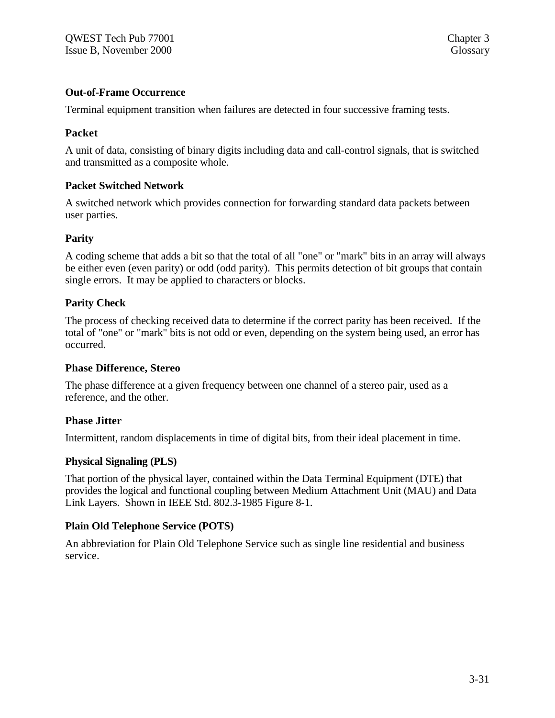#### **Out-of-Frame Occurrence**

Terminal equipment transition when failures are detected in four successive framing tests.

#### **Packet**

A unit of data, consisting of binary digits including data and call-control signals, that is switched and transmitted as a composite whole.

## **Packet Switched Network**

A switched network which provides connection for forwarding standard data packets between user parties.

#### **Parity**

A coding scheme that adds a bit so that the total of all "one" or "mark" bits in an array will always be either even (even parity) or odd (odd parity). This permits detection of bit groups that contain single errors. It may be applied to characters or blocks.

## **Parity Check**

The process of checking received data to determine if the correct parity has been received. If the total of "one" or "mark" bits is not odd or even, depending on the system being used, an error has occurred.

#### **Phase Difference, Stereo**

The phase difference at a given frequency between one channel of a stereo pair, used as a reference, and the other.

#### **Phase Jitter**

Intermittent, random displacements in time of digital bits, from their ideal placement in time.

#### **Physical Signaling (PLS)**

That portion of the physical layer, contained within the Data Terminal Equipment (DTE) that provides the logical and functional coupling between Medium Attachment Unit (MAU) and Data Link Layers. Shown in IEEE Std. 802.3-1985 Figure 8-1.

## **Plain Old Telephone Service (POTS)**

An abbreviation for Plain Old Telephone Service such as single line residential and business service.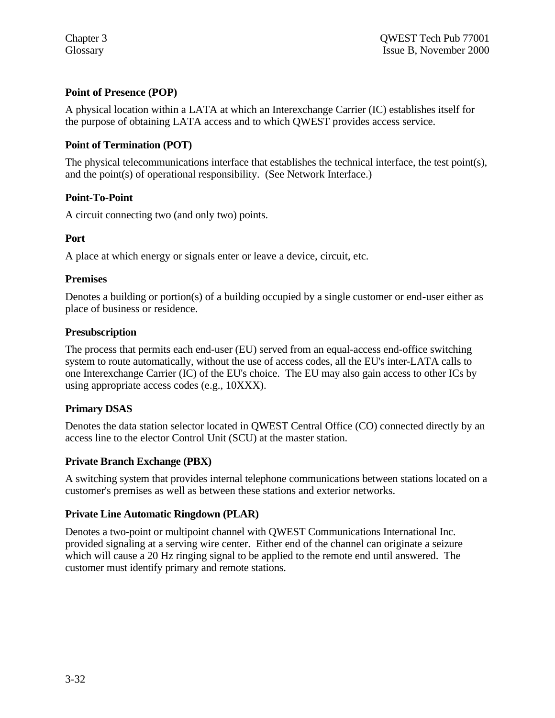# **Point of Presence (POP)**

A physical location within a LATA at which an Interexchange Carrier (IC) establishes itself for the purpose of obtaining LATA access and to which QWEST provides access service.

# **Point of Termination (POT)**

The physical telecommunications interface that establishes the technical interface, the test point(s), and the point(s) of operational responsibility. (See Network Interface.)

## **Point-To-Point**

A circuit connecting two (and only two) points.

## **Port**

A place at which energy or signals enter or leave a device, circuit, etc.

## **Premises**

Denotes a building or portion(s) of a building occupied by a single customer or end-user either as place of business or residence.

## **Presubscription**

The process that permits each end-user (EU) served from an equal-access end-office switching system to route automatically, without the use of access codes, all the EU's inter-LATA calls to one Interexchange Carrier (IC) of the EU's choice. The EU may also gain access to other ICs by using appropriate access codes (e.g., 10XXX).

## **Primary DSAS**

Denotes the data station selector located in QWEST Central Office (CO) connected directly by an access line to the elector Control Unit (SCU) at the master station.

## **Private Branch Exchange (PBX)**

A switching system that provides internal telephone communications between stations located on a customer's premises as well as between these stations and exterior networks.

## **Private Line Automatic Ringdown (PLAR)**

Denotes a two-point or multipoint channel with QWEST Communications International Inc. provided signaling at a serving wire center. Either end of the channel can originate a seizure which will cause a 20 Hz ringing signal to be applied to the remote end until answered. The customer must identify primary and remote stations.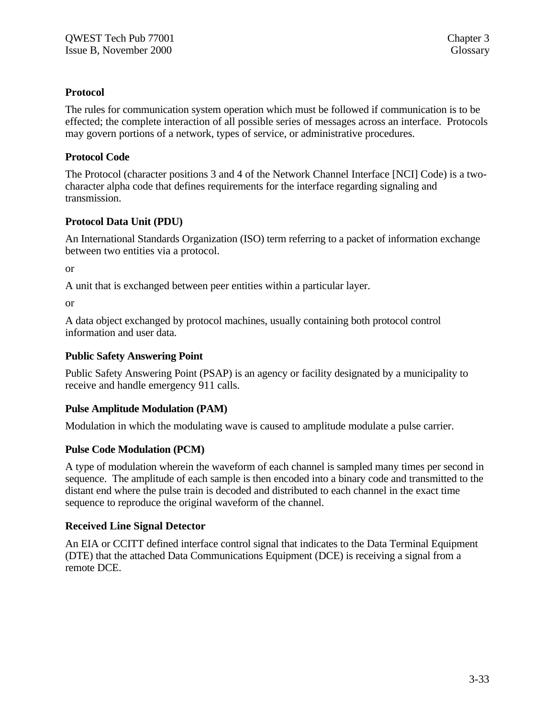# **Protocol**

The rules for communication system operation which must be followed if communication is to be effected; the complete interaction of all possible series of messages across an interface. Protocols may govern portions of a network, types of service, or administrative procedures.

# **Protocol Code**

The Protocol (character positions 3 and 4 of the Network Channel Interface [NCI] Code) is a twocharacter alpha code that defines requirements for the interface regarding signaling and transmission.

# **Protocol Data Unit (PDU)**

An International Standards Organization (ISO) term referring to a packet of information exchange between two entities via a protocol.

or

A unit that is exchanged between peer entities within a particular layer.

or

A data object exchanged by protocol machines, usually containing both protocol control information and user data.

## **Public Safety Answering Point**

Public Safety Answering Point (PSAP) is an agency or facility designated by a municipality to receive and handle emergency 911 calls.

# **Pulse Amplitude Modulation (PAM)**

Modulation in which the modulating wave is caused to amplitude modulate a pulse carrier.

# **Pulse Code Modulation (PCM)**

A type of modulation wherein the waveform of each channel is sampled many times per second in sequence. The amplitude of each sample is then encoded into a binary code and transmitted to the distant end where the pulse train is decoded and distributed to each channel in the exact time sequence to reproduce the original waveform of the channel.

# **Received Line Signal Detector**

An EIA or CCITT defined interface control signal that indicates to the Data Terminal Equipment (DTE) that the attached Data Communications Equipment (DCE) is receiving a signal from a remote DCE.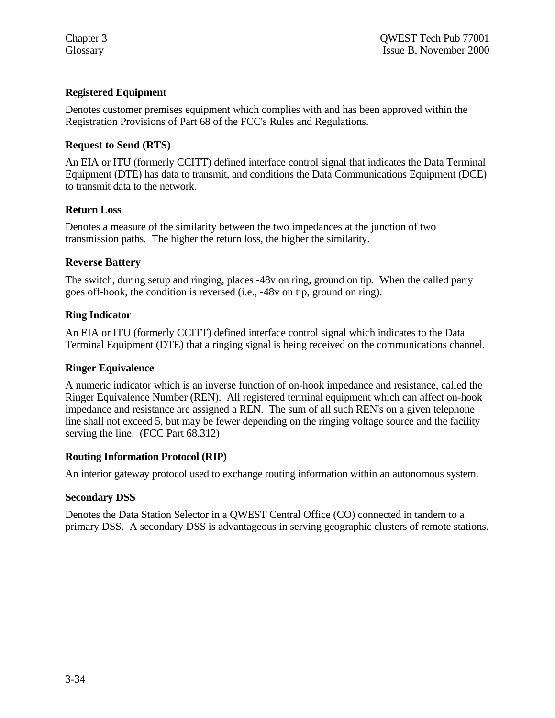## **Registered Equipment**

Denotes customer premises equipment which complies with and has been approved within the Registration Provisions of Part 68 of the FCC's Rules and Regulations.

## **Request to Send (RTS)**

An EIA or ITU (formerly CCITT) defined interface control signal that indicates the Data Terminal Equipment (DTE) has data to transmit, and conditions the Data Communications Equipment (DCE) to transmit data to the network.

## **Return Loss**

Denotes a measure of the similarity between the two impedances at the junction of two transmission paths. The higher the return loss, the higher the similarity.

## **Reverse Battery**

The switch, during setup and ringing, places -48v on ring, ground on tip. When the called party goes off-hook, the condition is reversed (i.e., -48v on tip, ground on ring).

## **Ring Indicator**

An EIA or ITU (formerly CCITT) defined interface control signal which indicates to the Data Terminal Equipment (DTE) that a ringing signal is being received on the communications channel.

## **Ringer Equivalence**

A numeric indicator which is an inverse function of on-hook impedance and resistance, called the Ringer Equivalence Number (REN). All registered terminal equipment which can affect on-hook impedance and resistance are assigned a REN. The sum of all such REN's on a given telephone line shall not exceed 5, but may be fewer depending on the ringing voltage source and the facility serving the line. (FCC Part 68.312)

## **Routing Information Protocol (RIP)**

An interior gateway protocol used to exchange routing information within an autonomous system.

## **Secondary DSS**

Denotes the Data Station Selector in a QWEST Central Office (CO) connected in tandem to a primary DSS. A secondary DSS is advantageous in serving geographic clusters of remote stations.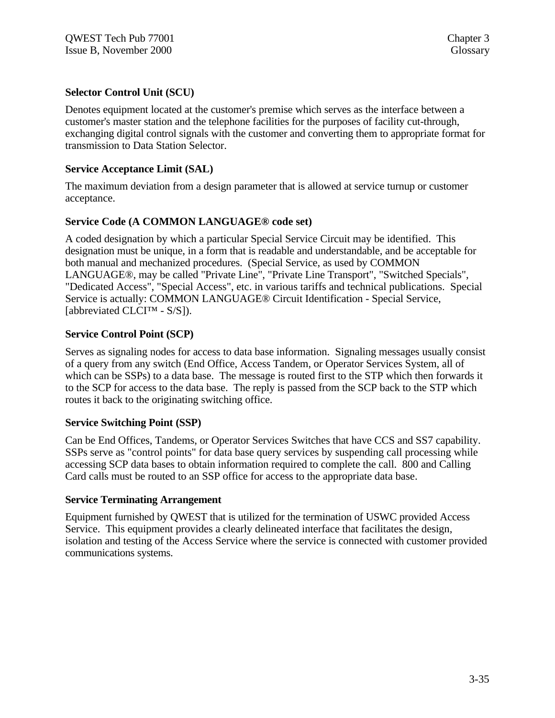## **Selector Control Unit (SCU)**

Denotes equipment located at the customer's premise which serves as the interface between a customer's master station and the telephone facilities for the purposes of facility cut-through, exchanging digital control signals with the customer and converting them to appropriate format for transmission to Data Station Selector.

## **Service Acceptance Limit (SAL)**

The maximum deviation from a design parameter that is allowed at service turnup or customer acceptance.

## **Service Code (A COMMON LANGUAGE® code set)**

A coded designation by which a particular Special Service Circuit may be identified. This designation must be unique, in a form that is readable and understandable, and be acceptable for both manual and mechanized procedures. (Special Service, as used by COMMON LANGUAGE®, may be called "Private Line", "Private Line Transport", "Switched Specials", "Dedicated Access", "Special Access", etc. in various tariffs and technical publications. Special Service is actually: COMMON LANGUAGE® Circuit Identification - Special Service, [abbreviated CLCI™ - S/S]).

## **Service Control Point (SCP)**

Serves as signaling nodes for access to data base information. Signaling messages usually consist of a query from any switch (End Office, Access Tandem, or Operator Services System, all of which can be SSPs) to a data base. The message is routed first to the STP which then forwards it to the SCP for access to the data base. The reply is passed from the SCP back to the STP which routes it back to the originating switching office.

## **Service Switching Point (SSP)**

Can be End Offices, Tandems, or Operator Services Switches that have CCS and SS7 capability. SSPs serve as "control points" for data base query services by suspending call processing while accessing SCP data bases to obtain information required to complete the call. 800 and Calling Card calls must be routed to an SSP office for access to the appropriate data base.

## **Service Terminating Arrangement**

Equipment furnished by QWEST that is utilized for the termination of USWC provided Access Service. This equipment provides a clearly delineated interface that facilitates the design, isolation and testing of the Access Service where the service is connected with customer provided communications systems.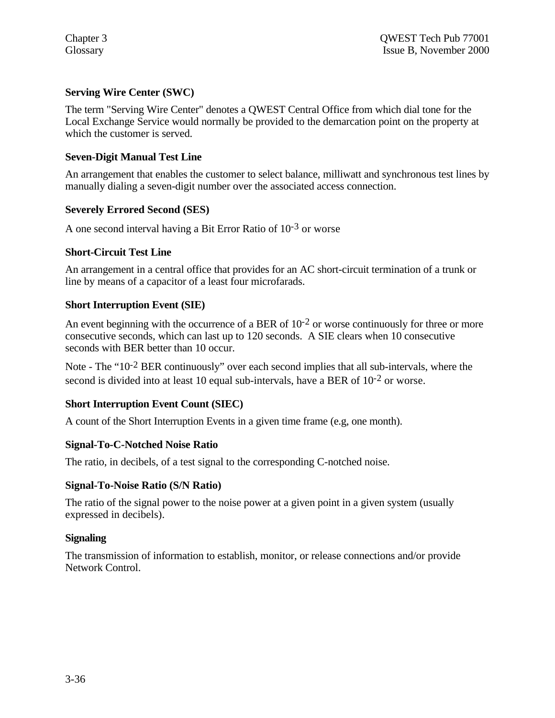# **Serving Wire Center (SWC)**

The term "Serving Wire Center" denotes a QWEST Central Office from which dial tone for the Local Exchange Service would normally be provided to the demarcation point on the property at which the customer is served.

## **Seven-Digit Manual Test Line**

An arrangement that enables the customer to select balance, milliwatt and synchronous test lines by manually dialing a seven-digit number over the associated access connection.

## **Severely Errored Second (SES)**

A one second interval having a Bit Error Ratio of 10-3 or worse

#### **Short-Circuit Test Line**

An arrangement in a central office that provides for an AC short-circuit termination of a trunk or line by means of a capacitor of a least four microfarads.

## **Short Interruption Event (SIE)**

An event beginning with the occurrence of a BER of  $10^{-2}$  or worse continuously for three or more consecutive seconds, which can last up to 120 seconds. A SIE clears when 10 consecutive seconds with BER better than 10 occur.

Note - The "10-2 BER continuously" over each second implies that all sub-intervals, where the second is divided into at least 10 equal sub-intervals, have a BER of  $10^{-2}$  or worse.

## **Short Interruption Event Count (SIEC)**

A count of the Short Interruption Events in a given time frame (e.g, one month).

## **Signal-To-C-Notched Noise Ratio**

The ratio, in decibels, of a test signal to the corresponding C-notched noise.

## **Signal-To-Noise Ratio (S/N Ratio)**

The ratio of the signal power to the noise power at a given point in a given system (usually expressed in decibels).

## **Signaling**

The transmission of information to establish, monitor, or release connections and/or provide Network Control.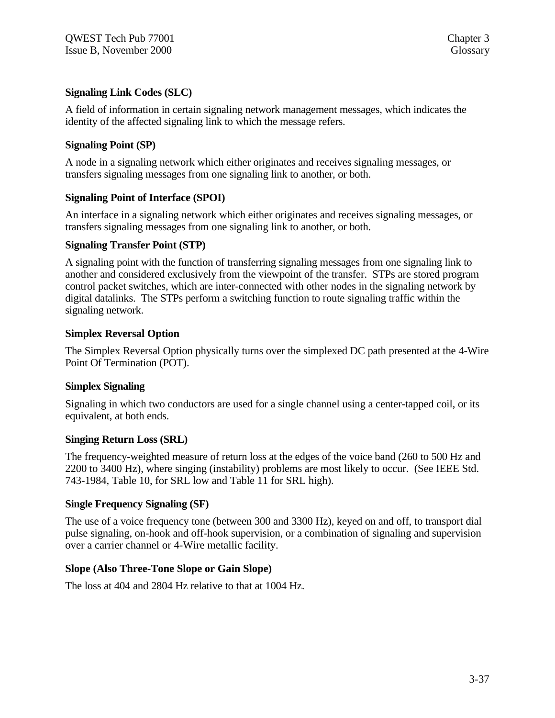## **Signaling Link Codes (SLC)**

A field of information in certain signaling network management messages, which indicates the identity of the affected signaling link to which the message refers.

## **Signaling Point (SP)**

A node in a signaling network which either originates and receives signaling messages, or transfers signaling messages from one signaling link to another, or both.

## **Signaling Point of Interface (SPOI)**

An interface in a signaling network which either originates and receives signaling messages, or transfers signaling messages from one signaling link to another, or both.

## **Signaling Transfer Point (STP)**

A signaling point with the function of transferring signaling messages from one signaling link to another and considered exclusively from the viewpoint of the transfer. STPs are stored program control packet switches, which are inter-connected with other nodes in the signaling network by digital datalinks. The STPs perform a switching function to route signaling traffic within the signaling network.

## **Simplex Reversal Option**

The Simplex Reversal Option physically turns over the simplexed DC path presented at the 4-Wire Point Of Termination (POT).

## **Simplex Signaling**

Signaling in which two conductors are used for a single channel using a center-tapped coil, or its equivalent, at both ends.

## **Singing Return Loss (SRL)**

The frequency-weighted measure of return loss at the edges of the voice band (260 to 500 Hz and 2200 to 3400 Hz), where singing (instability) problems are most likely to occur. (See IEEE Std. 743-1984, Table 10, for SRL low and Table 11 for SRL high).

## **Single Frequency Signaling (SF)**

The use of a voice frequency tone (between 300 and 3300 Hz), keyed on and off, to transport dial pulse signaling, on-hook and off-hook supervision, or a combination of signaling and supervision over a carrier channel or 4-Wire metallic facility.

## **Slope (Also Three-Tone Slope or Gain Slope)**

The loss at 404 and 2804 Hz relative to that at 1004 Hz.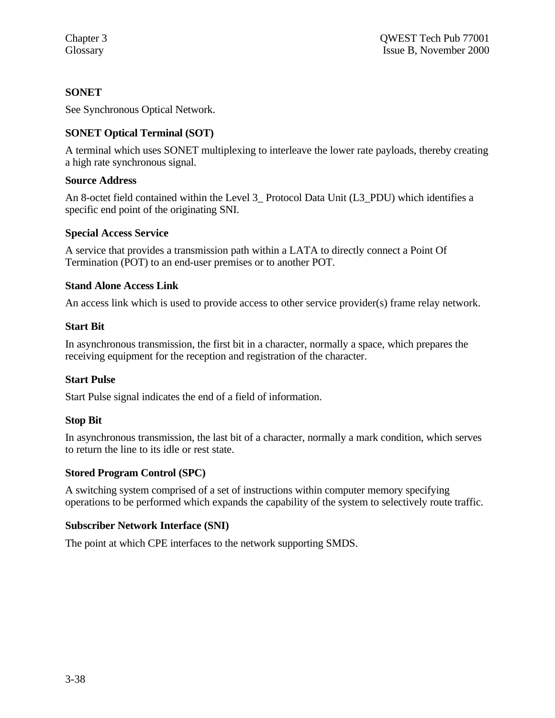# **SONET**

See Synchronous Optical Network.

# **SONET Optical Terminal (SOT)**

A terminal which uses SONET multiplexing to interleave the lower rate payloads, thereby creating a high rate synchronous signal.

## **Source Address**

An 8-octet field contained within the Level 3 Protocol Data Unit (L3 PDU) which identifies a specific end point of the originating SNI.

## **Special Access Service**

A service that provides a transmission path within a LATA to directly connect a Point Of Termination (POT) to an end-user premises or to another POT.

# **Stand Alone Access Link**

An access link which is used to provide access to other service provider(s) frame relay network.

## **Start Bit**

In asynchronous transmission, the first bit in a character, normally a space, which prepares the receiving equipment for the reception and registration of the character.

# **Start Pulse**

Start Pulse signal indicates the end of a field of information.

## **Stop Bit**

In asynchronous transmission, the last bit of a character, normally a mark condition, which serves to return the line to its idle or rest state.

# **Stored Program Control (SPC)**

A switching system comprised of a set of instructions within computer memory specifying operations to be performed which expands the capability of the system to selectively route traffic.

## **Subscriber Network Interface (SNI)**

The point at which CPE interfaces to the network supporting SMDS.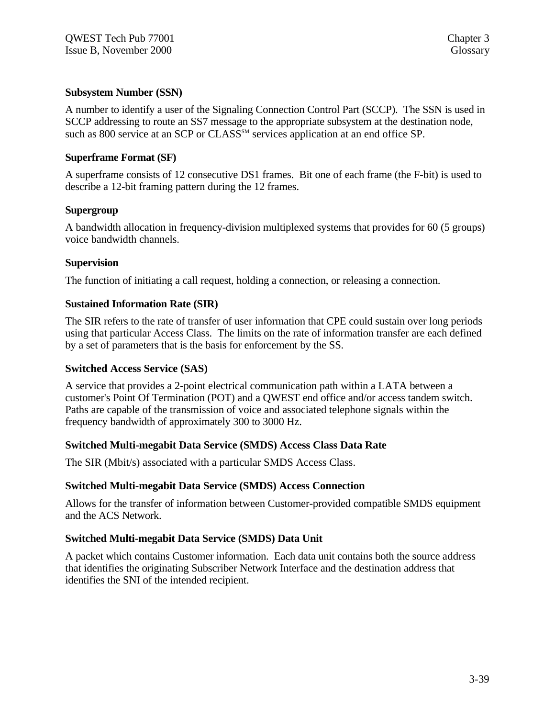## **Subsystem Number (SSN)**

A number to identify a user of the Signaling Connection Control Part (SCCP). The SSN is used in SCCP addressing to route an SS7 message to the appropriate subsystem at the destination node, such as 800 service at an SCP or CLASS<sup>SM</sup> services application at an end office SP.

## **Superframe Format (SF)**

A superframe consists of 12 consecutive DS1 frames. Bit one of each frame (the F-bit) is used to describe a 12-bit framing pattern during the 12 frames.

## **Supergroup**

A bandwidth allocation in frequency-division multiplexed systems that provides for 60 (5 groups) voice bandwidth channels.

## **Supervision**

The function of initiating a call request, holding a connection, or releasing a connection.

## **Sustained Information Rate (SIR)**

The SIR refers to the rate of transfer of user information that CPE could sustain over long periods using that particular Access Class. The limits on the rate of information transfer are each defined by a set of parameters that is the basis for enforcement by the SS.

## **Switched Access Service (SAS)**

A service that provides a 2-point electrical communication path within a LATA between a customer's Point Of Termination (POT) and a QWEST end office and/or access tandem switch. Paths are capable of the transmission of voice and associated telephone signals within the frequency bandwidth of approximately 300 to 3000 Hz.

## **Switched Multi-megabit Data Service (SMDS) Access Class Data Rate**

The SIR (Mbit/s) associated with a particular SMDS Access Class.

## **Switched Multi-megabit Data Service (SMDS) Access Connection**

Allows for the transfer of information between Customer-provided compatible SMDS equipment and the ACS Network.

# **Switched Multi-megabit Data Service (SMDS) Data Unit**

A packet which contains Customer information. Each data unit contains both the source address that identifies the originating Subscriber Network Interface and the destination address that identifies the SNI of the intended recipient.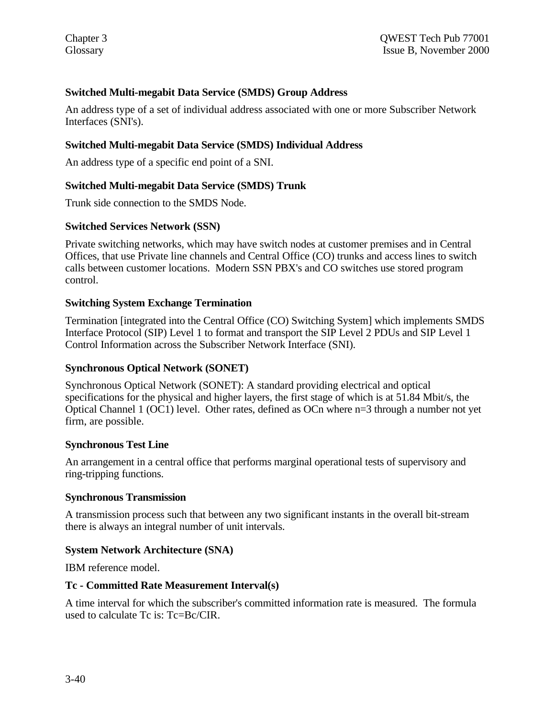# **Switched Multi-megabit Data Service (SMDS) Group Address**

An address type of a set of individual address associated with one or more Subscriber Network Interfaces (SNI's).

## **Switched Multi-megabit Data Service (SMDS) Individual Address**

An address type of a specific end point of a SNI.

## **Switched Multi-megabit Data Service (SMDS) Trunk**

Trunk side connection to the SMDS Node.

## **Switched Services Network (SSN)**

Private switching networks, which may have switch nodes at customer premises and in Central Offices, that use Private line channels and Central Office (CO) trunks and access lines to switch calls between customer locations. Modern SSN PBX's and CO switches use stored program control.

## **Switching System Exchange Termination**

Termination [integrated into the Central Office (CO) Switching System] which implements SMDS Interface Protocol (SIP) Level 1 to format and transport the SIP Level 2 PDUs and SIP Level 1 Control Information across the Subscriber Network Interface (SNI).

## **Synchronous Optical Network (SONET)**

Synchronous Optical Network (SONET): A standard providing electrical and optical specifications for the physical and higher layers, the first stage of which is at 51.84 Mbit/s, the Optical Channel 1 (OC1) level. Other rates, defined as OCn where n=3 through a number not yet firm, are possible.

## **Synchronous Test Line**

An arrangement in a central office that performs marginal operational tests of supervisory and ring-tripping functions.

## **Synchronous Transmission**

A transmission process such that between any two significant instants in the overall bit-stream there is always an integral number of unit intervals.

## **System Network Architecture (SNA)**

IBM reference model.

## **Tc - Committed Rate Measurement Interval(s)**

A time interval for which the subscriber's committed information rate is measured. The formula used to calculate Tc is: Tc=Bc/CIR.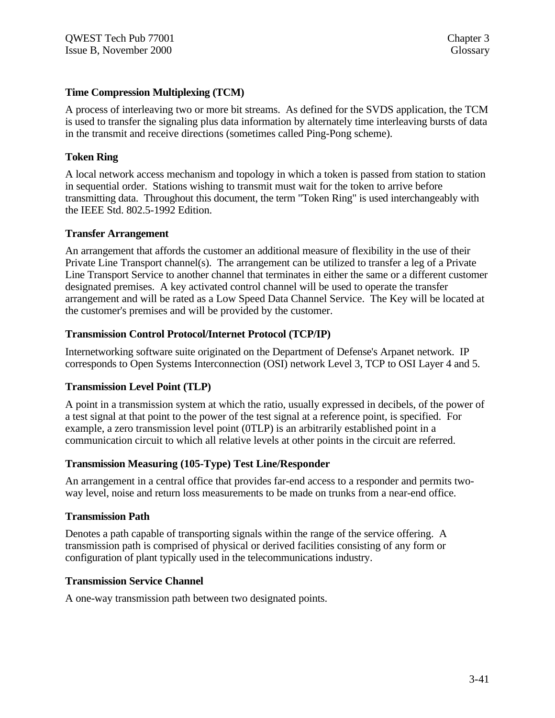## **Time Compression Multiplexing (TCM)**

A process of interleaving two or more bit streams. As defined for the SVDS application, the TCM is used to transfer the signaling plus data information by alternately time interleaving bursts of data in the transmit and receive directions (sometimes called Ping-Pong scheme).

## **Token Ring**

A local network access mechanism and topology in which a token is passed from station to station in sequential order. Stations wishing to transmit must wait for the token to arrive before transmitting data. Throughout this document, the term "Token Ring" is used interchangeably with the IEEE Std. 802.5-1992 Edition.

## **Transfer Arrangement**

An arrangement that affords the customer an additional measure of flexibility in the use of their Private Line Transport channel(s). The arrangement can be utilized to transfer a leg of a Private Line Transport Service to another channel that terminates in either the same or a different customer designated premises. A key activated control channel will be used to operate the transfer arrangement and will be rated as a Low Speed Data Channel Service. The Key will be located at the customer's premises and will be provided by the customer.

## **Transmission Control Protocol/Internet Protocol (TCP/IP)**

Internetworking software suite originated on the Department of Defense's Arpanet network. IP corresponds to Open Systems Interconnection (OSI) network Level 3, TCP to OSI Layer 4 and 5.

## **Transmission Level Point (TLP)**

A point in a transmission system at which the ratio, usually expressed in decibels, of the power of a test signal at that point to the power of the test signal at a reference point, is specified. For example, a zero transmission level point (0TLP) is an arbitrarily established point in a communication circuit to which all relative levels at other points in the circuit are referred.

## **Transmission Measuring (105-Type) Test Line/Responder**

An arrangement in a central office that provides far-end access to a responder and permits twoway level, noise and return loss measurements to be made on trunks from a near-end office.

## **Transmission Path**

Denotes a path capable of transporting signals within the range of the service offering. A transmission path is comprised of physical or derived facilities consisting of any form or configuration of plant typically used in the telecommunications industry.

## **Transmission Service Channel**

A one-way transmission path between two designated points.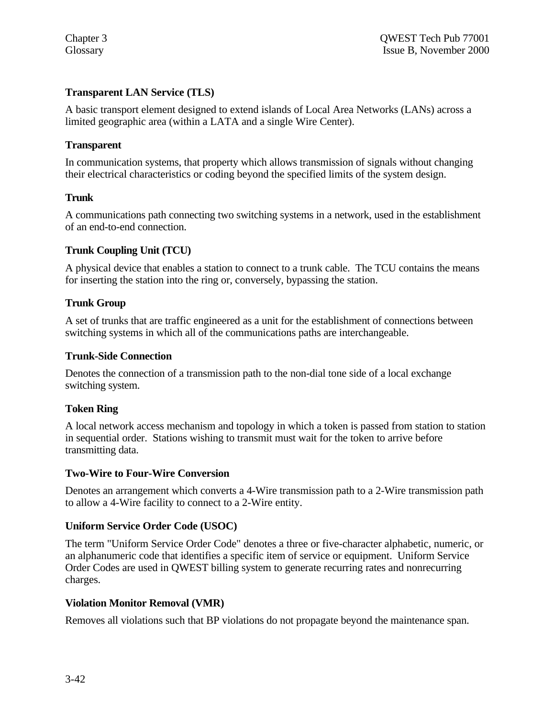# **Transparent LAN Service (TLS)**

A basic transport element designed to extend islands of Local Area Networks (LANs) across a limited geographic area (within a LATA and a single Wire Center).

## **Transparent**

In communication systems, that property which allows transmission of signals without changing their electrical characteristics or coding beyond the specified limits of the system design.

## **Trunk**

A communications path connecting two switching systems in a network, used in the establishment of an end-to-end connection.

## **Trunk Coupling Unit (TCU)**

A physical device that enables a station to connect to a trunk cable. The TCU contains the means for inserting the station into the ring or, conversely, bypassing the station.

## **Trunk Group**

A set of trunks that are traffic engineered as a unit for the establishment of connections between switching systems in which all of the communications paths are interchangeable.

## **Trunk-Side Connection**

Denotes the connection of a transmission path to the non-dial tone side of a local exchange switching system.

# **Token Ring**

A local network access mechanism and topology in which a token is passed from station to station in sequential order. Stations wishing to transmit must wait for the token to arrive before transmitting data.

## **Two-Wire to Four-Wire Conversion**

Denotes an arrangement which converts a 4-Wire transmission path to a 2-Wire transmission path to allow a 4-Wire facility to connect to a 2-Wire entity.

# **Uniform Service Order Code (USOC)**

The term "Uniform Service Order Code" denotes a three or five-character alphabetic, numeric, or an alphanumeric code that identifies a specific item of service or equipment. Uniform Service Order Codes are used in QWEST billing system to generate recurring rates and nonrecurring charges.

## **Violation Monitor Removal (VMR)**

Removes all violations such that BP violations do not propagate beyond the maintenance span.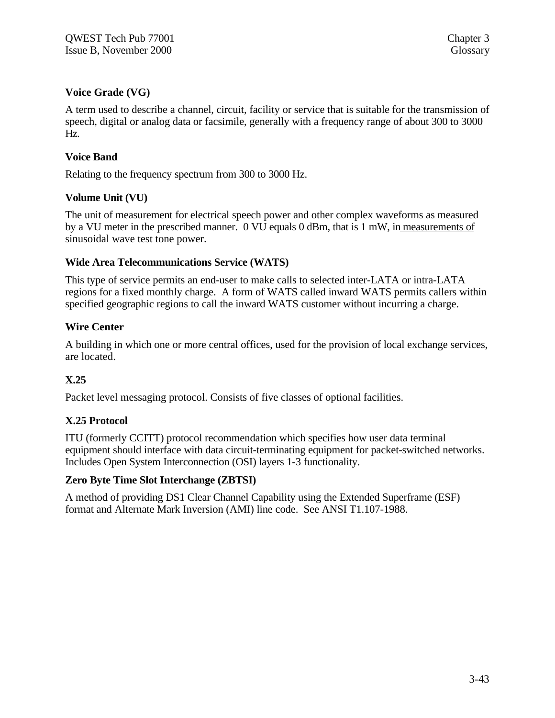## **Voice Grade (VG)**

A term used to describe a channel, circuit, facility or service that is suitable for the transmission of speech, digital or analog data or facsimile, generally with a frequency range of about 300 to 3000 Hz.

## **Voice Band**

Relating to the frequency spectrum from 300 to 3000 Hz.

## **Volume Unit (VU)**

The unit of measurement for electrical speech power and other complex waveforms as measured by a VU meter in the prescribed manner. 0 VU equals 0 dBm, that is 1 mW, in measurements of sinusoidal wave test tone power.

## **Wide Area Telecommunications Service (WATS)**

This type of service permits an end-user to make calls to selected inter-LATA or intra-LATA regions for a fixed monthly charge. A form of WATS called inward WATS permits callers within specified geographic regions to call the inward WATS customer without incurring a charge.

## **Wire Center**

A building in which one or more central offices, used for the provision of local exchange services, are located.

# **X.25**

Packet level messaging protocol. Consists of five classes of optional facilities.

# **X.25 Protocol**

ITU (formerly CCITT) protocol recommendation which specifies how user data terminal equipment should interface with data circuit-terminating equipment for packet-switched networks. Includes Open System Interconnection (OSI) layers 1-3 functionality.

## **Zero Byte Time Slot Interchange (ZBTSI)**

A method of providing DS1 Clear Channel Capability using the Extended Superframe (ESF) format and Alternate Mark Inversion (AMI) line code. See ANSI T1.107-1988.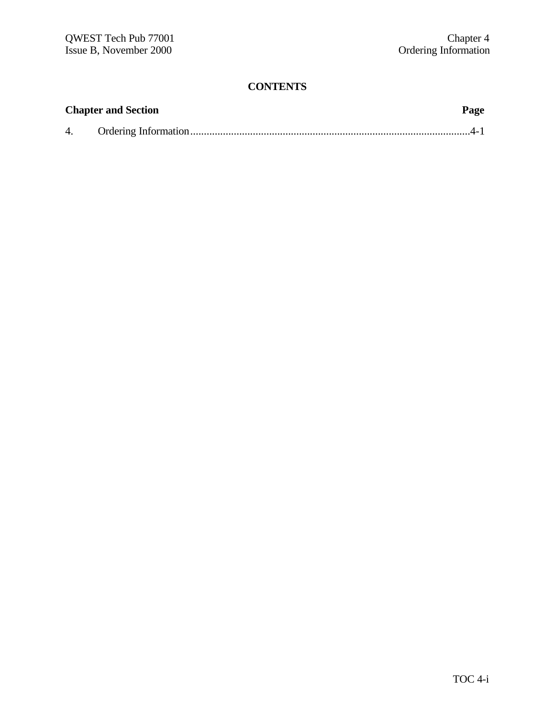# **CONTENTS**

|    | <b>Chapter and Section</b> | Page |
|----|----------------------------|------|
| 4. |                            |      |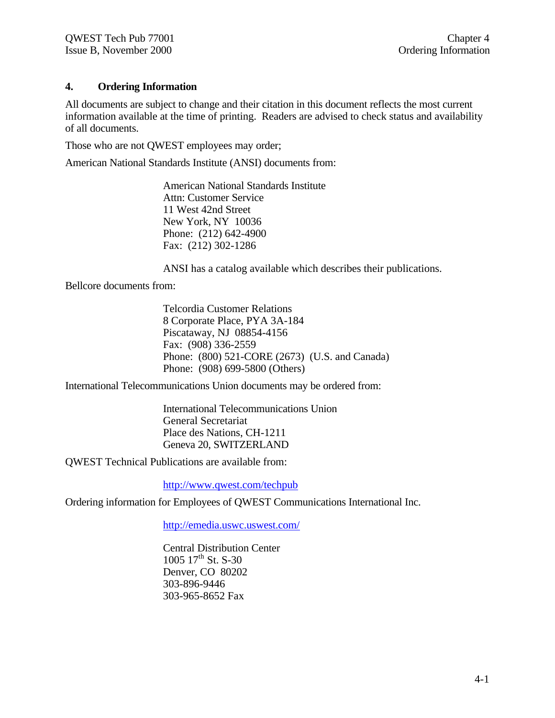## **4. Ordering Information**

All documents are subject to change and their citation in this document reflects the most current information available at the time of printing. Readers are advised to check status and availability of all documents.

Those who are not QWEST employees may order;

American National Standards Institute (ANSI) documents from:

American National Standards Institute Attn: Customer Service 11 West 42nd Street New York, NY 10036 Phone: (212) 642-4900 Fax: (212) 302-1286

ANSI has a catalog available which describes their publications.

Bellcore documents from:

Telcordia Customer Relations 8 Corporate Place, PYA 3A-184 Piscataway, NJ 08854-4156 Fax: (908) 336-2559 Phone: (800) 521-CORE (2673) (U.S. and Canada) Phone: (908) 699-5800 (Others)

International Telecommunications Union documents may be ordered from:

International Telecommunications Union General Secretariat Place des Nations, CH-1211 Geneva 20, SWITZERLAND

QWEST Technical Publications are available from:

http://www.qwest.com/techpub

Ordering information for Employees of QWEST Communications International Inc.

http://emedia.uswc.uswest.com/

Central Distribution Center  $1005 \frac{17^{\text{th}}}{\text{St. S-30}}$ Denver, CO 80202 303-896-9446 303-965-8652 Fax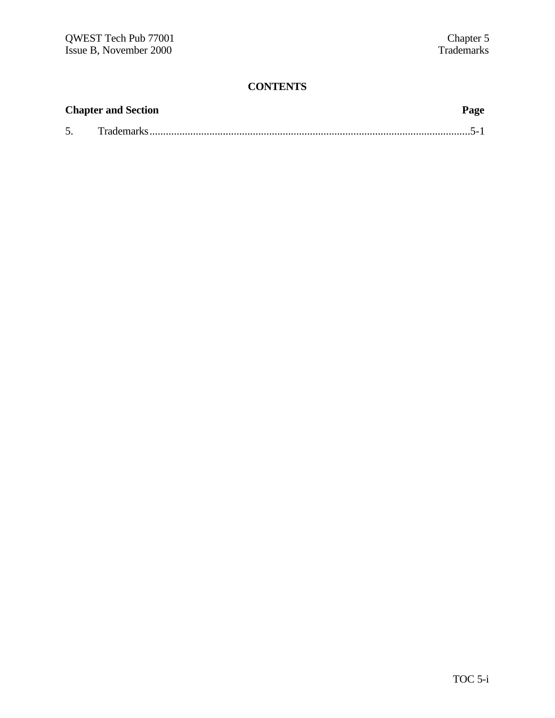# **CONTENTS**

|    | <b>Chapter and Section</b> | Page |
|----|----------------------------|------|
| 5. |                            |      |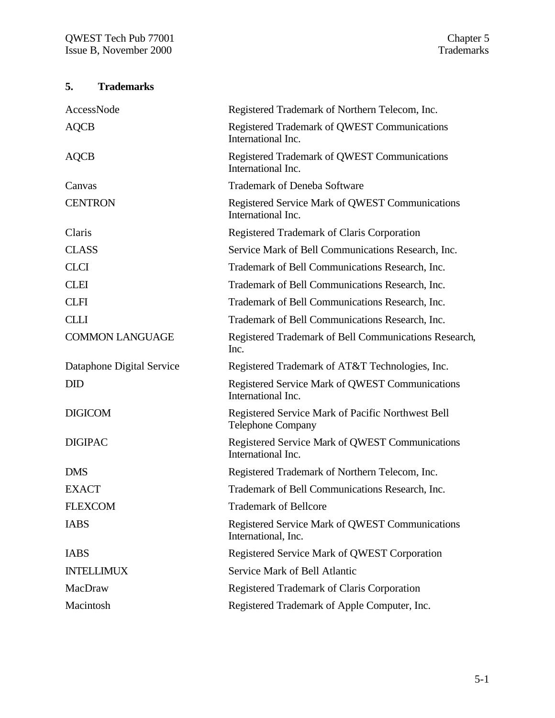# **5. Trademarks**

| AccessNode                | Registered Trademark of Northern Telecom, Inc.                                |
|---------------------------|-------------------------------------------------------------------------------|
| <b>AQCB</b>               | Registered Trademark of QWEST Communications<br>International Inc.            |
| <b>AQCB</b>               | Registered Trademark of QWEST Communications<br>International Inc.            |
| Canvas                    | <b>Trademark of Deneba Software</b>                                           |
| <b>CENTRON</b>            | Registered Service Mark of QWEST Communications<br>International Inc.         |
| Claris                    | Registered Trademark of Claris Corporation                                    |
| <b>CLASS</b>              | Service Mark of Bell Communications Research, Inc.                            |
| <b>CLCI</b>               | Trademark of Bell Communications Research, Inc.                               |
| <b>CLEI</b>               | Trademark of Bell Communications Research, Inc.                               |
| <b>CLFI</b>               | Trademark of Bell Communications Research, Inc.                               |
| <b>CLLI</b>               | Trademark of Bell Communications Research, Inc.                               |
| <b>COMMON LANGUAGE</b>    | Registered Trademark of Bell Communications Research,<br>Inc.                 |
| Dataphone Digital Service | Registered Trademark of AT&T Technologies, Inc.                               |
|                           |                                                                               |
| <b>DID</b>                | Registered Service Mark of QWEST Communications<br>International Inc.         |
| <b>DIGICOM</b>            | Registered Service Mark of Pacific Northwest Bell<br><b>Telephone Company</b> |
| <b>DIGIPAC</b>            | <b>Registered Service Mark of QWEST Communications</b><br>International Inc.  |
| <b>DMS</b>                | Registered Trademark of Northern Telecom, Inc.                                |
| <b>EXACT</b>              | Trademark of Bell Communications Research, Inc.                               |
| <b>FLEXCOM</b>            | <b>Trademark of Bellcore</b>                                                  |
| <b>IABS</b>               | <b>Registered Service Mark of QWEST Communications</b><br>International, Inc. |
| <b>IABS</b>               | Registered Service Mark of QWEST Corporation                                  |
| <b>INTELLIMUX</b>         | Service Mark of Bell Atlantic                                                 |
| MacDraw                   | Registered Trademark of Claris Corporation                                    |